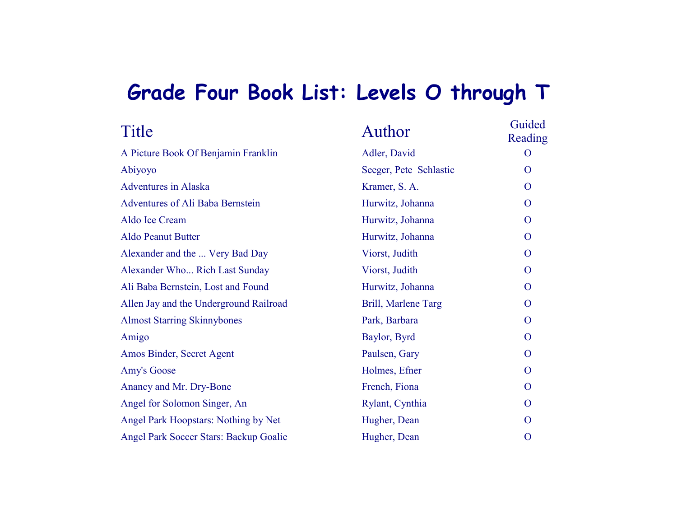## **Grade Four Book List: Levels O through T**

| Title                                  | Author                 | Guided<br>Reading |
|----------------------------------------|------------------------|-------------------|
| A Picture Book Of Benjamin Franklin    | Adler, David           | $\Omega$          |
| Abiyoyo                                | Seeger, Pete Schlastic | $\Omega$          |
| <b>Adventures</b> in Alaska            | Kramer, S. A.          | $\mathbf{O}$      |
| Adventures of Ali Baba Bernstein       | Hurwitz, Johanna       | $\overline{O}$    |
| Aldo Ice Cream                         | Hurwitz, Johanna       | $\overline{O}$    |
| Aldo Peanut Butter                     | Hurwitz, Johanna       | $\overline{O}$    |
| Alexander and the  Very Bad Day        | Viorst, Judith         | $\mathbf{O}$      |
| Alexander Who Rich Last Sunday         | Viorst, Judith         | $\overline{O}$    |
| Ali Baba Bernstein, Lost and Found     | Hurwitz, Johanna       | $\mathbf{O}$      |
| Allen Jay and the Underground Railroad | Brill, Marlene Targ    | $\mathbf{O}$      |
| <b>Almost Starring Skinnybones</b>     | Park, Barbara          | $\mathbf{O}$      |
| Amigo                                  | Baylor, Byrd           | $\overline{O}$    |
| Amos Binder, Secret Agent              | Paulsen, Gary          | $\overline{O}$    |
| Amy's Goose                            | Holmes, Efner          | $\overline{O}$    |
| Anancy and Mr. Dry-Bone                | French, Fiona          | $\overline{O}$    |
| Angel for Solomon Singer, An           | Rylant, Cynthia        | $\overline{O}$    |
| Angel Park Hoopstars: Nothing by Net   | Hugher, Dean           | $\overline{O}$    |
| Angel Park Soccer Stars: Backup Goalie | Hugher, Dean           | $\mathbf{O}$      |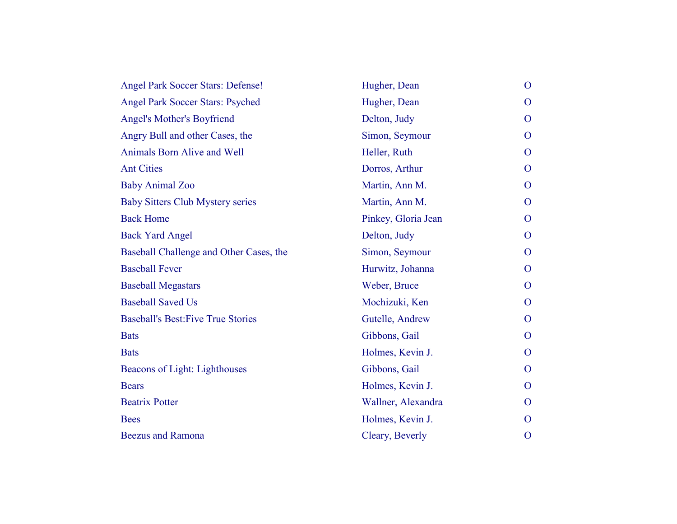| <b>Angel Park Soccer Stars: Defense!</b>  | Hugher, Dean        | $\mathbf{O}$   |
|-------------------------------------------|---------------------|----------------|
| <b>Angel Park Soccer Stars: Psyched</b>   | Hugher, Dean        | O              |
| <b>Angel's Mother's Boyfriend</b>         | Delton, Judy        | $\overline{O}$ |
| Angry Bull and other Cases, the           | Simon, Seymour      | $\mathbf{O}$   |
| Animals Born Alive and Well               | Heller, Ruth        | $\Omega$       |
| <b>Ant Cities</b>                         | Dorros, Arthur      | $\mathbf{O}$   |
| <b>Baby Animal Zoo</b>                    | Martin, Ann M.      | $\mathbf{O}$   |
| <b>Baby Sitters Club Mystery series</b>   | Martin, Ann M.      | O              |
| <b>Back Home</b>                          | Pinkey, Gloria Jean | $\overline{O}$ |
| <b>Back Yard Angel</b>                    | Delton, Judy        | $\mathbf{O}$   |
| Baseball Challenge and Other Cases, the   | Simon, Seymour      | $\mathbf{O}$   |
| <b>Baseball Fever</b>                     | Hurwitz, Johanna    | $\mathbf{O}$   |
| <b>Baseball Megastars</b>                 | Weber, Bruce        | O              |
| <b>Baseball Saved Us</b>                  | Mochizuki, Ken      | $\Omega$       |
| <b>Baseball's Best: Five True Stories</b> | Gutelle, Andrew     | $\mathbf{O}$   |
| <b>Bats</b>                               | Gibbons, Gail       | O              |
| <b>Bats</b>                               | Holmes, Kevin J.    | $\mathbf{O}$   |
| Beacons of Light: Lighthouses             | Gibbons, Gail       | $\mathbf{O}$   |
| <b>Bears</b>                              | Holmes, Kevin J.    | O              |
| <b>Beatrix Potter</b>                     | Wallner, Alexandra  | $\Omega$       |
| <b>Bees</b>                               | Holmes, Kevin J.    | $\Omega$       |
| <b>Beezus and Ramona</b>                  | Cleary, Beverly     | $\mathbf{O}$   |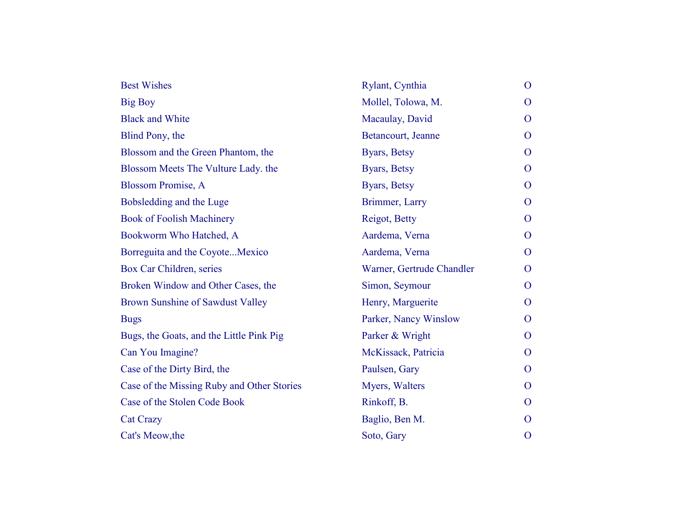| <b>Best Wishes</b>                         | Rylant, Cynthia           | $\mathbf{O}$   |
|--------------------------------------------|---------------------------|----------------|
| <b>Big Boy</b>                             | Mollel, Tolowa, M.        | $\mathbf{O}$   |
| <b>Black and White</b>                     | Macaulay, David           | $\overline{O}$ |
| Blind Pony, the                            | Betancourt, Jeanne        | $\overline{O}$ |
| Blossom and the Green Phantom, the         | Byars, Betsy              | $\Omega$       |
| Blossom Meets The Vulture Lady, the        | Byars, Betsy              | $\overline{O}$ |
| <b>Blossom Promise, A</b>                  | Byars, Betsy              | $\overline{O}$ |
| Bobsledding and the Luge                   | Brimmer, Larry            | $\overline{O}$ |
| <b>Book of Foolish Machinery</b>           | Reigot, Betty             | $\overline{O}$ |
| Bookworm Who Hatched, A                    | Aardema, Verna            | $\overline{O}$ |
| Borreguita and the CoyoteMexico            | Aardema, Verna            | $\overline{O}$ |
| Box Car Children, series                   | Warner, Gertrude Chandler | $\overline{O}$ |
| Broken Window and Other Cases, the         | Simon, Seymour            | $\overline{O}$ |
| Brown Sunshine of Sawdust Valley           | Henry, Marguerite         | $\mathbf{O}$   |
| <b>Bugs</b>                                | Parker, Nancy Winslow     | $\Omega$       |
| Bugs, the Goats, and the Little Pink Pig   | Parker & Wright           | $\overline{O}$ |
| Can You Imagine?                           | McKissack, Patricia       | $\overline{O}$ |
| Case of the Dirty Bird, the                | Paulsen, Gary             | $\Omega$       |
| Case of the Missing Ruby and Other Stories | Myers, Walters            | $\overline{O}$ |
| Case of the Stolen Code Book               | Rinkoff, B.               | $\Omega$       |
| <b>Cat Crazy</b>                           | Baglio, Ben M.            | $\Omega$       |
| Cat's Meow, the                            | Soto, Gary                | $\overline{O}$ |
|                                            |                           |                |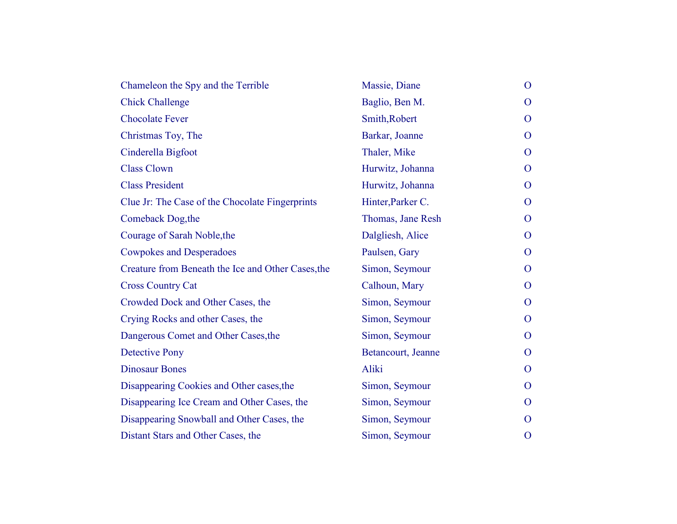| Chameleon the Spy and the Terrible                 | Massie, Diane      | $\mathbf{O}$   |
|----------------------------------------------------|--------------------|----------------|
| <b>Chick Challenge</b>                             | Baglio, Ben M.     | $\mathbf{O}$   |
| <b>Chocolate Fever</b>                             | Smith, Robert      | $\Omega$       |
| Christmas Toy, The                                 | Barkar, Joanne     | $\mathbf{O}$   |
| Cinderella Bigfoot                                 | Thaler, Mike       | $\Omega$       |
| <b>Class Clown</b>                                 | Hurwitz, Johanna   | $\mathbf{O}$   |
| <b>Class President</b>                             | Hurwitz, Johanna   | $\mathbf{O}$   |
| Clue Jr: The Case of the Chocolate Fingerprints    | Hinter, Parker C.  | $\mathbf{O}$   |
| Comeback Dog, the                                  | Thomas, Jane Resh  | $\mathbf{O}$   |
| Courage of Sarah Noble, the                        | Dalgliesh, Alice   | $\mathbf{O}$   |
| <b>Cowpokes and Desperadoes</b>                    | Paulsen, Gary      | $\Omega$       |
| Creature from Beneath the Ice and Other Cases, the | Simon, Seymour     | $\mathbf{O}$   |
| <b>Cross Country Cat</b>                           | Calhoun, Mary      | $\Omega$       |
| Crowded Dock and Other Cases, the                  | Simon, Seymour     | $\mathbf{O}$   |
| Crying Rocks and other Cases, the                  | Simon, Seymour     | $\overline{O}$ |
| Dangerous Comet and Other Cases, the               | Simon, Seymour     | $\mathbf{O}$   |
| <b>Detective Pony</b>                              | Betancourt, Jeanne | $\mathbf{O}$   |
| <b>Dinosaur Bones</b>                              | Aliki              | $\mathbf{O}$   |
| Disappearing Cookies and Other cases, the          | Simon, Seymour     | $\Omega$       |
| Disappearing Ice Cream and Other Cases, the        | Simon, Seymour     | $\mathbf{O}$   |
| Disappearing Snowball and Other Cases, the         | Simon, Seymour     | $\Omega$       |
| Distant Stars and Other Cases, the                 | Simon, Seymour     | $\mathbf{O}$   |
|                                                    |                    |                |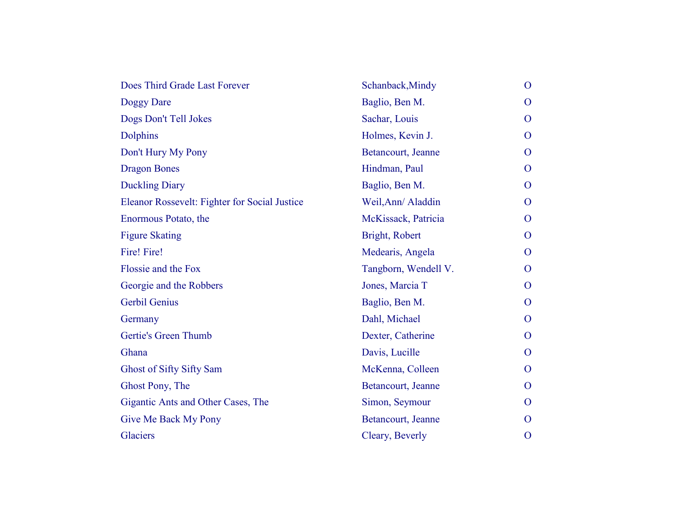| Does Third Grade Last Forever                 | Schanback, Mindy     | $\mathbf{O}$   |
|-----------------------------------------------|----------------------|----------------|
| Doggy Dare                                    | Baglio, Ben M.       | $\overline{O}$ |
| Dogs Don't Tell Jokes                         | Sachar, Louis        | $\mathbf{O}$   |
| <b>Dolphins</b>                               | Holmes, Kevin J.     | O              |
| Don't Hury My Pony                            | Betancourt, Jeanne   | $\overline{O}$ |
| <b>Dragon Bones</b>                           | Hindman, Paul        | $\mathbf{O}$   |
| <b>Duckling Diary</b>                         | Baglio, Ben M.       | $\mathbf{O}$   |
| Eleanor Rossevelt: Fighter for Social Justice | Weil, Ann/ Aladdin   | $\Omega$       |
| Enormous Potato, the                          | McKissack, Patricia  | $\mathbf{O}$   |
| <b>Figure Skating</b>                         | Bright, Robert       | $\mathbf{O}$   |
| Fire! Fire!                                   | Medearis, Angela     | O              |
| Flossie and the Fox                           | Tangborn, Wendell V. | $\mathbf{O}$   |
| Georgie and the Robbers                       | Jones, Marcia T      | $\mathbf{O}$   |
| <b>Gerbil Genius</b>                          | Baglio, Ben M.       | $\mathbf{O}$   |
| Germany                                       | Dahl, Michael        | O              |
| Gertie's Green Thumb                          | Dexter, Catherine    | $\overline{O}$ |
| Ghana                                         | Davis, Lucille       | $\mathbf{O}$   |
| Ghost of Sifty Sifty Sam                      | McKenna, Colleen     | O              |
| Ghost Pony, The                               | Betancourt, Jeanne   | $\overline{O}$ |
| Gigantic Ants and Other Cases, The            | Simon, Seymour       | $\mathbf{O}$   |
| Give Me Back My Pony                          | Betancourt, Jeanne   | O              |
| Glaciers                                      | Cleary, Beverly      | $\overline{O}$ |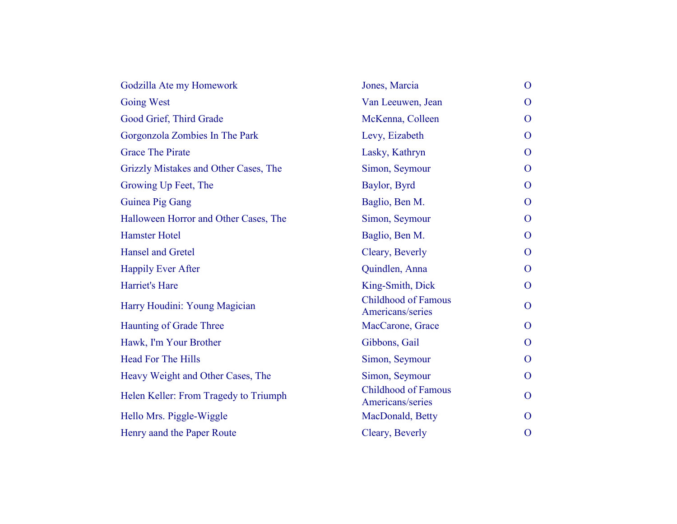| Godzilla Ate my Homework              | Jones, Marcia                                  | $\overline{O}$ |
|---------------------------------------|------------------------------------------------|----------------|
| <b>Going West</b>                     | Van Leeuwen, Jean                              | $\overline{O}$ |
| Good Grief, Third Grade               | McKenna, Colleen                               | $\mathbf{O}$   |
| Gorgonzola Zombies In The Park        | Levy, Eizabeth                                 | $\mathbf{O}$   |
| <b>Grace The Pirate</b>               | Lasky, Kathryn                                 | $\mathbf{O}$   |
| Grizzly Mistakes and Other Cases, The | Simon, Seymour                                 | $\mathbf{O}$   |
| Growing Up Feet, The                  | Baylor, Byrd                                   | $\mathbf{O}$   |
| Guinea Pig Gang                       | Baglio, Ben M.                                 | $\mathbf{O}$   |
| Halloween Horror and Other Cases, The | Simon, Seymour                                 | $\mathbf{O}$   |
| <b>Hamster Hotel</b>                  | Baglio, Ben M.                                 | $\mathbf{O}$   |
| <b>Hansel and Gretel</b>              | Cleary, Beverly                                | $\mathbf{O}$   |
| <b>Happily Ever After</b>             | Quindlen, Anna                                 | $\mathbf{O}$   |
| Harriet's Hare                        | King-Smith, Dick                               | $\mathbf{O}$   |
| Harry Houdini: Young Magician         | <b>Childhood of Famous</b><br>Americans/series | $\mathbf{O}$   |
| Haunting of Grade Three               | MacCarone, Grace                               | $\mathbf{O}$   |
| Hawk, I'm Your Brother                | Gibbons, Gail                                  | $\overline{O}$ |
| <b>Head For The Hills</b>             | Simon, Seymour                                 | $\mathbf{O}$   |
| Heavy Weight and Other Cases, The     | Simon, Seymour                                 | $\mathbf{O}$   |
| Helen Keller: From Tragedy to Triumph | <b>Childhood of Famous</b><br>Americans/series | $\mathbf{O}$   |
| Hello Mrs. Piggle-Wiggle              | MacDonald, Betty                               | $\overline{O}$ |
| Henry aand the Paper Route            | Cleary, Beverly                                | $\mathbf{O}$   |
|                                       |                                                |                |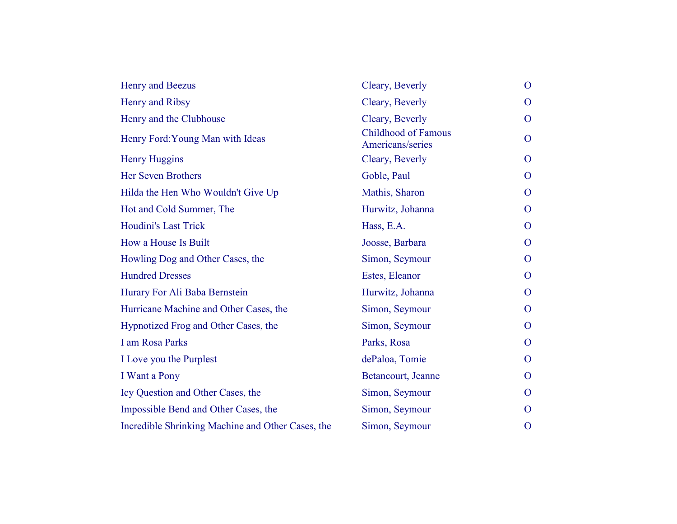| Henry and Beezus                                  | Cleary, Beverly                                | $\mathbf{O}$   |
|---------------------------------------------------|------------------------------------------------|----------------|
| Henry and Ribsy                                   | Cleary, Beverly                                | O              |
| Henry and the Clubhouse                           | Cleary, Beverly                                | $\mathbf{O}$   |
| Henry Ford: Young Man with Ideas                  | <b>Childhood of Famous</b><br>Americans/series | $\mathbf{O}$   |
| <b>Henry Huggins</b>                              | Cleary, Beverly                                | $\overline{O}$ |
| <b>Her Seven Brothers</b>                         | Goble, Paul                                    | $\mathbf{O}$   |
| Hilda the Hen Who Wouldn't Give Up                | Mathis, Sharon                                 | $\mathbf{O}$   |
| Hot and Cold Summer, The                          | Hurwitz, Johanna                               | $\Omega$       |
| <b>Houdini's Last Trick</b>                       | Hass, E.A.                                     | $\overline{O}$ |
| How a House Is Built                              | Joosse, Barbara                                | $\mathbf{O}$   |
| Howling Dog and Other Cases, the                  | Simon, Seymour                                 | $\mathbf{O}$   |
| <b>Hundred Dresses</b>                            | Estes, Eleanor                                 | O              |
| Hurary For Ali Baba Bernstein                     | Hurwitz, Johanna                               | O              |
| Hurricane Machine and Other Cases, the            | Simon, Seymour                                 | $\overline{O}$ |
| Hypnotized Frog and Other Cases, the              | Simon, Seymour                                 | $\mathbf{O}$   |
| I am Rosa Parks                                   | Parks, Rosa                                    | $\mathbf{O}$   |
| I Love you the Purplest                           | dePaloa, Tomie                                 | $\Omega$       |
| I Want a Pony                                     | Betancourt, Jeanne                             | $\mathbf{O}$   |
| Icy Question and Other Cases, the                 | Simon, Seymour                                 | $\Omega$       |
| Impossible Bend and Other Cases, the              | Simon, Seymour                                 | O              |
| Incredible Shrinking Machine and Other Cases, the | Simon, Seymour                                 | O              |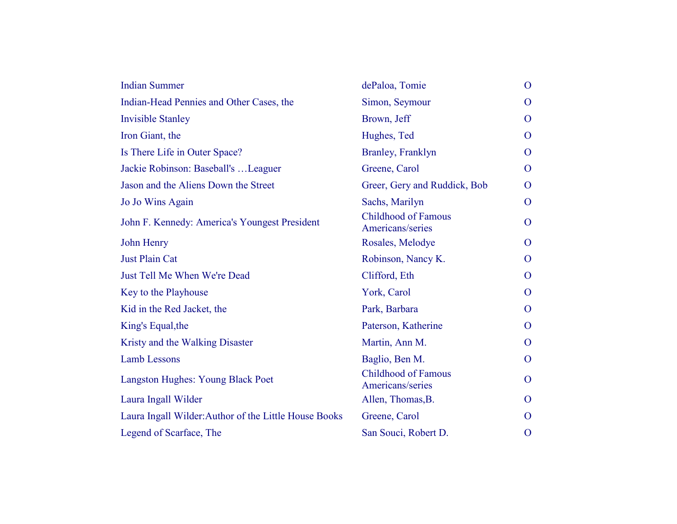| <b>Indian Summer</b>                                  | dePaloa, Tomie                                 | $\mathbf{O}$   |
|-------------------------------------------------------|------------------------------------------------|----------------|
| Indian-Head Pennies and Other Cases, the              | Simon, Seymour                                 | $\overline{O}$ |
| <b>Invisible Stanley</b>                              | Brown, Jeff                                    | $\overline{O}$ |
| Iron Giant, the                                       | Hughes, Ted                                    | $\overline{O}$ |
| Is There Life in Outer Space?                         | Branley, Franklyn                              | $\overline{O}$ |
| Jackie Robinson: Baseball's  Leaguer                  | Greene, Carol                                  | $\overline{O}$ |
| Jason and the Aliens Down the Street                  | Greer, Gery and Ruddick, Bob                   | $\overline{O}$ |
| Jo Jo Wins Again                                      | Sachs, Marilyn                                 | $\overline{O}$ |
| John F. Kennedy: America's Youngest President         | <b>Childhood of Famous</b><br>Americans/series | $\overline{O}$ |
| John Henry                                            | Rosales, Melodye                               | $\Omega$       |
| <b>Just Plain Cat</b>                                 | Robinson, Nancy K.                             | $\overline{O}$ |
| Just Tell Me When We're Dead                          | Clifford, Eth                                  | $\overline{O}$ |
| Key to the Playhouse                                  | York, Carol                                    | $\overline{O}$ |
| Kid in the Red Jacket, the                            | Park, Barbara                                  | $\overline{O}$ |
| King's Equal, the                                     | Paterson, Katherine                            | $\overline{O}$ |
| Kristy and the Walking Disaster                       | Martin, Ann M.                                 | $\overline{O}$ |
| <b>Lamb Lessons</b>                                   | Baglio, Ben M.                                 | $\overline{O}$ |
| Langston Hughes: Young Black Poet                     | <b>Childhood of Famous</b><br>Americans/series | $\overline{O}$ |
| Laura Ingall Wilder                                   | Allen, Thomas, B.                              | $\overline{O}$ |
| Laura Ingall Wilder: Author of the Little House Books | Greene, Carol                                  | $\Omega$       |
| Legend of Scarface, The                               | San Souci, Robert D.                           | $\mathbf{O}$   |
|                                                       |                                                |                |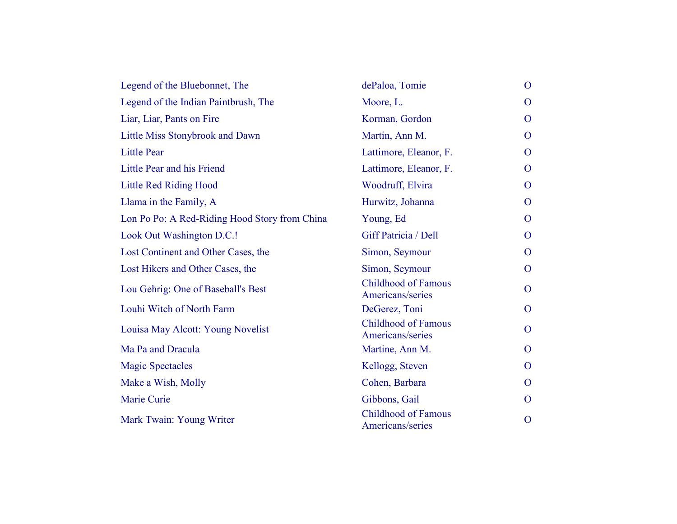| Legend of the Bluebonnet, The                 | dePaloa, Tomie                                 | $\overline{O}$ |
|-----------------------------------------------|------------------------------------------------|----------------|
| Legend of the Indian Paintbrush, The          | Moore, L.                                      | $\overline{O}$ |
| Liar, Liar, Pants on Fire                     | Korman, Gordon                                 | $\overline{O}$ |
| Little Miss Stonybrook and Dawn               | Martin, Ann M.                                 | $\overline{O}$ |
| <b>Little Pear</b>                            | Lattimore, Eleanor, F.                         | $\overline{O}$ |
| Little Pear and his Friend                    | Lattimore, Eleanor, F.                         | $\overline{O}$ |
| <b>Little Red Riding Hood</b>                 | Woodruff, Elvira                               | $\overline{O}$ |
| Llama in the Family, A                        | Hurwitz, Johanna                               | $\overline{O}$ |
| Lon Po Po: A Red-Riding Hood Story from China | Young, Ed                                      | $\overline{O}$ |
| Look Out Washington D.C.!                     | Giff Patricia / Dell                           | $\overline{O}$ |
| Lost Continent and Other Cases, the           | Simon, Seymour                                 | $\overline{O}$ |
| Lost Hikers and Other Cases, the              | Simon, Seymour                                 | $\overline{O}$ |
| Lou Gehrig: One of Baseball's Best            | <b>Childhood of Famous</b><br>Americans/series | $\overline{O}$ |
| Louhi Witch of North Farm                     | DeGerez, Toni                                  | $\overline{O}$ |
| Louisa May Alcott: Young Novelist             | <b>Childhood of Famous</b><br>Americans/series | $\overline{O}$ |
| Ma Pa and Dracula                             | Martine, Ann M.                                | $\overline{O}$ |
| <b>Magic Spectacles</b>                       | Kellogg, Steven                                | $\overline{O}$ |
| Make a Wish, Molly                            | Cohen, Barbara                                 | $\Omega$       |
| Marie Curie                                   | Gibbons, Gail                                  | $\overline{O}$ |
| Mark Twain: Young Writer                      | <b>Childhood of Famous</b><br>Americans/series | $\overline{O}$ |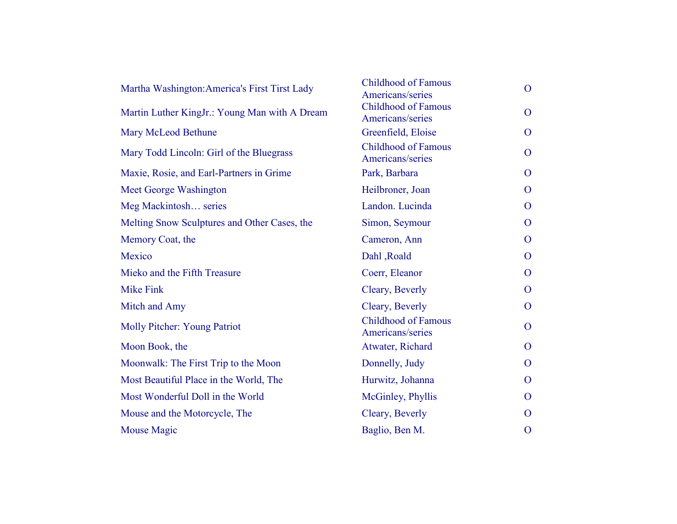| Martha Washington: America's First Tirst Lady | <b>Childhood of Famous</b><br>Americans/series | $\overline{O}$ |
|-----------------------------------------------|------------------------------------------------|----------------|
| Martin Luther KingJr.: Young Man with A Dream | <b>Childhood of Famous</b><br>Americans/series | $\mathbf{O}$   |
| Mary McLeod Bethune                           | Greenfield, Eloise                             | O              |
| Mary Todd Lincoln: Girl of the Bluegrass      | <b>Childhood of Famous</b><br>Americans/series | $\overline{O}$ |
| Maxie, Rosie, and Earl-Partners in Grime      | Park, Barbara                                  | O              |
| Meet George Washington                        | Heilbroner, Joan                               | $\Omega$       |
| Meg Mackintosh series                         | Landon. Lucinda                                | $\overline{O}$ |
| Melting Snow Sculptures and Other Cases, the  | Simon, Seymour                                 | $\mathbf{O}$   |
| Memory Coat, the                              | Cameron, Ann                                   | $\Omega$       |
| Mexico                                        | Dahl, Roald                                    | $\overline{O}$ |
| Mieko and the Fifth Treasure                  | Coerr, Eleanor                                 | $\mathbf{O}$   |
| <b>Mike Fink</b>                              | Cleary, Beverly                                | $\mathbf{O}$   |
| Mitch and Amy                                 | Cleary, Beverly                                | $\mathbf{O}$   |
| Molly Pitcher: Young Patriot                  | <b>Childhood of Famous</b><br>Americans/series | $\overline{O}$ |
| Moon Book, the                                | Atwater, Richard                               | $\Omega$       |
| Moonwalk: The First Trip to the Moon          | Donnelly, Judy                                 | $\Omega$       |
| Most Beautiful Place in the World, The        | Hurwitz, Johanna                               | $\Omega$       |
| Most Wonderful Doll in the World              | McGinley, Phyllis                              | $\mathbf{O}$   |
| Mouse and the Motorcycle, The                 | Cleary, Beverly                                | O              |
| <b>Mouse Magic</b>                            | Baglio, Ben M.                                 | $\mathbf{O}$   |
|                                               |                                                |                |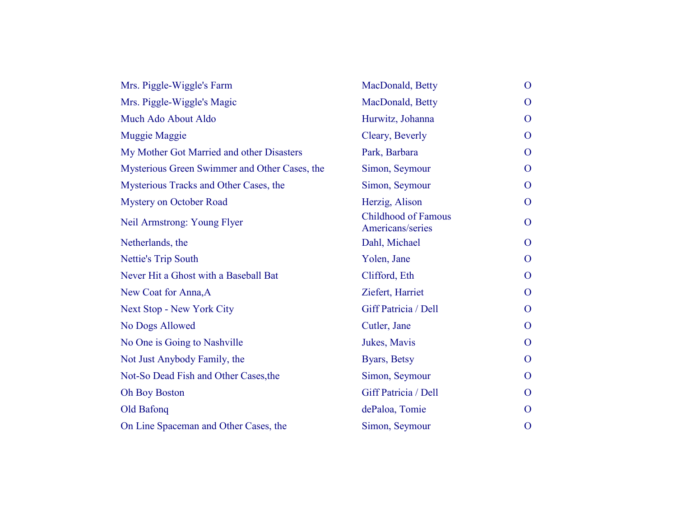| Mrs. Piggle-Wiggle's Farm                     | MacDonald, Betty                               | $\mathbf{O}$   |
|-----------------------------------------------|------------------------------------------------|----------------|
| Mrs. Piggle-Wiggle's Magic                    | MacDonald, Betty                               | O              |
| Much Ado About Aldo                           | Hurwitz, Johanna                               | O              |
| Muggie Maggie                                 | Cleary, Beverly                                | $\overline{O}$ |
| My Mother Got Married and other Disasters     | Park, Barbara                                  | O              |
| Mysterious Green Swimmer and Other Cases, the | Simon, Seymour                                 | O              |
| Mysterious Tracks and Other Cases, the        | Simon, Seymour                                 | O              |
| <b>Mystery on October Road</b>                | Herzig, Alison                                 | O              |
| Neil Armstrong: Young Flyer                   | <b>Childhood of Famous</b><br>Americans/series | $\mathbf{O}$   |
| Netherlands, the                              | Dahl, Michael                                  | $\overline{O}$ |
| <b>Nettie's Trip South</b>                    | Yolen, Jane                                    | $\overline{O}$ |
| Never Hit a Ghost with a Baseball Bat         | Clifford, Eth                                  | $\mathbf{O}$   |
| New Coat for Anna, A                          | Ziefert, Harriet                               | $\mathbf{O}$   |
| <b>Next Stop - New York City</b>              | Giff Patricia / Dell                           | $\mathbf{O}$   |
| No Dogs Allowed                               | Cutler, Jane                                   | O              |
| No One is Going to Nashville                  | Jukes, Mavis                                   | $\mathbf{O}$   |
| Not Just Anybody Family, the                  | Byars, Betsy                                   | $\mathbf{O}$   |
| Not-So Dead Fish and Other Cases, the         | Simon, Seymour                                 | $\mathbf{O}$   |
| <b>Oh Boy Boston</b>                          | Giff Patricia / Dell                           | $\overline{O}$ |
| Old Bafonq                                    | dePaloa, Tomie                                 | $\mathbf{O}$   |
| On Line Spaceman and Other Cases, the         | Simon, Seymour                                 | $\mathbf{O}$   |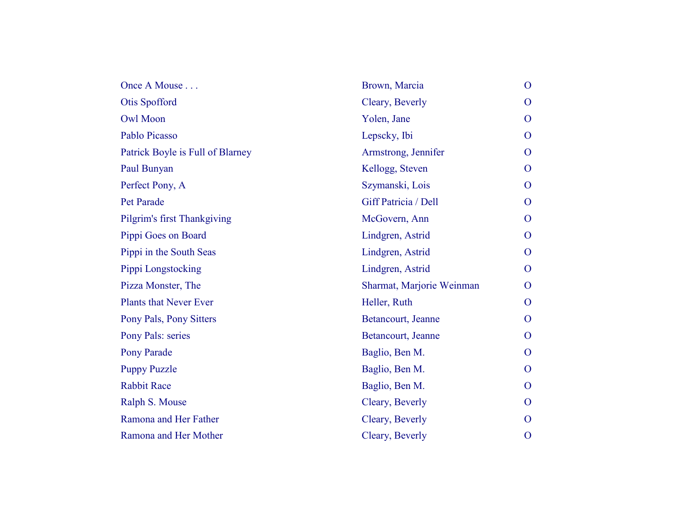| Once A Mouse                     | Brown, Marcia             | $\mathbf{O}$   |
|----------------------------------|---------------------------|----------------|
| Otis Spofford                    | Cleary, Beverly           | $\overline{O}$ |
| <b>Owl Moon</b>                  | Yolen, Jane               | $\mathbf{O}$   |
| Pablo Picasso                    | Lepscky, Ibi              | $\overline{O}$ |
| Patrick Boyle is Full of Blarney | Armstrong, Jennifer       | $\overline{O}$ |
| Paul Bunyan                      | Kellogg, Steven           | $\overline{O}$ |
| Perfect Pony, A                  | Szymanski, Lois           | $\overline{O}$ |
| Pet Parade                       | Giff Patricia / Dell      | $\overline{O}$ |
| Pilgrim's first Thankgiving      | McGovern, Ann             | $\overline{O}$ |
| Pippi Goes on Board              | Lindgren, Astrid          | $\mathbf{O}$   |
| Pippi in the South Seas          | Lindgren, Astrid          | $\overline{O}$ |
| Pippi Longstocking               | Lindgren, Astrid          | $\overline{O}$ |
| Pizza Monster, The               | Sharmat, Marjorie Weinman | $\mathbf{O}$   |
| <b>Plants that Never Ever</b>    | Heller, Ruth              | $\mathbf{O}$   |
| Pony Pals, Pony Sitters          | Betancourt, Jeanne        | $\overline{O}$ |
| Pony Pals: series                | Betancourt, Jeanne        | $\overline{O}$ |
| <b>Pony Parade</b>               | Baglio, Ben M.            | $\overline{O}$ |
| <b>Puppy Puzzle</b>              | Baglio, Ben M.            | $\overline{O}$ |
| <b>Rabbit Race</b>               | Baglio, Ben M.            | $\overline{O}$ |
| Ralph S. Mouse                   | Cleary, Beverly           | $\overline{O}$ |
| Ramona and Her Father            | Cleary, Beverly           | $\overline{O}$ |
| Ramona and Her Mother            | Cleary, Beverly           | $\overline{O}$ |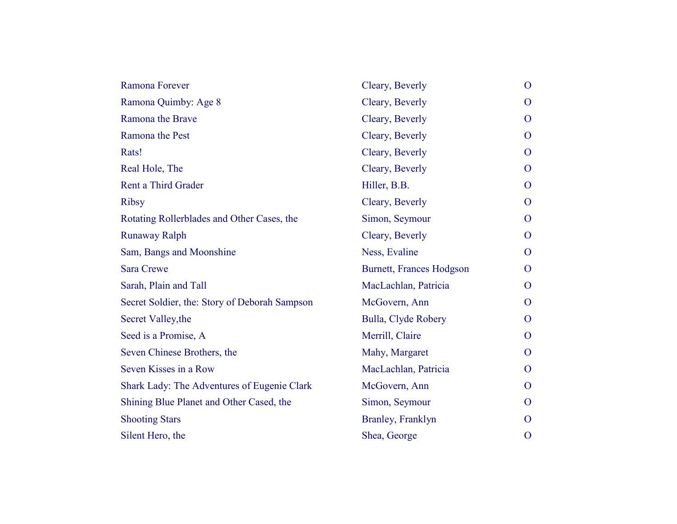| Ramona Forever                                | Cleary, Beverly                 | $\overline{O}$ |
|-----------------------------------------------|---------------------------------|----------------|
| Ramona Quimby: Age 8                          | Cleary, Beverly                 | $\Omega$       |
| Ramona the Brave                              | Cleary, Beverly                 | $\mathbf{O}$   |
| Ramona the Pest                               | Cleary, Beverly                 | $\overline{O}$ |
| Rats!                                         | Cleary, Beverly                 | $\overline{O}$ |
| Real Hole, The                                | Cleary, Beverly                 | $\overline{O}$ |
| <b>Rent a Third Grader</b>                    | Hiller, B.B.                    | $\mathbf{O}$   |
| <b>Ribsy</b>                                  | Cleary, Beverly                 | $\mathbf{O}$   |
| Rotating Rollerblades and Other Cases, the    | Simon, Seymour                  | $\overline{O}$ |
| <b>Runaway Ralph</b>                          | Cleary, Beverly                 | $\overline{O}$ |
| Sam, Bangs and Moonshine                      | Ness, Evaline                   | $\overline{O}$ |
| <b>Sara Crewe</b>                             | <b>Burnett, Frances Hodgson</b> | $\Omega$       |
| Sarah, Plain and Tall                         | MacLachlan, Patricia            | $\overline{O}$ |
| Secret Soldier, the: Story of Deborah Sampson | McGovern, Ann                   | $\overline{O}$ |
| Secret Valley, the                            | Bulla, Clyde Robery             | $\overline{O}$ |
| Seed is a Promise, A                          | Merrill, Claire                 | $\mathbf{O}$   |
| Seven Chinese Brothers, the                   | Mahy, Margaret                  | $\mathbf{O}$   |
| Seven Kisses in a Row                         | MacLachlan, Patricia            | $\Omega$       |
| Shark Lady: The Adventures of Eugenie Clark   | McGovern, Ann                   | $\overline{O}$ |
| Shining Blue Planet and Other Cased, the      | Simon, Seymour                  | $\overline{O}$ |
| <b>Shooting Stars</b>                         | Branley, Franklyn               | $\Omega$       |
| Silent Hero, the                              | Shea, George                    | $\mathbf{O}$   |
|                                               |                                 |                |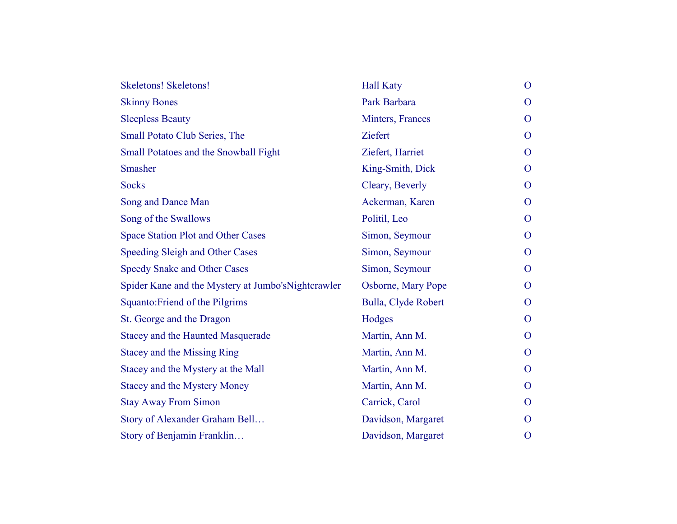| <b>Skeletons! Skeletons!</b>                        | <b>Hall Katy</b>    | $\mathbf{O}$ |
|-----------------------------------------------------|---------------------|--------------|
| <b>Skinny Bones</b>                                 | Park Barbara        | $\Omega$     |
| <b>Sleepless Beauty</b>                             | Minters, Frances    | $\mathbf{O}$ |
| <b>Small Potato Club Series, The</b>                | <b>Ziefert</b>      | $\mathbf{O}$ |
| Small Potatoes and the Snowball Fight               | Ziefert, Harriet    | $\Omega$     |
| Smasher                                             | King-Smith, Dick    | $\mathbf{O}$ |
| <b>Socks</b>                                        | Cleary, Beverly     | $\Omega$     |
| Song and Dance Man                                  | Ackerman, Karen     | $\Omega$     |
| Song of the Swallows                                | Politil, Leo        | $\mathbf{O}$ |
| <b>Space Station Plot and Other Cases</b>           | Simon, Seymour      | $\mathbf{O}$ |
| Speeding Sleigh and Other Cases                     | Simon, Seymour      | $\mathbf{O}$ |
| <b>Speedy Snake and Other Cases</b>                 | Simon, Seymour      | $\Omega$     |
| Spider Kane and the Mystery at Jumbo's Nightcrawler | Osborne, Mary Pope  | $\mathbf{O}$ |
| Squanto: Friend of the Pilgrims                     | Bulla, Clyde Robert | $\mathbf{O}$ |
| St. George and the Dragon                           | Hodges              | $\Omega$     |
| <b>Stacey and the Haunted Masquerade</b>            | Martin, Ann M.      | $\Omega$     |
| <b>Stacey and the Missing Ring</b>                  | Martin, Ann M.      | $\Omega$     |
| Stacey and the Mystery at the Mall                  | Martin, Ann M.      | $\mathbf{O}$ |
| <b>Stacey and the Mystery Money</b>                 | Martin, Ann M.      | $\Omega$     |
| <b>Stay Away From Simon</b>                         | Carrick, Carol      | $\Omega$     |
| Story of Alexander Graham Bell                      | Davidson, Margaret  | $\Omega$     |
| Story of Benjamin Franklin                          | Davidson, Margaret  | $\mathbf{O}$ |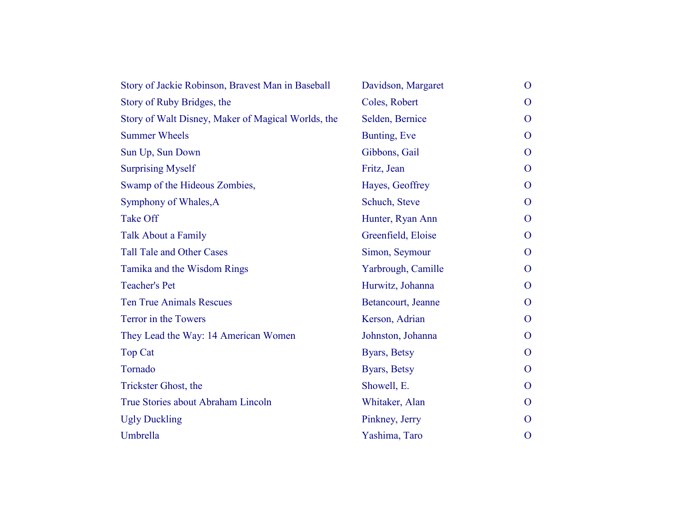| Story of Jackie Robinson, Bravest Man in Baseball  | Davidson, Margaret | $\mathbf{O}$   |
|----------------------------------------------------|--------------------|----------------|
| Story of Ruby Bridges, the                         | Coles, Robert      | $\Omega$       |
| Story of Walt Disney, Maker of Magical Worlds, the | Selden, Bernice    | $\Omega$       |
| <b>Summer Wheels</b>                               | Bunting, Eve       | $\Omega$       |
| Sun Up, Sun Down                                   | Gibbons, Gail      | $\Omega$       |
| <b>Surprising Myself</b>                           | Fritz, Jean        | $\mathbf{O}$   |
| Swamp of the Hideous Zombies,                      | Hayes, Geoffrey    | $\mathbf{O}$   |
| Symphony of Whales, A                              | Schuch, Steve      | $\mathbf{O}$   |
| <b>Take Off</b>                                    | Hunter, Ryan Ann   | $\Omega$       |
| <b>Talk About a Family</b>                         | Greenfield, Eloise | $\Omega$       |
| <b>Tall Tale and Other Cases</b>                   | Simon, Seymour     | $\overline{O}$ |
| Tamika and the Wisdom Rings                        | Yarbrough, Camille | $\Omega$       |
| <b>Teacher's Pet</b>                               | Hurwitz, Johanna   | $\mathbf{O}$   |
| <b>Ten True Animals Rescues</b>                    | Betancourt, Jeanne | $\mathbf{O}$   |
| Terror in the Towers                               | Kerson, Adrian     | $\mathbf{O}$   |
| They Lead the Way: 14 American Women               | Johnston, Johanna  | $\Omega$       |
| <b>Top Cat</b>                                     | Byars, Betsy       | $\Omega$       |
| Tornado                                            | Byars, Betsy       | $\Omega$       |
| Trickster Ghost, the                               | Showell, E.        | $\Omega$       |
| True Stories about Abraham Lincoln                 | Whitaker, Alan     | $\Omega$       |
| <b>Ugly Duckling</b>                               | Pinkney, Jerry     | $\Omega$       |
| Umbrella                                           | Yashima, Taro      | $\mathbf{O}$   |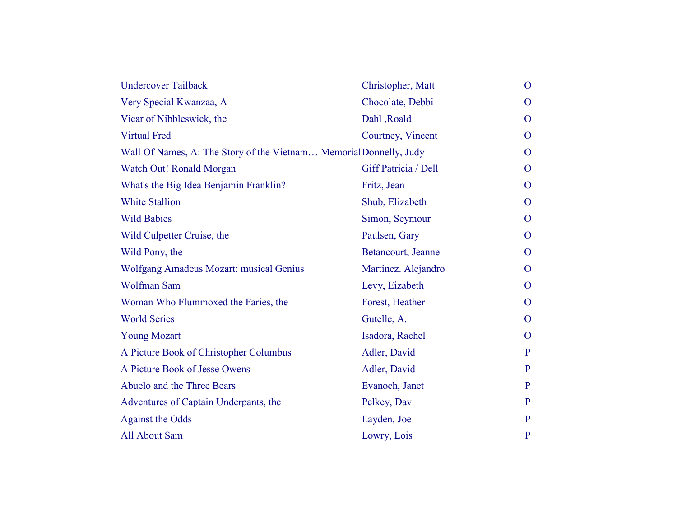| <b>Undercover Tailback</b>                                         | Christopher, Matt    | $\mathbf{O}$ |
|--------------------------------------------------------------------|----------------------|--------------|
| Very Special Kwanzaa, A                                            | Chocolate, Debbi     | $\Omega$     |
| Vicar of Nibbleswick, the                                          | Dahl, Roald          | $\Omega$     |
| <b>Virtual Fred</b>                                                | Courtney, Vincent    | $\Omega$     |
| Wall Of Names, A: The Story of the Vietnam Memorial Donnelly, Judy |                      | $\Omega$     |
| Watch Out! Ronald Morgan                                           | Giff Patricia / Dell | $\mathbf{O}$ |
| What's the Big Idea Benjamin Franklin?                             | Fritz, Jean          | $\mathbf{O}$ |
| <b>White Stallion</b>                                              | Shub, Elizabeth      | $\Omega$     |
| <b>Wild Babies</b>                                                 | Simon, Seymour       | $\Omega$     |
| Wild Culpetter Cruise, the                                         | Paulsen, Gary        | $\mathbf{O}$ |
| Wild Pony, the                                                     | Betancourt, Jeanne   | $\mathbf{O}$ |
| <b>Wolfgang Amadeus Mozart: musical Genius</b>                     | Martinez. Alejandro  | $\mathbf{O}$ |
| <b>Wolfman Sam</b>                                                 | Levy, Eizabeth       | $\mathbf{O}$ |
| Woman Who Flummoxed the Faries, the                                | Forest, Heather      | $\mathbf{O}$ |
| <b>World Series</b>                                                | Gutelle, A.          | $\Omega$     |
| <b>Young Mozart</b>                                                | Isadora, Rachel      | $\Omega$     |
| A Picture Book of Christopher Columbus                             | Adler, David         | P            |
| A Picture Book of Jesse Owens                                      | Adler, David         | $\mathbf{P}$ |
| Abuelo and the Three Bears                                         | Evanoch, Janet       | $\mathbf{P}$ |
| Adventures of Captain Underpants, the                              | Pelkey, Dav          | P            |
| <b>Against the Odds</b>                                            | Layden, Joe          | P            |
| All About Sam                                                      | Lowry, Lois          | $\mathbf{P}$ |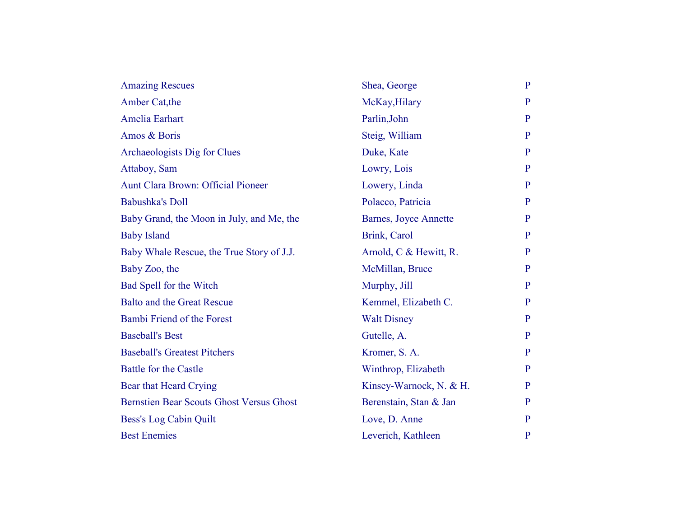| <b>Amazing Rescues</b>                          | Shea, George                  | $\mathbf{P}$ |
|-------------------------------------------------|-------------------------------|--------------|
| Amber Cat, the                                  | McKay, Hilary                 | $\mathbf{P}$ |
| Amelia Earhart                                  | Parlin, John                  | $\mathbf{P}$ |
| Amos & Boris                                    | Steig, William                | P            |
| Archaeologists Dig for Clues                    | Duke, Kate                    | $\mathbf{P}$ |
| Attaboy, Sam                                    | Lowry, Lois                   | $\mathbf{P}$ |
| Aunt Clara Brown: Official Pioneer              | Lowery, Linda                 | $\mathbf{P}$ |
| <b>Babushka's Doll</b>                          | Polacco, Patricia             | $\mathbf{P}$ |
| Baby Grand, the Moon in July, and Me, the       | <b>Barnes</b> , Joyce Annette | $\mathbf{P}$ |
| <b>Baby Island</b>                              | Brink, Carol                  | $\mathbf{P}$ |
| Baby Whale Rescue, the True Story of J.J.       | Arnold, C & Hewitt, R.        | $\mathbf{P}$ |
| Baby Zoo, the                                   | McMillan, Bruce               | $\mathbf{P}$ |
| Bad Spell for the Witch                         | Murphy, Jill                  | $\mathbf{P}$ |
| <b>Balto and the Great Rescue</b>               | Kemmel, Elizabeth C.          | $\mathbf{P}$ |
| Bambi Friend of the Forest                      | <b>Walt Disney</b>            | $\mathbf{P}$ |
| <b>Baseball's Best</b>                          | Gutelle, A.                   | $\mathbf{P}$ |
| <b>Baseball's Greatest Pitchers</b>             | Kromer, S. A.                 | $\mathbf{P}$ |
| <b>Battle for the Castle</b>                    | Winthrop, Elizabeth           | $\mathbf{P}$ |
| Bear that Heard Crying                          | Kinsey-Warnock, N. & H.       | P            |
| <b>Bernstien Bear Scouts Ghost Versus Ghost</b> | Berenstain, Stan & Jan        | $\mathbf{P}$ |
| Bess's Log Cabin Quilt                          | Love, D. Anne                 | $\mathbf{P}$ |
| <b>Best Enemies</b>                             | Leverich, Kathleen            | $\mathbf{P}$ |
|                                                 |                               |              |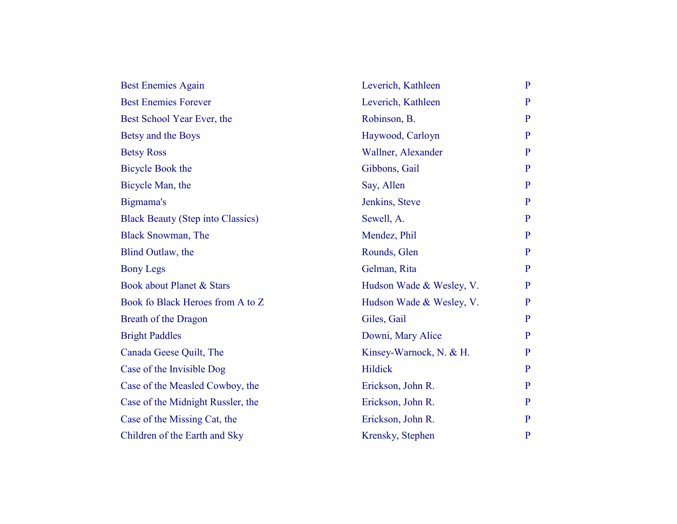| <b>Best Enemies Again</b>                | Leverich, Kathleen       | $\mathbf{P}$ |
|------------------------------------------|--------------------------|--------------|
| <b>Best Enemies Forever</b>              | Leverich, Kathleen       | $\mathbf{P}$ |
| Best School Year Ever, the               | Robinson, B.             | $\mathbf{P}$ |
| Betsy and the Boys                       | Haywood, Carloyn         | $\mathbf{P}$ |
| <b>Betsy Ross</b>                        | Wallner, Alexander       | P            |
| <b>Bicycle Book the</b>                  | Gibbons, Gail            | P            |
| Bicycle Man, the                         | Say, Allen               | $\mathbf{P}$ |
| Bigmama's                                | Jenkins, Steve           | P            |
| <b>Black Beauty (Step into Classics)</b> | Sewell, A.               | $\mathbf{P}$ |
| <b>Black Snowman, The</b>                | Mendez, Phil             | $\mathbf{P}$ |
| Blind Outlaw, the                        | Rounds, Glen             | P            |
| <b>Bony Legs</b>                         | Gelman, Rita             | $\mathbf{P}$ |
| Book about Planet & Stars                | Hudson Wade & Wesley, V. | $\mathbf{P}$ |
| Book fo Black Heroes from A to Z         | Hudson Wade & Wesley, V. | $\mathbf{P}$ |
| Breath of the Dragon                     | Giles, Gail              | P            |
| <b>Bright Paddles</b>                    | Downi, Mary Alice        | $\mathbf{P}$ |
| Canada Geese Quilt, The                  | Kinsey-Warnock, N. & H.  | $\mathbf{P}$ |
| Case of the Invisible Dog                | Hildick                  | P            |
| Case of the Measled Cowboy, the          | Erickson, John R.        | P            |
| Case of the Midnight Russler, the        | Erickson, John R.        | $\mathbf{P}$ |
| Case of the Missing Cat, the             | Erickson, John R.        | $\mathbf{P}$ |
| Children of the Earth and Sky            | Krensky, Stephen         | $\mathbf{P}$ |
|                                          |                          |              |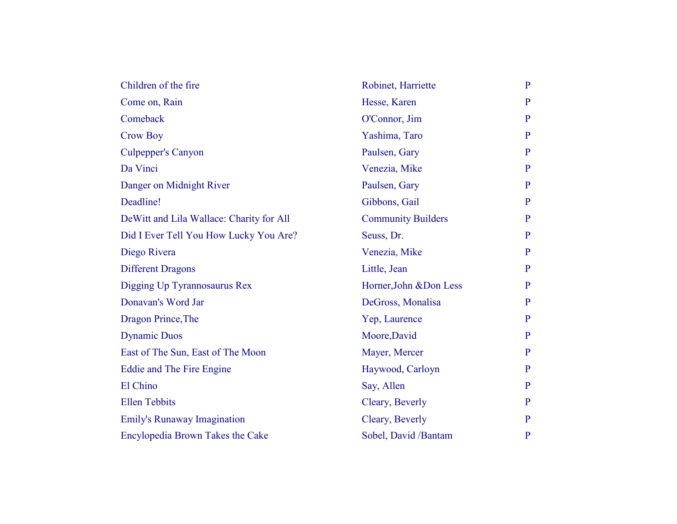| Children of the fire                      | Robinet, Harriette        | $\mathbf{P}$ |
|-------------------------------------------|---------------------------|--------------|
| Come on, Rain                             | Hesse, Karen              | $\mathbf{P}$ |
| Comeback                                  | O'Connor, Jim             | $\mathbf{P}$ |
| <b>Crow Boy</b>                           | Yashima, Taro             | $\mathbf{P}$ |
| <b>Culpepper's Canyon</b>                 | Paulsen, Gary             | $\mathbf{P}$ |
| Da Vinci                                  | Venezia, Mike             | $\mathbf{P}$ |
| Danger on Midnight River                  | Paulsen, Gary             | $\mathbf{P}$ |
| Deadline!                                 | Gibbons, Gail             | P            |
| De Witt and Lila Wallace: Charity for All | <b>Community Builders</b> | P            |
| Did I Ever Tell You How Lucky You Are?    | Seuss, Dr.                | $\mathbf{P}$ |
| Diego Rivera                              | Venezia, Mike             | $\mathbf{P}$ |
| <b>Different Dragons</b>                  | Little, Jean              | P            |
| Digging Up Tyrannosaurus Rex              | Horner, John & Don Less   | $\mathbf{P}$ |
| Donavan's Word Jar                        | DeGross, Monalisa         | $\mathbf{P}$ |
| Dragon Prince, The                        | Yep, Laurence             | P            |
| <b>Dynamic Duos</b>                       | Moore, David              | $\mathbf{P}$ |
| East of The Sun, East of The Moon         | Mayer, Mercer             | $\mathbf{P}$ |
| Eddie and The Fire Engine                 | Haywood, Carloyn          | P            |
| El Chino                                  | Say, Allen                | P            |
| <b>Ellen Tebbits</b>                      | Cleary, Beverly           | $\mathbf{P}$ |
| <b>Emily's Runaway Imagination</b>        | Cleary, Beverly           | P            |
| Encylopedia Brown Takes the Cake          | Sobel, David /Bantam      | $\mathbf{P}$ |
|                                           |                           |              |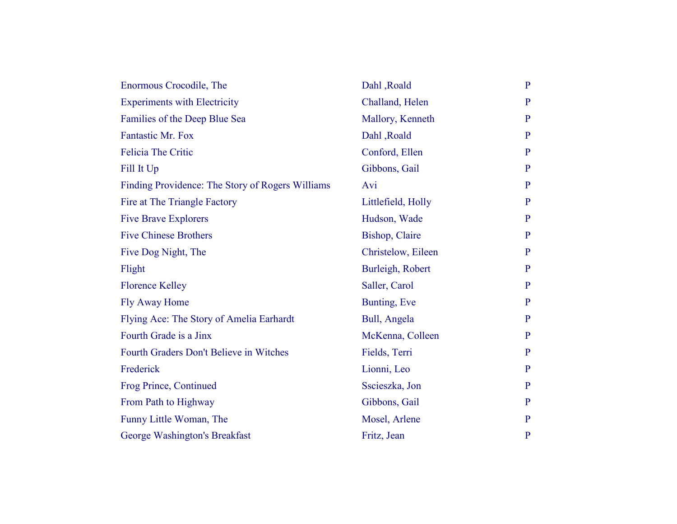| Enormous Crocodile, The                          | Dahl, Roald            | $\mathbf{P}$   |
|--------------------------------------------------|------------------------|----------------|
| <b>Experiments with Electricity</b>              | Challand, Helen        | $\mathbf{P}$   |
| Families of the Deep Blue Sea                    | Mallory, Kenneth       | $\overline{P}$ |
| Fantastic Mr. Fox                                | Dahl, Roald            | $\mathbf{P}$   |
| <b>Felicia The Critic</b>                        | Conford, Ellen         | $\mathbf{P}$   |
| Fill It Up                                       | Gibbons, Gail          | $\mathbf{P}$   |
| Finding Providence: The Story of Rogers Williams | Avi                    | $\mathbf{P}$   |
| Fire at The Triangle Factory                     | Littlefield, Holly     | $\mathbf{P}$   |
| <b>Five Brave Explorers</b>                      | Hudson, Wade           | $\mathbf{P}$   |
| <b>Five Chinese Brothers</b>                     | <b>Bishop</b> , Claire | $\mathbf{P}$   |
| Five Dog Night, The                              | Christelow, Eileen     | $\mathbf{P}$   |
| Flight                                           | Burleigh, Robert       | $\mathbf{P}$   |
| <b>Florence Kelley</b>                           | Saller, Carol          | $\mathbf{P}$   |
| <b>Fly Away Home</b>                             | Bunting, Eve           | $\mathbf{P}$   |
| Flying Ace: The Story of Amelia Earhardt         | Bull, Angela           | $\mathbf{P}$   |
| Fourth Grade is a Jinx                           | McKenna, Colleen       | $\mathbf{P}$   |
| Fourth Graders Don't Believe in Witches          | Fields, Terri          | $\mathbf{P}$   |
| Frederick                                        | Lionni, Leo            | $\mathbf{P}$   |
| Frog Prince, Continued                           | Sscieszka, Jon         | $\mathbf{P}$   |
| From Path to Highway                             | Gibbons, Gail          | $\mathbf{P}$   |
| Funny Little Woman, The                          | Mosel, Arlene          | $\mathbf{P}$   |
| George Washington's Breakfast                    | Fritz, Jean            | $\mathbf{P}$   |
|                                                  |                        |                |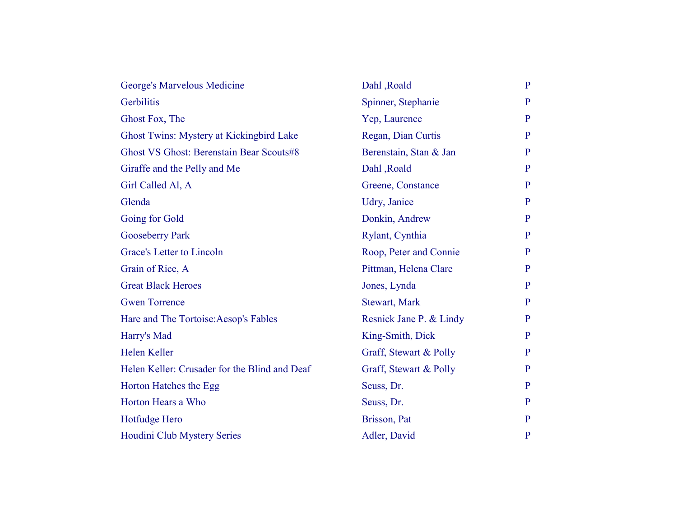| George's Marvelous Medicine                     | Dahl, Roald             | $\mathbf{P}$   |
|-------------------------------------------------|-------------------------|----------------|
| Gerbilitis                                      | Spinner, Stephanie      | $\mathbf{P}$   |
| Ghost Fox, The                                  | Yep, Laurence           | $\mathbf{P}$   |
| Ghost Twins: Mystery at Kickingbird Lake        | Regan, Dian Curtis      | P              |
| <b>Ghost VS Ghost: Berenstain Bear Scouts#8</b> | Berenstain, Stan & Jan  | $\mathbf{P}$   |
| Giraffe and the Pelly and Me                    | Dahl, Roald             | $\mathbf{P}$   |
| Girl Called Al, A                               | Greene, Constance       | $\mathbf{P}$   |
| Glenda                                          | Udry, Janice            | $\mathbf{P}$   |
| Going for Gold                                  | Donkin, Andrew          | $\mathbf{P}$   |
| <b>Gooseberry Park</b>                          | Rylant, Cynthia         | $\overline{P}$ |
| Grace's Letter to Lincoln                       | Roop, Peter and Connie  | $\mathbf{P}$   |
| Grain of Rice, A                                | Pittman, Helena Clare   | $\mathbf{P}$   |
| <b>Great Black Heroes</b>                       | Jones, Lynda            | $\mathbf{P}$   |
| <b>Gwen Torrence</b>                            | Stewart, Mark           | $\mathbf{P}$   |
| Hare and The Tortoise: Aesop's Fables           | Resnick Jane P. & Lindy | $\mathbf{P}$   |
| Harry's Mad                                     | King-Smith, Dick        | $\mathbf{P}$   |
| Helen Keller                                    | Graff, Stewart & Polly  | $\mathbf{P}$   |
| Helen Keller: Crusader for the Blind and Deaf   | Graff, Stewart & Polly  | $\mathbf{P}$   |
| Horton Hatches the Egg                          | Seuss, Dr.              | $\mathbf{P}$   |
| Horton Hears a Who                              | Seuss, Dr.              | $\mathbf{P}$   |
| Hotfudge Hero                                   | Brisson, Pat            | P              |
| Houdini Club Mystery Series                     | Adler, David            | $\mathbf{P}$   |
|                                                 |                         |                |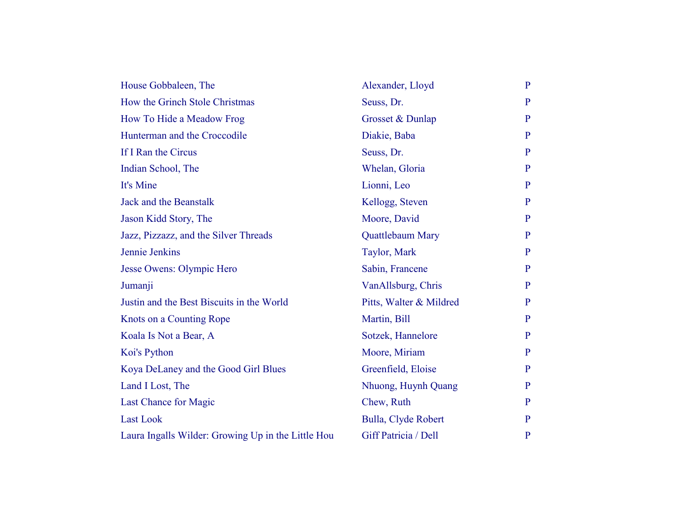| House Gobbaleen, The                               | Alexander, Lloyd        | $\mathbf{P}$ |
|----------------------------------------------------|-------------------------|--------------|
| How the Grinch Stole Christmas                     | Seuss, Dr.              | $\mathbf{P}$ |
| How To Hide a Meadow Frog                          | Grosset & Dunlap        | P            |
| Hunterman and the Croccodile                       | Diakie, Baba            | $\mathbf{P}$ |
| If I Ran the Circus                                | Seuss, Dr.              | $\mathbf{P}$ |
| Indian School, The                                 | Whelan, Gloria          | $\mathbf{P}$ |
| It's Mine                                          | Lionni, Leo             | $\mathbf{P}$ |
| Jack and the Beanstalk                             | Kellogg, Steven         | P            |
| Jason Kidd Story, The                              | Moore, David            | $\mathbf{P}$ |
| Jazz, Pizzazz, and the Silver Threads              | Quattlebaum Mary        | $\mathbf{P}$ |
| Jennie Jenkins                                     | Taylor, Mark            | P            |
| Jesse Owens: Olympic Hero                          | Sabin, Francene         | $\mathbf{P}$ |
| Jumanji                                            | VanAllsburg, Chris      | $\mathbf{P}$ |
| Justin and the Best Biscuits in the World          | Pitts, Walter & Mildred | $\mathbf{P}$ |
| Knots on a Counting Rope                           | Martin, Bill            | P            |
| Koala Is Not a Bear, A                             | Sotzek, Hannelore       | $\mathbf{P}$ |
| Koi's Python                                       | Moore, Miriam           | $\mathbf{P}$ |
| Koya DeLaney and the Good Girl Blues               | Greenfield, Eloise      | P            |
| Land I Lost, The                                   | Nhuong, Huynh Quang     | $\mathbf{P}$ |
| Last Chance for Magic                              | Chew, Ruth              | $\mathbf{P}$ |
| <b>Last Look</b>                                   | Bulla, Clyde Robert     | $\mathbf{P}$ |
| Laura Ingalls Wilder: Growing Up in the Little Hou | Giff Patricia / Dell    | $\mathbf{P}$ |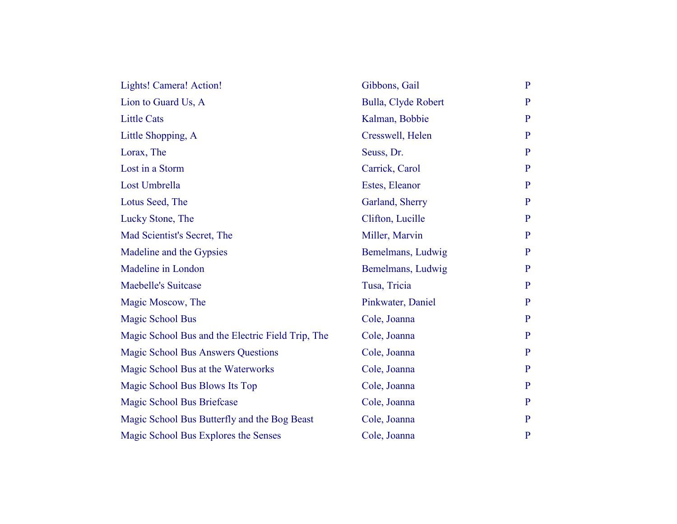| Lights! Camera! Action!                           | Gibbons, Gail       | $\mathbf{P}$   |
|---------------------------------------------------|---------------------|----------------|
| Lion to Guard Us, A                               | Bulla, Clyde Robert | $\mathbf{P}$   |
| <b>Little Cats</b>                                | Kalman, Bobbie      | $\mathbf{P}$   |
| Little Shopping, A                                | Cresswell, Helen    | $\mathbf{P}$   |
| Lorax, The                                        | Seuss, Dr.          | $\mathbf{P}$   |
| Lost in a Storm                                   | Carrick, Carol      | $\overline{P}$ |
| Lost Umbrella                                     | Estes, Eleanor      | $\mathbf{P}$   |
| Lotus Seed, The                                   | Garland, Sherry     | $\mathbf{P}$   |
| Lucky Stone, The                                  | Clifton, Lucille    | $\mathbf{P}$   |
| Mad Scientist's Secret, The                       | Miller, Marvin      | $\mathbf{P}$   |
| Madeline and the Gypsies                          | Bemelmans, Ludwig   | P              |
| Madeline in London                                | Bemelmans, Ludwig   | $\mathbf{P}$   |
| <b>Maebelle's Suitcase</b>                        | Tusa, Tricia        | $\mathbf{P}$   |
| Magic Moscow, The                                 | Pinkwater, Daniel   | $\mathbf{P}$   |
| <b>Magic School Bus</b>                           | Cole, Joanna        | $\mathbf{P}$   |
| Magic School Bus and the Electric Field Trip, The | Cole, Joanna        | $\mathbf{P}$   |
| <b>Magic School Bus Answers Questions</b>         | Cole, Joanna        | $\mathbf{P}$   |
| Magic School Bus at the Waterworks                | Cole, Joanna        | $\mathbf{P}$   |
| Magic School Bus Blows Its Top                    | Cole, Joanna        | $\mathbf{P}$   |
| Magic School Bus Briefcase                        | Cole, Joanna        | $\mathbf{P}$   |
| Magic School Bus Butterfly and the Bog Beast      | Cole, Joanna        | $\mathbf{P}$   |
| Magic School Bus Explores the Senses              | Cole, Joanna        | $\mathbf{P}$   |
|                                                   |                     |                |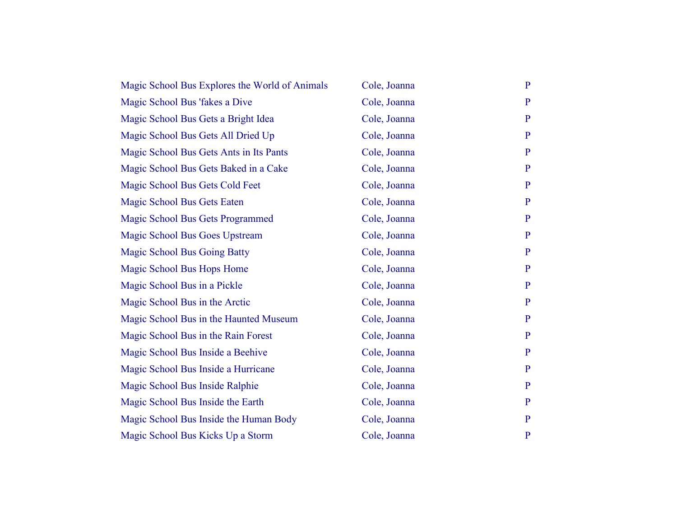| Magic School Bus Explores the World of Animals | Cole, Joanna | $\mathbf{P}$   |
|------------------------------------------------|--------------|----------------|
| Magic School Bus 'fakes a Dive                 | Cole, Joanna | $\mathbf{P}$   |
| Magic School Bus Gets a Bright Idea            | Cole, Joanna | $\mathbf{P}$   |
| Magic School Bus Gets All Dried Up             | Cole, Joanna | $\mathbf{P}$   |
| Magic School Bus Gets Ants in Its Pants        | Cole, Joanna | $\mathbf{P}$   |
| Magic School Bus Gets Baked in a Cake          | Cole, Joanna | $\overline{P}$ |
| Magic School Bus Gets Cold Feet                | Cole, Joanna | $\mathbf{P}$   |
| Magic School Bus Gets Eaten                    | Cole, Joanna | $\mathbf{P}$   |
| Magic School Bus Gets Programmed               | Cole, Joanna | $\mathbf{P}$   |
| Magic School Bus Goes Upstream                 | Cole, Joanna | $\mathbf{P}$   |
| <b>Magic School Bus Going Batty</b>            | Cole, Joanna | $\mathbf{P}$   |
| Magic School Bus Hops Home                     | Cole, Joanna | $\mathbf{P}$   |
| Magic School Bus in a Pickle                   | Cole, Joanna | $\mathbf{P}$   |
| Magic School Bus in the Arctic                 | Cole, Joanna | $\mathbf{P}$   |
| Magic School Bus in the Haunted Museum         | Cole, Joanna | $\mathbf{P}$   |
| Magic School Bus in the Rain Forest            | Cole, Joanna | $\mathbf{P}$   |
| Magic School Bus Inside a Beehive              | Cole, Joanna | $\mathbf{P}$   |
| Magic School Bus Inside a Hurricane            | Cole, Joanna | $\mathbf{P}$   |
| Magic School Bus Inside Ralphie                | Cole, Joanna | $\mathbf{P}$   |
| Magic School Bus Inside the Earth              | Cole, Joanna | $\mathbf{P}$   |
| Magic School Bus Inside the Human Body         | Cole, Joanna | $\mathbf{P}$   |
| Magic School Bus Kicks Up a Storm              | Cole, Joanna | $\mathbf{P}$   |
|                                                |              |                |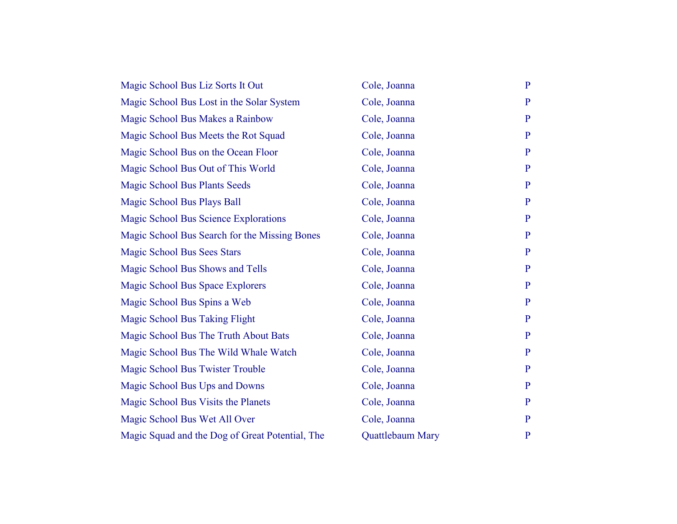| Magic School Bus Liz Sorts It Out               | Cole, Joanna            | $\mathbf{P}$   |
|-------------------------------------------------|-------------------------|----------------|
| Magic School Bus Lost in the Solar System       | Cole, Joanna            | $\mathbf{P}$   |
| Magic School Bus Makes a Rainbow                | Cole, Joanna            | $\overline{P}$ |
| Magic School Bus Meets the Rot Squad            | Cole, Joanna            | $\mathbf{P}$   |
| Magic School Bus on the Ocean Floor             | Cole, Joanna            | $\overline{P}$ |
| Magic School Bus Out of This World              | Cole, Joanna            | $\mathbf{P}$   |
| <b>Magic School Bus Plants Seeds</b>            | Cole, Joanna            | $\mathbf{P}$   |
| Magic School Bus Plays Ball                     | Cole, Joanna            | $\mathbf{P}$   |
| Magic School Bus Science Explorations           | Cole, Joanna            | $\mathbf{P}$   |
| Magic School Bus Search for the Missing Bones   | Cole, Joanna            | $\mathbf{P}$   |
| <b>Magic School Bus Sees Stars</b>              | Cole, Joanna            | $\mathbf{P}$   |
| Magic School Bus Shows and Tells                | Cole, Joanna            | $\mathbf{P}$   |
| Magic School Bus Space Explorers                | Cole, Joanna            | $\mathbf{P}$   |
| Magic School Bus Spins a Web                    | Cole, Joanna            | $\overline{P}$ |
| Magic School Bus Taking Flight                  | Cole, Joanna            | $\mathbf{P}$   |
| Magic School Bus The Truth About Bats           | Cole, Joanna            | $\mathbf{P}$   |
| Magic School Bus The Wild Whale Watch           | Cole, Joanna            | $\mathbf{P}$   |
| Magic School Bus Twister Trouble                | Cole, Joanna            | $\mathbf{P}$   |
| Magic School Bus Ups and Downs                  | Cole, Joanna            | $\mathbf{P}$   |
| Magic School Bus Visits the Planets             | Cole, Joanna            | $\mathbf{P}$   |
| Magic School Bus Wet All Over                   | Cole, Joanna            | $\mathbf{P}$   |
| Magic Squad and the Dog of Great Potential, The | <b>Quattlebaum Mary</b> | $\mathbf{P}$   |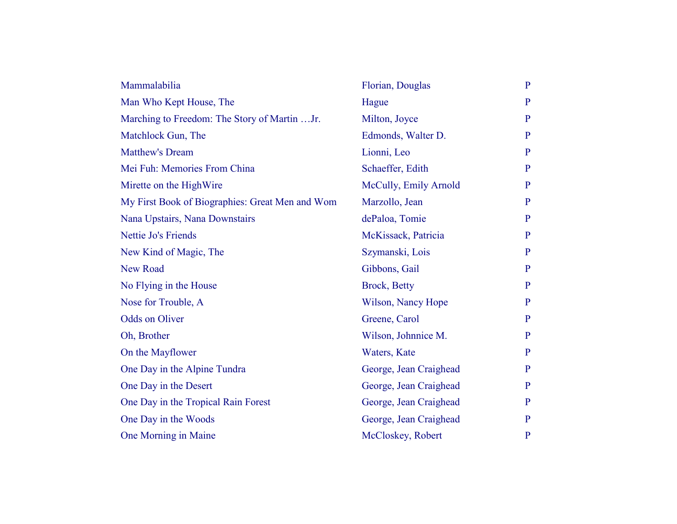| Mammalabilia                                    | Florian, Douglas       | $\mathbf{P}$ |
|-------------------------------------------------|------------------------|--------------|
| Man Who Kept House, The                         | Hague                  | $\mathbf{P}$ |
| Marching to Freedom: The Story of Martin Jr.    | Milton, Joyce          | $\mathbf{P}$ |
| Matchlock Gun, The                              | Edmonds, Walter D.     | $\mathbf{P}$ |
| <b>Matthew's Dream</b>                          | Lionni, Leo            | $\mathbf{P}$ |
| Mei Fuh: Memories From China                    | Schaeffer, Edith       | $\mathbf{P}$ |
| Mirette on the HighWire                         | McCully, Emily Arnold  | $\mathbf{P}$ |
| My First Book of Biographies: Great Men and Wom | Marzollo, Jean         | $\mathbf{P}$ |
| Nana Upstairs, Nana Downstairs                  | dePaloa, Tomie         | $\mathbf{P}$ |
| Nettie Jo's Friends                             | McKissack, Patricia    | $\mathbf{P}$ |
| New Kind of Magic, The                          | Szymanski, Lois        | $\mathbf{P}$ |
| <b>New Road</b>                                 | Gibbons, Gail          | $\mathbf{P}$ |
| No Flying in the House                          | Brock, Betty           | $\mathbf{P}$ |
| Nose for Trouble, A                             | Wilson, Nancy Hope     | $\mathbf{P}$ |
| <b>Odds on Oliver</b>                           | Greene, Carol          | $\mathbf{P}$ |
| Oh, Brother                                     | Wilson, Johnnice M.    | $\mathbf{P}$ |
| On the Mayflower                                | Waters, Kate           | $\mathbf{P}$ |
| One Day in the Alpine Tundra                    | George, Jean Craighead | $\mathbf{P}$ |
| One Day in the Desert                           | George, Jean Craighead | $\mathbf{P}$ |
| One Day in the Tropical Rain Forest             | George, Jean Craighead | $\mathbf{P}$ |
| One Day in the Woods                            | George, Jean Craighead | P            |
| One Morning in Maine                            | McCloskey, Robert      | $\mathbf{P}$ |
|                                                 |                        |              |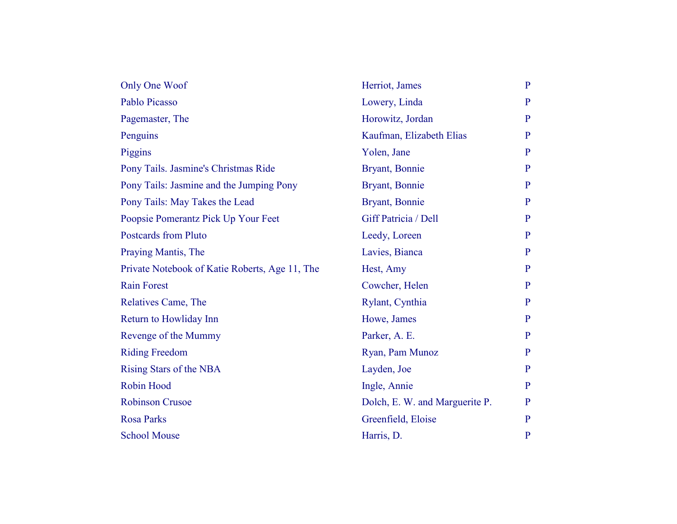| Only One Woof                                  | Herriot, James                 | $\mathbf{P}$ |
|------------------------------------------------|--------------------------------|--------------|
| Pablo Picasso                                  | Lowery, Linda                  | P            |
| Pagemaster, The                                | Horowitz, Jordan               | P            |
| Penguins                                       | Kaufman, Elizabeth Elias       | $\mathbf{P}$ |
| Piggins                                        | Yolen, Jane                    | $\mathbf{P}$ |
| Pony Tails. Jasmine's Christmas Ride           | Bryant, Bonnie                 | $\mathbf{P}$ |
| Pony Tails: Jasmine and the Jumping Pony       | Bryant, Bonnie                 | $\mathbf{P}$ |
| Pony Tails: May Takes the Lead                 | Bryant, Bonnie                 | $\mathbf{P}$ |
| Poopsie Pomerantz Pick Up Your Feet            | Giff Patricia / Dell           | $\mathbf{P}$ |
| <b>Postcards from Pluto</b>                    | Leedy, Loreen                  | $\mathbf{P}$ |
| Praying Mantis, The                            | Lavies, Bianca                 | $\mathbf{P}$ |
| Private Notebook of Katie Roberts, Age 11, The | Hest, Amy                      | $\mathbf{P}$ |
| <b>Rain Forest</b>                             | Cowcher, Helen                 | $\mathbf{P}$ |
| Relatives Came, The                            | Rylant, Cynthia                | $\mathbf{P}$ |
| Return to Howliday Inn                         | Howe, James                    | $\mathbf{P}$ |
| Revenge of the Mummy                           | Parker, A. E.                  | P            |
| <b>Riding Freedom</b>                          | Ryan, Pam Munoz                | $\mathbf{P}$ |
| Rising Stars of the NBA                        | Layden, Joe                    | P            |
| <b>Robin Hood</b>                              | Ingle, Annie                   | $\mathbf{P}$ |
| <b>Robinson Crusoe</b>                         | Dolch, E. W. and Marguerite P. | $\mathbf{P}$ |
| <b>Rosa Parks</b>                              | Greenfield, Eloise             | $\mathbf{P}$ |
| <b>School Mouse</b>                            | Harris, D.                     | $\mathbf{P}$ |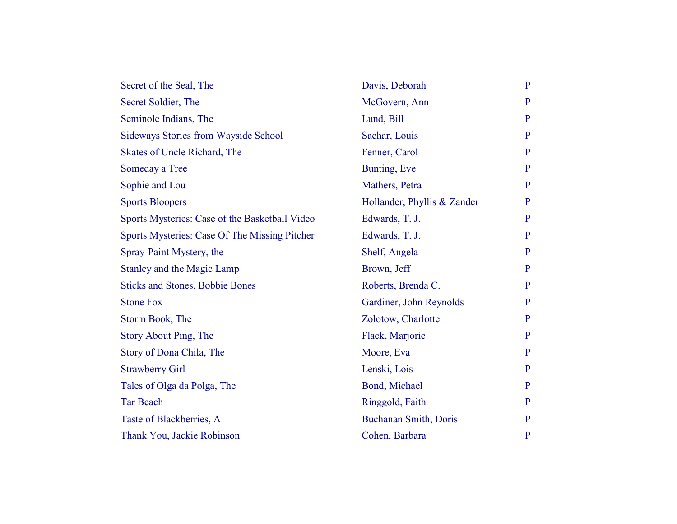| Secret of the Seal, The                        | Davis, Deborah              | $\mathbf{P}$   |
|------------------------------------------------|-----------------------------|----------------|
| Secret Soldier, The                            | McGovern, Ann               | $\mathbf{P}$   |
| Seminole Indians, The                          | Lund, Bill                  | $\mathbf{P}$   |
| <b>Sideways Stories from Wayside School</b>    | Sachar, Louis               | $\mathbf{P}$   |
| Skates of Uncle Richard, The                   | Fenner, Carol               | $\mathbf{P}$   |
| Someday a Tree                                 | Bunting, Eve                | $\mathbf{P}$   |
| Sophie and Lou                                 | Mathers, Petra              | $\mathbf{P}$   |
| <b>Sports Bloopers</b>                         | Hollander, Phyllis & Zander | $\mathbf{P}$   |
| Sports Mysteries: Case of the Basketball Video | Edwards, T. J.              | $\mathbf{P}$   |
| Sports Mysteries: Case Of The Missing Pitcher  | Edwards, T. J.              | $\overline{P}$ |
| Spray-Paint Mystery, the                       | Shelf, Angela               | $\mathbf{P}$   |
| <b>Stanley and the Magic Lamp</b>              | Brown, Jeff                 | $\mathbf{P}$   |
| <b>Sticks and Stones, Bobbie Bones</b>         | Roberts, Brenda C.          | $\mathbf{P}$   |
| <b>Stone Fox</b>                               | Gardiner, John Reynolds     | $\mathbf{P}$   |
| Storm Book, The                                | Zolotow, Charlotte          | $\mathbf{P}$   |
| <b>Story About Ping, The</b>                   | Flack, Marjorie             | $\mathbf{P}$   |
| Story of Dona Chila, The                       | Moore, Eva                  | $\mathbf{P}$   |
| <b>Strawberry Girl</b>                         | Lenski, Lois                | $\mathbf{P}$   |
| Tales of Olga da Polga, The                    | Bond, Michael               | $\mathbf{P}$   |
| <b>Tar Beach</b>                               | Ringgold, Faith             | $\mathbf{P}$   |
| Taste of Blackberries, A                       | Buchanan Smith, Doris       | $\mathbf{P}$   |
| Thank You, Jackie Robinson                     | Cohen, Barbara              | $\mathbf{P}$   |
|                                                |                             |                |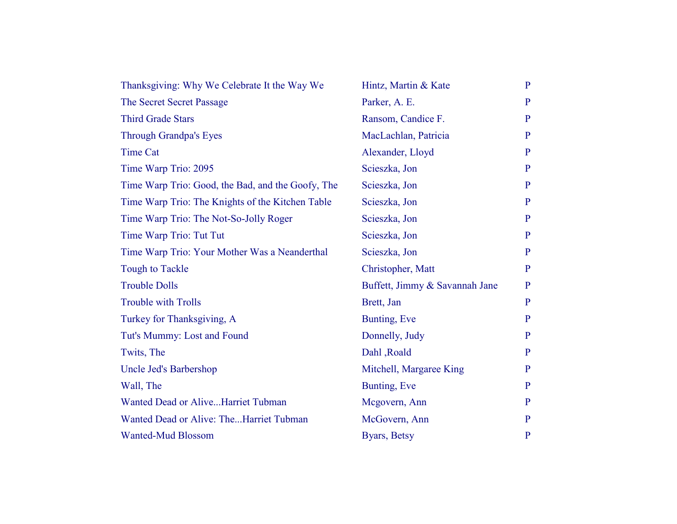| Thanksgiving: Why We Celebrate It the Way We      | Hintz, Martin & Kate           | $\mathbf{P}$ |
|---------------------------------------------------|--------------------------------|--------------|
| The Secret Secret Passage                         | Parker, A. E.                  | P            |
| <b>Third Grade Stars</b>                          | Ransom, Candice F.             | $\mathbf{P}$ |
| <b>Through Grandpa's Eyes</b>                     | MacLachlan, Patricia           | P            |
| <b>Time Cat</b>                                   | Alexander, Lloyd               | $\mathbf{P}$ |
| Time Warp Trio: 2095                              | Scieszka, Jon                  | P            |
| Time Warp Trio: Good, the Bad, and the Goofy, The | Scieszka, Jon                  | $\mathbf{P}$ |
| Time Warp Trio: The Knights of the Kitchen Table  | Scieszka, Jon                  | P            |
| Time Warp Trio: The Not-So-Jolly Roger            | Scieszka, Jon                  | $\mathbf{P}$ |
| Time Warp Trio: Tut Tut                           | Scieszka, Jon                  | $\mathbf{P}$ |
| Time Warp Trio: Your Mother Was a Neanderthal     | Scieszka, Jon                  | P            |
| <b>Tough to Tackle</b>                            | Christopher, Matt              | P            |
| <b>Trouble Dolls</b>                              | Buffett, Jimmy & Savannah Jane | $\mathbf{P}$ |
| <b>Trouble with Trolls</b>                        | Brett, Jan                     | $\mathbf{P}$ |
| Turkey for Thanksgiving, A                        | Bunting, Eve                   | $\mathbf{P}$ |
| Tut's Mummy: Lost and Found                       | Donnelly, Judy                 | P            |
| Twits, The                                        | Dahl, Roald                    | $\mathbf{P}$ |
| Uncle Jed's Barbershop                            | Mitchell, Margaree King        | P            |
| Wall, The                                         | Bunting, Eve                   | $\mathbf{P}$ |
| Wanted Dead or AliveHarriet Tubman                | Mcgovern, Ann                  | $\mathbf{P}$ |
| Wanted Dead or Alive: TheHarriet Tubman           | McGovern, Ann                  | $\mathbf{P}$ |
| <b>Wanted-Mud Blossom</b>                         | Byars, Betsy                   | $\mathbf{P}$ |
|                                                   |                                |              |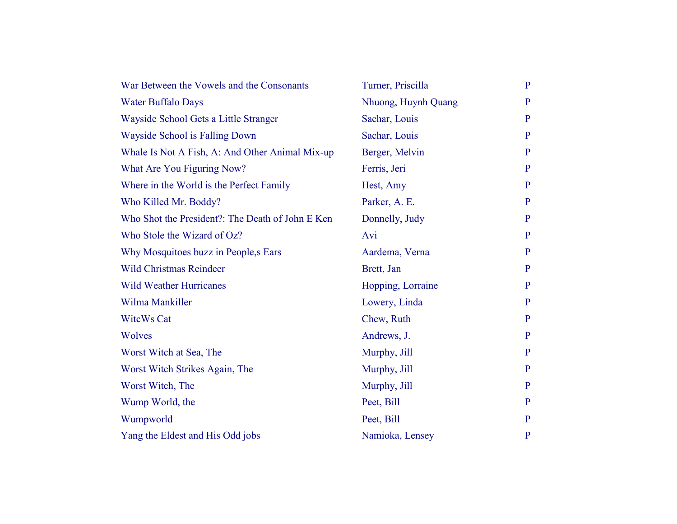| War Between the Vowels and the Consonants        | Turner, Priscilla   | $\mathbf{P}$ |
|--------------------------------------------------|---------------------|--------------|
| <b>Water Buffalo Days</b>                        | Nhuong, Huynh Quang | $\mathbf{P}$ |
| Wayside School Gets a Little Stranger            | Sachar, Louis       | $\mathbf{P}$ |
| Wayside School is Falling Down                   | Sachar, Louis       | P            |
| Whale Is Not A Fish, A: And Other Animal Mix-up  | Berger, Melvin      | $\mathbf{P}$ |
| What Are You Figuring Now?                       | Ferris, Jeri        | $\mathbf{P}$ |
| Where in the World is the Perfect Family         | Hest, Amy           | $\mathbf{P}$ |
| Who Killed Mr. Boddy?                            | Parker, A. E.       | $\mathbf{P}$ |
| Who Shot the President?: The Death of John E Ken | Donnelly, Judy      | $\mathbf{P}$ |
| Who Stole the Wizard of Oz?                      | Avi                 | $\mathbf{P}$ |
| Why Mosquitoes buzz in People, s Ears            | Aardema, Verna      | $\mathbf{P}$ |
| <b>Wild Christmas Reindeer</b>                   | Brett, Jan          | P            |
| <b>Wild Weather Hurricanes</b>                   | Hopping, Lorraine   | $\mathbf{P}$ |
| Wilma Mankiller                                  | Lowery, Linda       | P            |
| <b>WitcWs Cat</b>                                | Chew, Ruth          | $\mathbf{P}$ |
| Wolves                                           | Andrews, J.         | $\mathbf{P}$ |
| Worst Witch at Sea, The                          | Murphy, Jill        | P            |
| Worst Witch Strikes Again, The                   | Murphy, Jill        | P            |
| Worst Witch, The                                 | Murphy, Jill        | $\mathbf{P}$ |
| Wump World, the                                  | Peet, Bill          | P            |
| Wumpworld                                        | Peet, Bill          | $\mathbf{P}$ |
| Yang the Eldest and His Odd jobs                 | Namioka, Lensey     | $\mathbf{P}$ |
|                                                  |                     |              |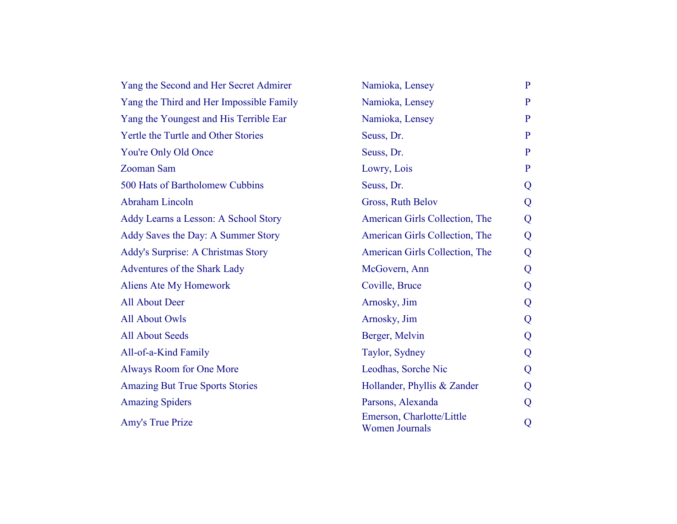| Yang the Second and Her Secret Admirer   | Namioka, Lensey                                    | $\mathbf{P}$ |
|------------------------------------------|----------------------------------------------------|--------------|
| Yang the Third and Her Impossible Family | Namioka, Lensey                                    | P            |
| Yang the Youngest and His Terrible Ear   | Namioka, Lensey                                    | $\mathbf{P}$ |
| Yertle the Turtle and Other Stories      | Seuss, Dr.                                         | $\mathbf{P}$ |
| You're Only Old Once                     | Seuss, Dr.                                         | $\mathbf{P}$ |
| <b>Zooman Sam</b>                        | Lowry, Lois                                        | $\mathbf{P}$ |
| 500 Hats of Bartholomew Cubbins          | Seuss, Dr.                                         | Q            |
| Abraham Lincoln                          | Gross, Ruth Belov                                  | Q            |
| Addy Learns a Lesson: A School Story     | American Girls Collection, The                     | Q            |
| Addy Saves the Day: A Summer Story       | American Girls Collection, The                     | Q            |
| Addy's Surprise: A Christmas Story       | American Girls Collection, The                     | Q            |
| Adventures of the Shark Lady             | McGovern, Ann                                      | Q            |
| Aliens Ate My Homework                   | Coville, Bruce                                     | Q            |
| <b>All About Deer</b>                    | Arnosky, Jim                                       | Q            |
| <b>All About Owls</b>                    | Arnosky, Jim                                       | Q            |
| <b>All About Seeds</b>                   | Berger, Melvin                                     | Q            |
| All-of-a-Kind Family                     | Taylor, Sydney                                     | Q            |
| Always Room for One More                 | Leodhas, Sorche Nic                                | Q            |
| <b>Amazing But True Sports Stories</b>   | Hollander, Phyllis & Zander                        | Q            |
| <b>Amazing Spiders</b>                   | Parsons, Alexanda                                  | Q            |
| Amy's True Prize                         | Emerson, Charlotte/Little<br><b>Women Journals</b> | Q            |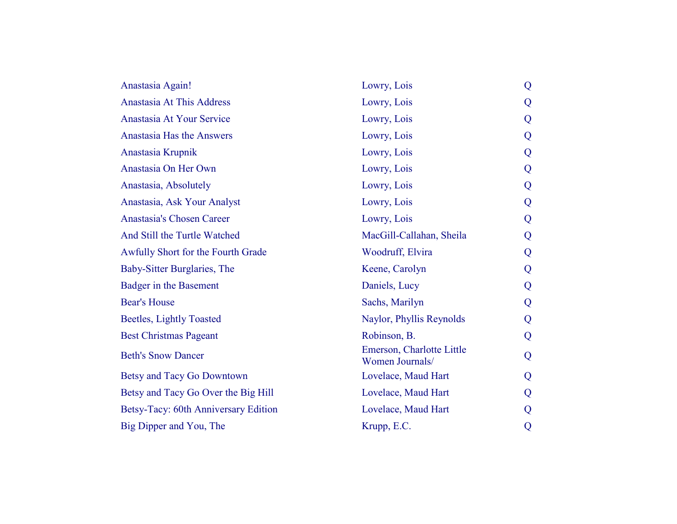| Anastasia Again!                     | Lowry, Lois                                  | Q |
|--------------------------------------|----------------------------------------------|---|
| Anastasia At This Address            | Lowry, Lois                                  | Q |
| Anastasia At Your Service            | Lowry, Lois                                  | Q |
| Anastasia Has the Answers            | Lowry, Lois                                  | Q |
| Anastasia Krupnik                    | Lowry, Lois                                  | Q |
| Anastasia On Her Own                 | Lowry, Lois                                  | Q |
| Anastasia, Absolutely                | Lowry, Lois                                  | Q |
| Anastasia, Ask Your Analyst          | Lowry, Lois                                  | Q |
| Anastasia's Chosen Career            | Lowry, Lois                                  | Q |
| And Still the Turtle Watched         | MacGill-Callahan, Sheila                     | Q |
| Awfully Short for the Fourth Grade   | Woodruff, Elvira                             | Q |
| Baby-Sitter Burglaries, The          | Keene, Carolyn                               | Q |
| Badger in the Basement               | Daniels, Lucy                                | Q |
| <b>Bear's House</b>                  | Sachs, Marilyn                               | Q |
| <b>Beetles, Lightly Toasted</b>      | Naylor, Phyllis Reynolds                     | Q |
| <b>Best Christmas Pageant</b>        | Robinson, B.                                 | Q |
| <b>Beth's Snow Dancer</b>            | Emerson, Charlotte Little<br>Women Journals/ | Q |
| Betsy and Tacy Go Downtown           | Lovelace, Maud Hart                          | Q |
| Betsy and Tacy Go Over the Big Hill  | Lovelace, Maud Hart                          | Q |
| Betsy-Tacy: 60th Anniversary Edition | Lovelace, Maud Hart                          | Q |
| Big Dipper and You, The              | Krupp, E.C.                                  | Q |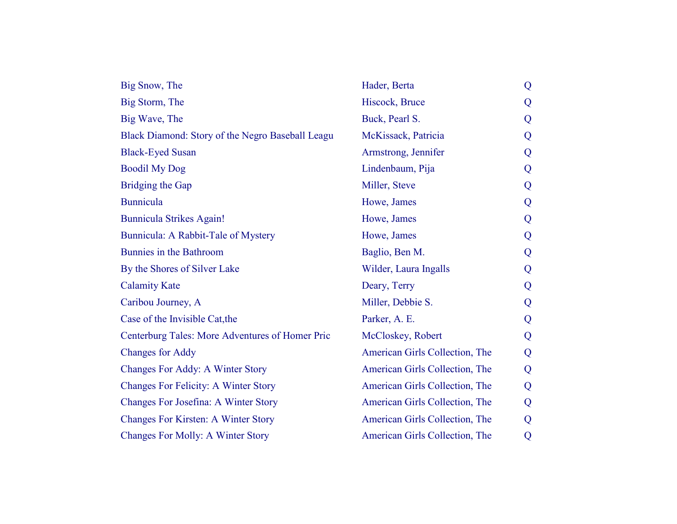| Big Snow, The                                    | Hader, Berta                   | Q |
|--------------------------------------------------|--------------------------------|---|
| Big Storm, The                                   | Hiscock, Bruce                 | Q |
| Big Wave, The                                    | Buck, Pearl S.                 | Q |
| Black Diamond: Story of the Negro Baseball Leagu | McKissack, Patricia            | Q |
| <b>Black-Eyed Susan</b>                          | Armstrong, Jennifer            | Q |
| <b>Boodil My Dog</b>                             | Lindenbaum, Pija               | Q |
| <b>Bridging the Gap</b>                          | Miller, Steve                  | Q |
| <b>Bunnicula</b>                                 | Howe, James                    | Q |
| <b>Bunnicula Strikes Again!</b>                  | Howe, James                    | Q |
| Bunnicula: A Rabbit-Tale of Mystery              | Howe, James                    | Q |
| Bunnies in the Bathroom                          | Baglio, Ben M.                 | Q |
| By the Shores of Silver Lake                     | Wilder, Laura Ingalls          | Q |
| <b>Calamity Kate</b>                             | Deary, Terry                   | Q |
| Caribou Journey, A                               | Miller, Debbie S.              | Q |
| Case of the Invisible Cat, the                   | Parker, A. E.                  | Q |
| Centerburg Tales: More Adventures of Homer Pric  | McCloskey, Robert              | Q |
| <b>Changes for Addy</b>                          | American Girls Collection, The | Q |
| <b>Changes For Addy: A Winter Story</b>          | American Girls Collection, The | Q |
| <b>Changes For Felicity: A Winter Story</b>      | American Girls Collection, The | Q |
| Changes For Josefina: A Winter Story             | American Girls Collection, The | Q |
| <b>Changes For Kirsten: A Winter Story</b>       | American Girls Collection, The | Q |
| <b>Changes For Molly: A Winter Story</b>         | American Girls Collection, The | Q |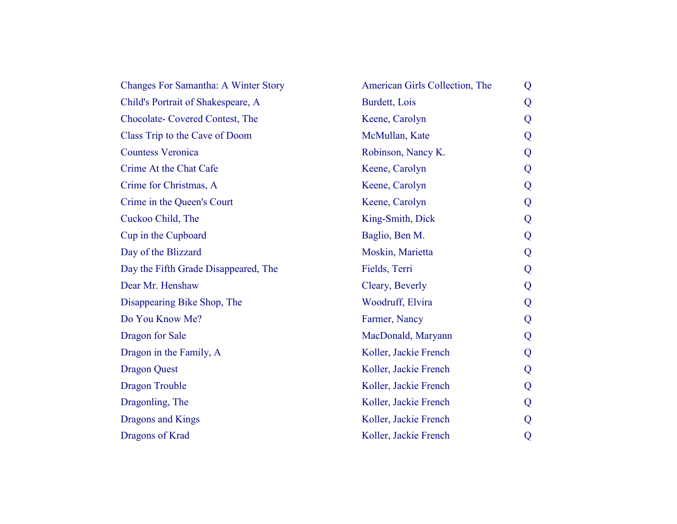| <b>Changes For Samantha: A Winter Story</b> | American Girls Collection, The | Q |
|---------------------------------------------|--------------------------------|---|
| Child's Portrait of Shakespeare, A          | Burdett, Lois                  | Q |
| Chocolate-Covered Contest, The              | Keene, Carolyn                 | Q |
| Class Trip to the Cave of Doom              | McMullan, Kate                 | Q |
| <b>Countess Veronica</b>                    | Robinson, Nancy K.             | Q |
| Crime At the Chat Cafe                      | Keene, Carolyn                 | Q |
| Crime for Christmas, A                      | Keene, Carolyn                 | Q |
| Crime in the Queen's Court                  | Keene, Carolyn                 | Q |
| Cuckoo Child, The                           | King-Smith, Dick               | Q |
| Cup in the Cupboard                         | Baglio, Ben M.                 | Q |
| Day of the Blizzard                         | Moskin, Marietta               | Q |
| Day the Fifth Grade Disappeared, The        | Fields, Terri                  | Q |
| Dear Mr. Henshaw                            | Cleary, Beverly                | Q |
| Disappearing Bike Shop, The                 | Woodruff, Elvira               | Q |
| Do You Know Me?                             | Farmer, Nancy                  | Q |
| Dragon for Sale                             | MacDonald, Maryann             | Q |
| Dragon in the Family, A                     | Koller, Jackie French          | Q |
| <b>Dragon Quest</b>                         | Koller, Jackie French          | Q |
| <b>Dragon Trouble</b>                       | Koller, Jackie French          | Q |
| Dragonling, The                             | Koller, Jackie French          | Q |
| Dragons and Kings                           | Koller, Jackie French          | Q |
| Dragons of Krad                             | Koller, Jackie French          | Q |
|                                             |                                |   |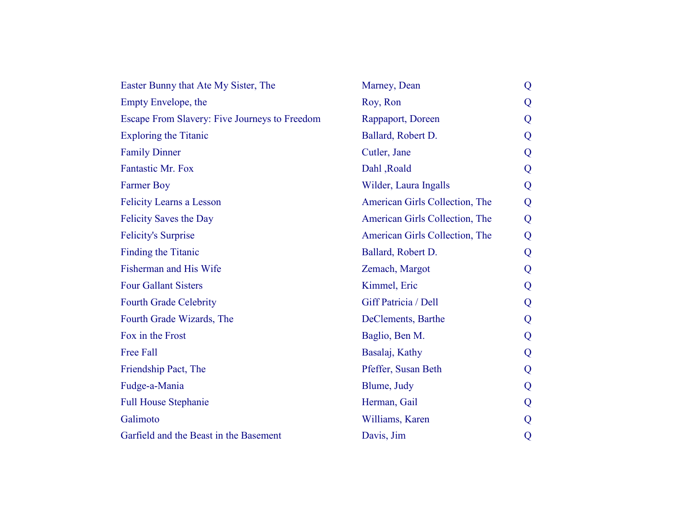| Easter Bunny that Ate My Sister, The          | Marney, Dean                   | Q |
|-----------------------------------------------|--------------------------------|---|
| Empty Envelope, the                           | Roy, Ron                       | Q |
| Escape From Slavery: Five Journeys to Freedom | Rappaport, Doreen              | Q |
| <b>Exploring the Titanic</b>                  | Ballard, Robert D.             | Q |
| <b>Family Dinner</b>                          | Cutler, Jane                   | Q |
| Fantastic Mr. Fox                             | Dahl, Roald                    | Q |
| <b>Farmer Boy</b>                             | Wilder, Laura Ingalls          | Q |
| <b>Felicity Learns a Lesson</b>               | American Girls Collection, The | Q |
| <b>Felicity Saves the Day</b>                 | American Girls Collection, The | Q |
| <b>Felicity's Surprise</b>                    | American Girls Collection, The | Q |
| Finding the Titanic                           | Ballard, Robert D.             | Q |
| Fisherman and His Wife                        | Zemach, Margot                 | Q |
| <b>Four Gallant Sisters</b>                   | Kimmel, Eric                   | Q |
| <b>Fourth Grade Celebrity</b>                 | Giff Patricia / Dell           | Q |
| Fourth Grade Wizards, The                     | DeClements, Barthe             | Q |
| Fox in the Frost                              | Baglio, Ben M.                 | Q |
| <b>Free Fall</b>                              | Basalaj, Kathy                 | Q |
| Friendship Pact, The                          | Pfeffer, Susan Beth            | Q |
| Fudge-a-Mania                                 | Blume, Judy                    | Q |
| <b>Full House Stephanie</b>                   | Herman, Gail                   | Q |
| Galimoto                                      | Williams, Karen                | Q |
| Garfield and the Beast in the Basement        | Davis, Jim                     | Q |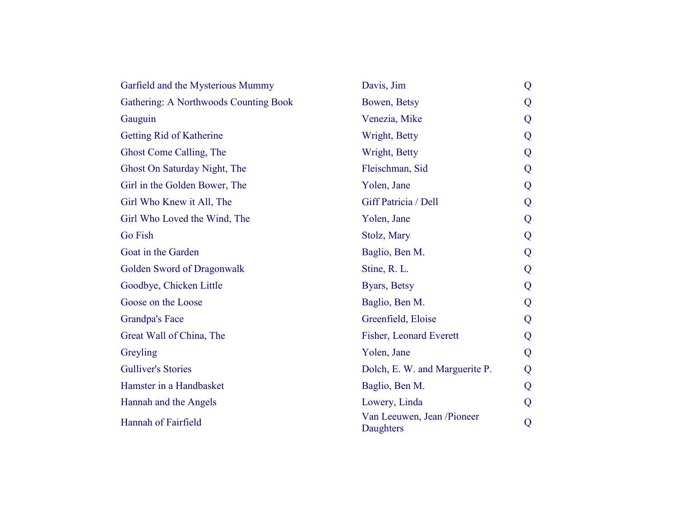| Garfield and the Mysterious Mummy            | Davis, Jim                              | Q |
|----------------------------------------------|-----------------------------------------|---|
| <b>Gathering: A Northwoods Counting Book</b> | Bowen, Betsy                            | Q |
| Gauguin                                      | Venezia, Mike                           | Q |
| Getting Rid of Katherine                     | Wright, Betty                           | Q |
| Ghost Come Calling, The                      | Wright, Betty                           | Q |
| Ghost On Saturday Night, The                 | Fleischman, Sid                         | Q |
| Girl in the Golden Bower, The                | Yolen, Jane                             | Q |
| Girl Who Knew it All, The                    | Giff Patricia / Dell                    | Q |
| Girl Who Loved the Wind, The                 | Yolen, Jane                             | Q |
| <b>Go Fish</b>                               | Stolz, Mary                             | Q |
| Goat in the Garden                           | Baglio, Ben M.                          | Q |
| Golden Sword of Dragonwalk                   | Stine, R. L.                            | Q |
| Goodbye, Chicken Little                      | Byars, Betsy                            | Q |
| Goose on the Loose                           | Baglio, Ben M.                          | Q |
| <b>Grandpa's Face</b>                        | Greenfield, Eloise                      | Q |
| Great Wall of China, The                     | Fisher, Leonard Everett                 | Q |
| Greyling                                     | Yolen, Jane                             | Q |
| <b>Gulliver's Stories</b>                    | Dolch, E. W. and Marguerite P.          | Q |
| Hamster in a Handbasket                      | Baglio, Ben M.                          | Q |
| Hannah and the Angels                        | Lowery, Linda                           | Q |
| Hannah of Fairfield                          | Van Leeuwen, Jean /Pioneer<br>Daughters | Q |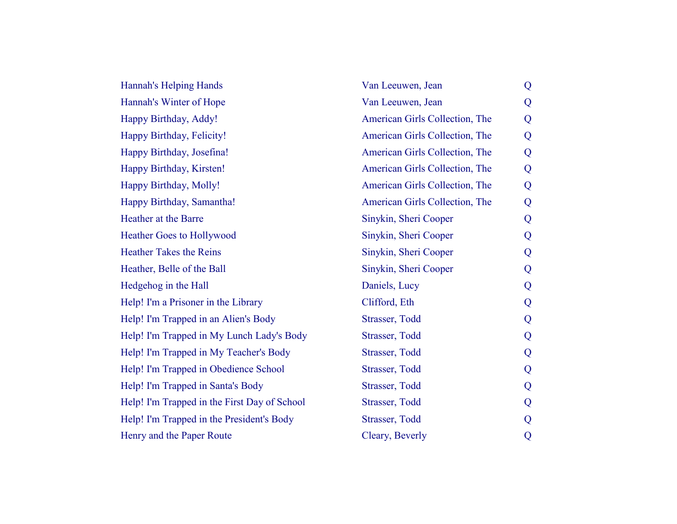| Hannah's Helping Hands                       | Van Leeuwen, Jean              | Q |
|----------------------------------------------|--------------------------------|---|
| Hannah's Winter of Hope                      | Van Leeuwen, Jean              | Q |
| Happy Birthday, Addy!                        | American Girls Collection, The | Q |
| Happy Birthday, Felicity!                    | American Girls Collection, The | Q |
| Happy Birthday, Josefina!                    | American Girls Collection, The | Q |
| Happy Birthday, Kirsten!                     | American Girls Collection, The | Q |
| Happy Birthday, Molly!                       | American Girls Collection, The | Q |
| Happy Birthday, Samantha!                    | American Girls Collection, The | Q |
| Heather at the Barre                         | Sinykin, Sheri Cooper          | Q |
| <b>Heather Goes to Hollywood</b>             | Sinykin, Sheri Cooper          | Q |
| <b>Heather Takes the Reins</b>               | Sinykin, Sheri Cooper          | Q |
| Heather, Belle of the Ball                   | Sinykin, Sheri Cooper          | Q |
| Hedgehog in the Hall                         | Daniels, Lucy                  | Q |
| Help! I'm a Prisoner in the Library          | Clifford, Eth                  | Q |
| Help! I'm Trapped in an Alien's Body         | Strasser, Todd                 | Q |
| Help! I'm Trapped in My Lunch Lady's Body    | Strasser, Todd                 | Q |
| Help! I'm Trapped in My Teacher's Body       | Strasser, Todd                 | Q |
| Help! I'm Trapped in Obedience School        | Strasser, Todd                 | Q |
| Help! I'm Trapped in Santa's Body            | Strasser, Todd                 | Q |
| Help! I'm Trapped in the First Day of School | Strasser, Todd                 | Q |
| Help! I'm Trapped in the President's Body    | Strasser, Todd                 | Q |
| Henry and the Paper Route                    | Cleary, Beverly                | Q |
|                                              |                                |   |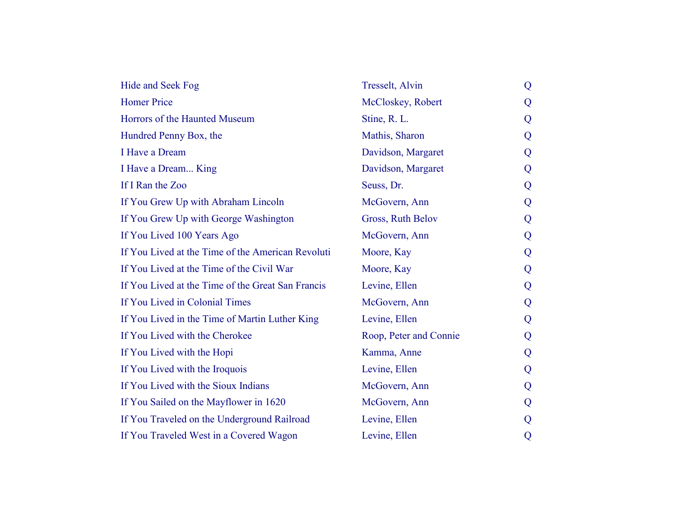| Hide and Seek Fog                                 | <b>Tresselt</b> , Alvin | Q |
|---------------------------------------------------|-------------------------|---|
| <b>Homer Price</b>                                | McCloskey, Robert       | Q |
| Horrors of the Haunted Museum                     | Stine, R. L.            | Q |
| Hundred Penny Box, the                            | Mathis, Sharon          | Q |
| I Have a Dream                                    | Davidson, Margaret      | Q |
| I Have a Dream King                               | Davidson, Margaret      | Q |
| If I Ran the Zoo                                  | Seuss, Dr.              | Q |
| If You Grew Up with Abraham Lincoln               | McGovern, Ann           | Q |
| If You Grew Up with George Washington             | Gross, Ruth Belov       | Q |
| If You Lived 100 Years Ago                        | McGovern, Ann           | Q |
| If You Lived at the Time of the American Revoluti | Moore, Kay              | Q |
| If You Lived at the Time of the Civil War         | Moore, Kay              | Q |
| If You Lived at the Time of the Great San Francis | Levine, Ellen           | Q |
| If You Lived in Colonial Times                    | McGovern, Ann           | Q |
| If You Lived in the Time of Martin Luther King    | Levine, Ellen           | Q |
| If You Lived with the Cherokee                    | Roop, Peter and Connie  | Q |
| If You Lived with the Hopi                        | Kamma, Anne             | Q |
| If You Lived with the Iroquois                    | Levine, Ellen           | Q |
| If You Lived with the Sioux Indians               | McGovern, Ann           | Q |
| If You Sailed on the Mayflower in 1620            | McGovern, Ann           | Q |
| If You Traveled on the Underground Railroad       | Levine, Ellen           | Q |
| If You Traveled West in a Covered Wagon           | Levine, Ellen           | Q |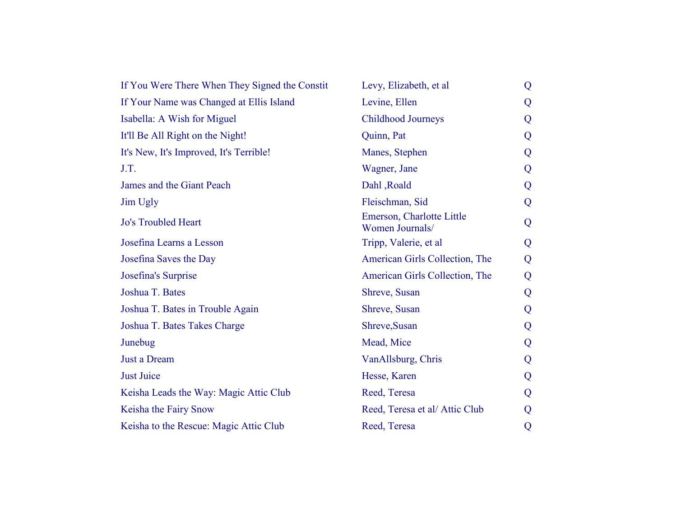| If You Were There When They Signed the Constit | Levy, Elizabeth, et al.                      | Q |
|------------------------------------------------|----------------------------------------------|---|
| If Your Name was Changed at Ellis Island       | Levine, Ellen                                | Q |
| Isabella: A Wish for Miguel                    | Childhood Journeys                           | Q |
| It'll Be All Right on the Night!               | Quinn, Pat                                   | Q |
| It's New, It's Improved, It's Terrible!        | Manes, Stephen                               | Q |
| J.T.                                           | Wagner, Jane                                 | Q |
| James and the Giant Peach                      | Dahl, Roald                                  | Q |
| Jim Ugly                                       | Fleischman, Sid                              | Q |
| <b>Jo's Troubled Heart</b>                     | Emerson, Charlotte Little<br>Women Journals/ | Q |
| Josefina Learns a Lesson                       | Tripp, Valerie, et al                        | Q |
| Josefina Saves the Day                         | American Girls Collection, The               | Q |
| Josefina's Surprise                            | American Girls Collection, The               | Q |
| Joshua T. Bates                                | Shreve, Susan                                | Q |
| Joshua T. Bates in Trouble Again               | Shreve, Susan                                | Q |
| Joshua T. Bates Takes Charge                   | Shreve, Susan                                | Q |
| Junebug                                        | Mead, Mice                                   | Q |
| Just a Dream                                   | VanAllsburg, Chris                           | Q |
| <b>Just Juice</b>                              | Hesse, Karen                                 | Q |
| Keisha Leads the Way: Magic Attic Club         | Reed, Teresa                                 | Q |
| Keisha the Fairy Snow                          | Reed, Teresa et al/ Attic Club               | Q |
| Keisha to the Rescue: Magic Attic Club         | Reed, Teresa                                 | Q |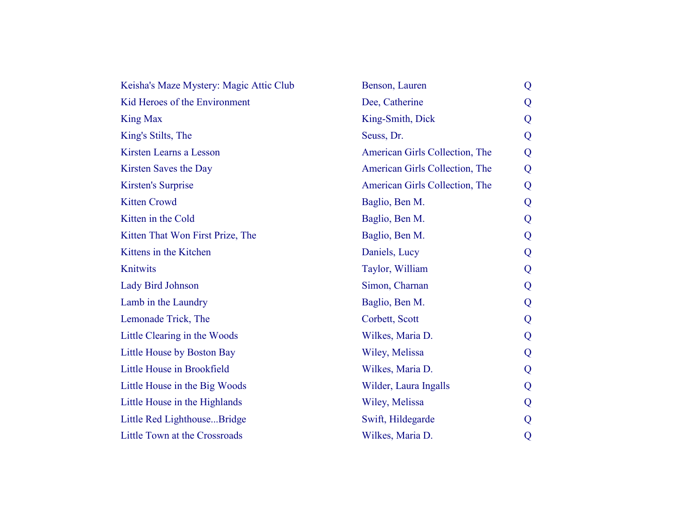| Keisha's Maze Mystery: Magic Attic Club | Benson, Lauren                 | Q |
|-----------------------------------------|--------------------------------|---|
| Kid Heroes of the Environment           | Dee, Catherine                 | Q |
| <b>King Max</b>                         | King-Smith, Dick               | Q |
| King's Stilts, The                      | Seuss, Dr.                     | Q |
| Kirsten Learns a Lesson                 | American Girls Collection, The | Q |
| Kirsten Saves the Day                   | American Girls Collection, The | Q |
| <b>Kirsten's Surprise</b>               | American Girls Collection, The | Q |
| <b>Kitten Crowd</b>                     | Baglio, Ben M.                 | Q |
| Kitten in the Cold                      | Baglio, Ben M.                 | Q |
| Kitten That Won First Prize, The        | Baglio, Ben M.                 | Q |
| Kittens in the Kitchen                  | Daniels, Lucy                  | Q |
| Knitwits                                | Taylor, William                | Q |
| <b>Lady Bird Johnson</b>                | Simon, Charnan                 | Q |
| Lamb in the Laundry                     | Baglio, Ben M.                 | Q |
| Lemonade Trick, The                     | Corbett, Scott                 | Q |
| Little Clearing in the Woods            | Wilkes, Maria D.               | Q |
| Little House by Boston Bay              | Wiley, Melissa                 | Q |
| Little House in Brookfield              | Wilkes, Maria D.               | Q |
| Little House in the Big Woods           | Wilder, Laura Ingalls          | Q |
| Little House in the Highlands           | Wiley, Melissa                 | Q |
| Little Red LighthouseBridge             | Swift, Hildegarde              | Q |
| Little Town at the Crossroads           | Wilkes, Maria D.               | Q |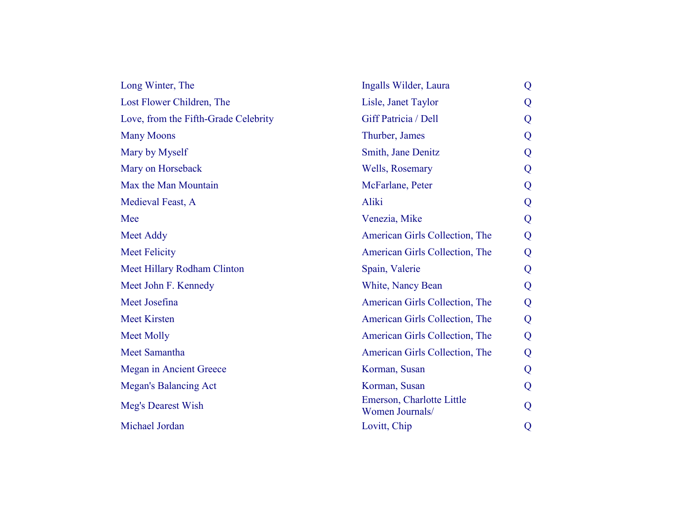| Long Winter, The                     | Ingalls Wilder, Laura                        | Q |
|--------------------------------------|----------------------------------------------|---|
| Lost Flower Children, The            | Lisle, Janet Taylor                          | Q |
| Love, from the Fifth-Grade Celebrity | Giff Patricia / Dell                         | Q |
| <b>Many Moons</b>                    | Thurber, James                               | Q |
| Mary by Myself                       | Smith, Jane Denitz                           | Q |
| Mary on Horseback                    | Wells, Rosemary                              | Q |
| Max the Man Mountain                 | McFarlane, Peter                             | Q |
| Medieval Feast, A                    | Aliki                                        | Q |
| Mee                                  | Venezia, Mike                                | Q |
| Meet Addy                            | American Girls Collection, The               | Q |
| <b>Meet Felicity</b>                 | American Girls Collection, The               | Q |
| Meet Hillary Rodham Clinton          | Spain, Valerie                               | Q |
| Meet John F. Kennedy                 | White, Nancy Bean                            | Q |
| Meet Josefina                        | American Girls Collection, The               | Q |
| <b>Meet Kirsten</b>                  | American Girls Collection, The               | Q |
| <b>Meet Molly</b>                    | American Girls Collection, The               | Q |
| Meet Samantha                        | American Girls Collection, The               | Q |
| <b>Megan</b> in Ancient Greece       | Korman, Susan                                | Q |
| <b>Megan's Balancing Act</b>         | Korman, Susan                                | Q |
| Meg's Dearest Wish                   | Emerson, Charlotte Little<br>Women Journals/ | Q |
| Michael Jordan                       | Lovitt, Chip                                 | Q |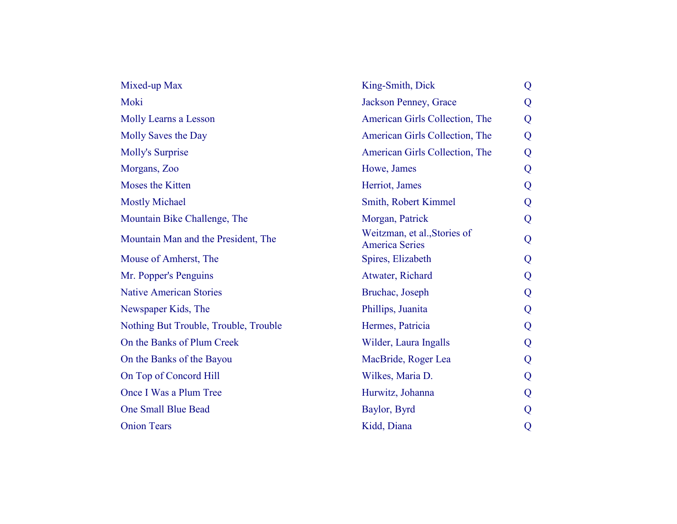| Mixed-up Max                          | King-Smith, Dick                                      | Q |
|---------------------------------------|-------------------------------------------------------|---|
| Moki                                  | Jackson Penney, Grace                                 | Q |
| Molly Learns a Lesson                 | American Girls Collection, The                        | Q |
| Molly Saves the Day                   | American Girls Collection, The                        | Q |
| <b>Molly's Surprise</b>               | American Girls Collection, The                        | Q |
| Morgans, Zoo                          | Howe, James                                           | Q |
| Moses the Kitten                      | Herriot, James                                        | Q |
| <b>Mostly Michael</b>                 | Smith, Robert Kimmel                                  | Q |
| Mountain Bike Challenge, The          | Morgan, Patrick                                       | Q |
| Mountain Man and the President, The   | Weitzman, et al., Stories of<br><b>America Series</b> | Q |
| Mouse of Amherst, The                 | Spires, Elizabeth                                     | Q |
| Mr. Popper's Penguins                 | Atwater, Richard                                      | Q |
| <b>Native American Stories</b>        | Bruchac, Joseph                                       | Q |
| Newspaper Kids, The                   | Phillips, Juanita                                     | Q |
| Nothing But Trouble, Trouble, Trouble | Hermes, Patricia                                      | Q |
| On the Banks of Plum Creek            | Wilder, Laura Ingalls                                 | Q |
| On the Banks of the Bayou             | MacBride, Roger Lea                                   | Q |
| On Top of Concord Hill                | Wilkes, Maria D.                                      | Q |
| Once I Was a Plum Tree                | Hurwitz, Johanna                                      | Q |
| One Small Blue Bead                   | Baylor, Byrd                                          | Q |
| <b>Onion Tears</b>                    | Kidd, Diana                                           | Q |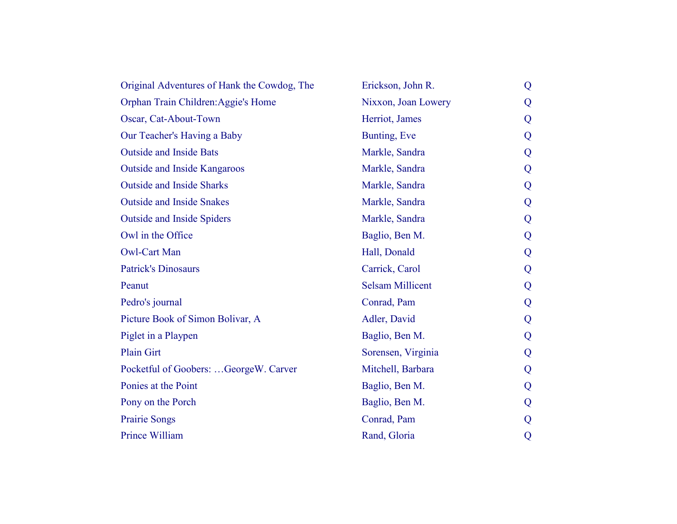| Original Adventures of Hank the Cowdog, The | Erickson, John R.       | Q |  |
|---------------------------------------------|-------------------------|---|--|
| Orphan Train Children: Aggie's Home         | Nixxon, Joan Lowery     | Q |  |
| Oscar, Cat-About-Town                       | Herriot, James          | Q |  |
| Our Teacher's Having a Baby                 | Bunting, Eve            | Q |  |
| <b>Outside and Inside Bats</b>              | Markle, Sandra          | Q |  |
| <b>Outside and Inside Kangaroos</b>         | Markle, Sandra          | Q |  |
| <b>Outside and Inside Sharks</b>            | Markle, Sandra          | Q |  |
| <b>Outside and Inside Snakes</b>            | Markle, Sandra          | Q |  |
| <b>Outside and Inside Spiders</b>           | Markle, Sandra          | Q |  |
| Owl in the Office                           | Baglio, Ben M.          | Q |  |
| <b>Owl-Cart Man</b>                         | Hall, Donald            | Q |  |
| <b>Patrick's Dinosaurs</b>                  | Carrick, Carol          | Q |  |
| Peanut                                      | <b>Selsam Millicent</b> | Q |  |
| Pedro's journal                             | Conrad, Pam             | Q |  |
| Picture Book of Simon Bolivar, A            | Adler, David            | Q |  |
| Piglet in a Playpen                         | Baglio, Ben M.          | Q |  |
| <b>Plain Girt</b>                           | Sorensen, Virginia      | Q |  |
| Pocketful of Goobers: GeorgeW. Carver       | Mitchell, Barbara       | Q |  |
| Ponies at the Point                         | Baglio, Ben M.          | Q |  |
| Pony on the Porch                           | Baglio, Ben M.          | Q |  |
| <b>Prairie Songs</b>                        | Conrad, Pam             | Q |  |
| Prince William                              | Rand, Gloria            | Q |  |
|                                             |                         |   |  |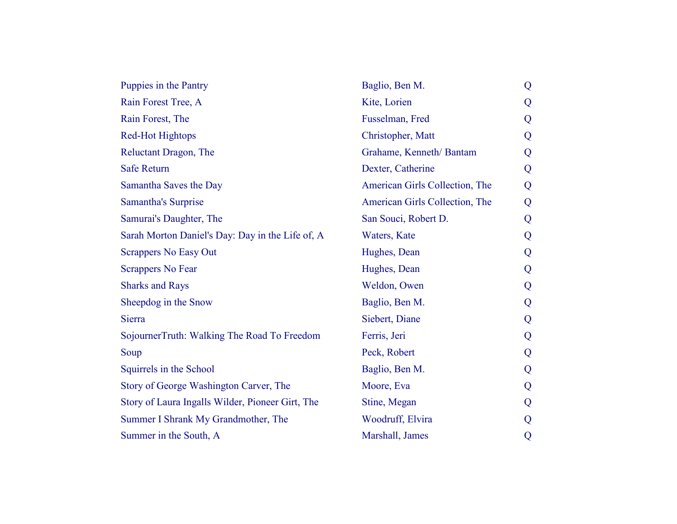| Puppies in the Pantry                            | Baglio, Ben M.                 | Q |
|--------------------------------------------------|--------------------------------|---|
| Rain Forest Tree, A                              | Kite, Lorien                   | Q |
| Rain Forest, The                                 | Fusselman, Fred                | Q |
| <b>Red-Hot Hightops</b>                          | Christopher, Matt              | Q |
| Reluctant Dragon, The                            | Grahame, Kenneth/Bantam        | Q |
| <b>Safe Return</b>                               | Dexter, Catherine              | Q |
| Samantha Saves the Day                           | American Girls Collection, The | Q |
| <b>Samantha's Surprise</b>                       | American Girls Collection, The | Q |
| Samurai's Daughter, The                          | San Souci, Robert D.           | Q |
| Sarah Morton Daniel's Day: Day in the Life of, A | Waters, Kate                   | Q |
| <b>Scrappers No Easy Out</b>                     | Hughes, Dean                   | Q |
| <b>Scrappers No Fear</b>                         | Hughes, Dean                   | Q |
| <b>Sharks and Rays</b>                           | Weldon, Owen                   | Q |
| Sheepdog in the Snow                             | Baglio, Ben M.                 | Q |
| Sierra                                           | Siebert, Diane                 | Q |
| SojournerTruth: Walking The Road To Freedom      | Ferris, Jeri                   | Q |
| Soup                                             | Peck, Robert                   | Q |
| Squirrels in the School                          | Baglio, Ben M.                 | Q |
| Story of George Washington Carver, The           | Moore, Eva                     | Q |
| Story of Laura Ingalls Wilder, Pioneer Girt, The | Stine, Megan                   | Q |
| Summer I Shrank My Grandmother, The              | Woodruff, Elvira               | Q |
| Summer in the South, A                           | Marshall, James                | Q |
|                                                  |                                |   |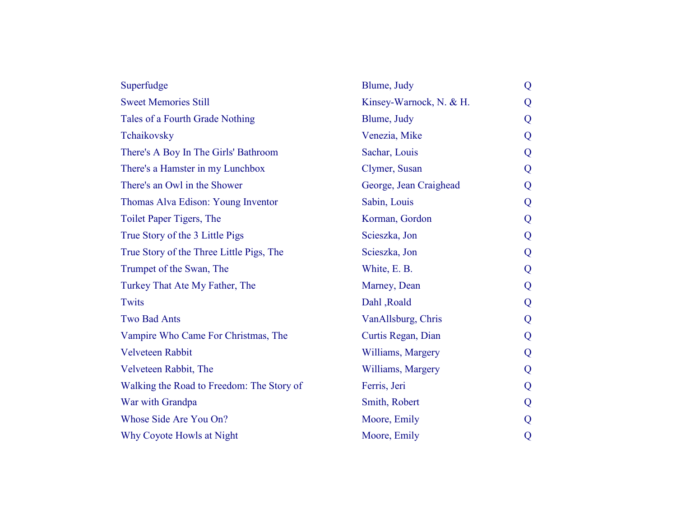| Superfudge                                | Blume, Judy             | Q |
|-------------------------------------------|-------------------------|---|
| <b>Sweet Memories Still</b>               | Kinsey-Warnock, N. & H. | Q |
| Tales of a Fourth Grade Nothing           | Blume, Judy             | Q |
| Tchaikovsky                               | Venezia, Mike           | Q |
| There's A Boy In The Girls' Bathroom      | Sachar, Louis           | Q |
| There's a Hamster in my Lunchbox          | Clymer, Susan           | Q |
| There's an Owl in the Shower              | George, Jean Craighead  | Q |
| Thomas Alva Edison: Young Inventor        | Sabin, Louis            | Q |
| Toilet Paper Tigers, The                  | Korman, Gordon          | Q |
| True Story of the 3 Little Pigs           | Scieszka, Jon           | Q |
| True Story of the Three Little Pigs, The  | Scieszka, Jon           | Q |
| Trumpet of the Swan, The                  | White, E. B.            | Q |
| Turkey That Ate My Father, The            | Marney, Dean            | Q |
| <b>Twits</b>                              | Dahl, Roald             | Q |
| <b>Two Bad Ants</b>                       | VanAllsburg, Chris      | Q |
| Vampire Who Came For Christmas, The       | Curtis Regan, Dian      | Q |
| Velveteen Rabbit                          | Williams, Margery       | Q |
| Velveteen Rabbit, The                     | Williams, Margery       | Q |
| Walking the Road to Freedom: The Story of | Ferris, Jeri            | Q |
| War with Grandpa                          | Smith, Robert           | Q |
| Whose Side Are You On?                    | Moore, Emily            | Q |
| Why Coyote Howls at Night                 | Moore, Emily            | Q |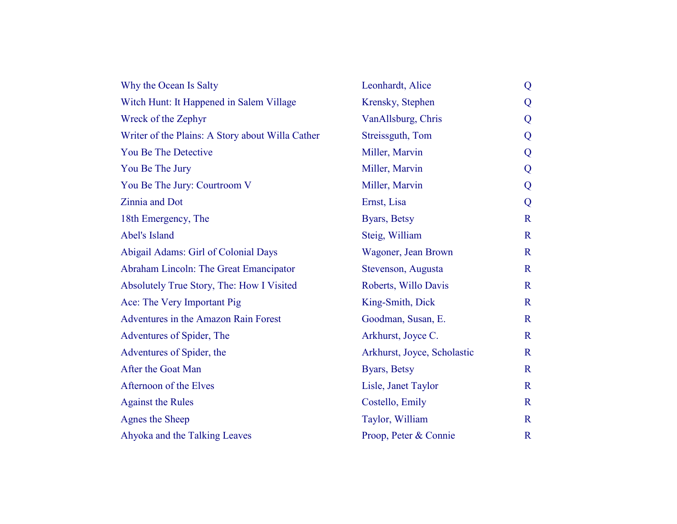| Why the Ocean Is Salty                           | Leonhardt, Alice            | Q            |
|--------------------------------------------------|-----------------------------|--------------|
| Witch Hunt: It Happened in Salem Village         | Krensky, Stephen            | Q            |
| Wreck of the Zephyr                              | VanAllsburg, Chris          | Q            |
| Writer of the Plains: A Story about Willa Cather | Streissguth, Tom            | Q            |
| You Be The Detective                             | Miller, Marvin              | Q            |
| You Be The Jury                                  | Miller, Marvin              | Q            |
| You Be The Jury: Courtroom V                     | Miller, Marvin              | Q            |
| Zinnia and Dot                                   | Ernst, Lisa                 | Q            |
| 18th Emergency, The                              | Byars, Betsy                | $\mathbf R$  |
| Abel's Island                                    | Steig, William              | $\mathbf R$  |
| Abigail Adams: Girl of Colonial Days             | Wagoner, Jean Brown         | $\mathbb{R}$ |
| Abraham Lincoln: The Great Emancipator           | Stevenson, Augusta          | $\mathbf R$  |
| Absolutely True Story, The: How I Visited        | Roberts, Willo Davis        | $\mathbf R$  |
| Ace: The Very Important Pig                      | King-Smith, Dick            | $\mathbf R$  |
| <b>Adventures in the Amazon Rain Forest</b>      | Goodman, Susan, E.          | $\mathbf R$  |
| Adventures of Spider, The                        | Arkhurst, Joyce C.          | $\mathbf R$  |
| Adventures of Spider, the                        | Arkhurst, Joyce, Scholastic | $\mathbf R$  |
| After the Goat Man                               | Byars, Betsy                | $\mathbf R$  |
| Afternoon of the Elves                           | Lisle, Janet Taylor         | $\mathbf R$  |
| <b>Against the Rules</b>                         | Costello, Emily             | $\mathbf R$  |
| Agnes the Sheep                                  | Taylor, William             | $\mathbf R$  |
| Ahyoka and the Talking Leaves                    | Proop, Peter & Connie       | $\mathbf R$  |
|                                                  |                             |              |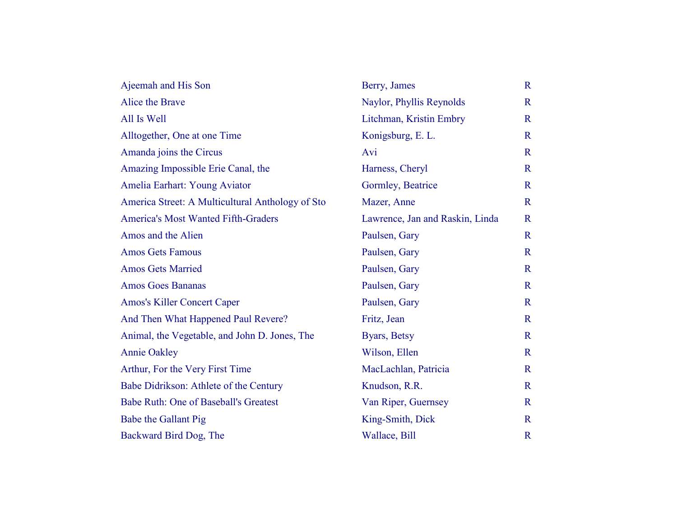| Ajeemah and His Son                              | Berry, James                    | $\mathbf R$  |
|--------------------------------------------------|---------------------------------|--------------|
| Alice the Brave                                  | Naylor, Phyllis Reynolds        | $\mathbf R$  |
| All Is Well                                      | Litchman, Kristin Embry         | $\mathbf R$  |
| Alltogether, One at one Time                     | Konigsburg, E. L.               | $\mathbf R$  |
| Amanda joins the Circus                          | Avi                             | $\mathbf R$  |
| Amazing Impossible Erie Canal, the               | Harness, Cheryl                 | $\mathbf R$  |
| Amelia Earhart: Young Aviator                    | Gormley, Beatrice               | $\mathbf{R}$ |
| America Street: A Multicultural Anthology of Sto | Mazer, Anne                     | $\mathbf{R}$ |
| <b>America's Most Wanted Fifth-Graders</b>       | Lawrence, Jan and Raskin, Linda | $\mathbf R$  |
| Amos and the Alien                               | Paulsen, Gary                   | $\mathbf R$  |
| <b>Amos Gets Famous</b>                          | Paulsen, Gary                   | $\mathbf R$  |
| <b>Amos Gets Married</b>                         | Paulsen, Gary                   | $\mathbb{R}$ |
| <b>Amos Goes Bananas</b>                         | Paulsen, Gary                   | $\mathbf R$  |
| <b>Amos's Killer Concert Caper</b>               | Paulsen, Gary                   | $\mathbf R$  |
| And Then What Happened Paul Revere?              | Fritz, Jean                     | $\mathbf R$  |
| Animal, the Vegetable, and John D. Jones, The    | Byars, Betsy                    | $\mathbf R$  |
| <b>Annie Oakley</b>                              | Wilson, Ellen                   | $\mathbf R$  |
| Arthur, For the Very First Time                  | MacLachlan, Patricia            | $\mathbf R$  |
| Babe Didrikson: Athlete of the Century           | Knudson, R.R.                   | $\mathbf R$  |
| Babe Ruth: One of Baseball's Greatest            | Van Riper, Guernsey             | $\mathbf R$  |
| Babe the Gallant Pig                             | King-Smith, Dick                | $\mathbf R$  |
| Backward Bird Dog, The                           | Wallace, Bill                   | $\mathbf R$  |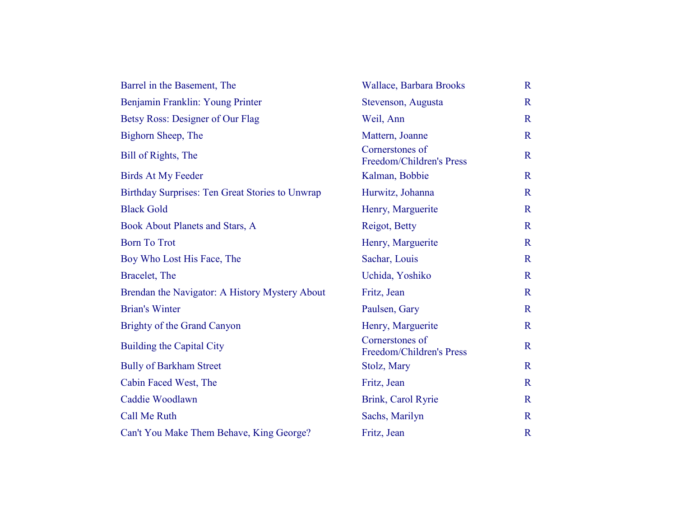| Barrel in the Basement, The                     | Wallace, Barbara Brooks                     | $\mathbf R$  |
|-------------------------------------------------|---------------------------------------------|--------------|
| Benjamin Franklin: Young Printer                | Stevenson, Augusta                          | $\mathbf R$  |
| Betsy Ross: Designer of Our Flag                | Weil, Ann                                   | $\mathbf R$  |
| Bighorn Sheep, The                              | Mattern, Joanne                             | $\mathbf R$  |
| Bill of Rights, The                             | Cornerstones of<br>Freedom/Children's Press | $\mathbf R$  |
| <b>Birds At My Feeder</b>                       | Kalman, Bobbie                              | $\mathbf R$  |
| Birthday Surprises: Ten Great Stories to Unwrap | Hurwitz, Johanna                            | $\mathbf R$  |
| <b>Black Gold</b>                               | Henry, Marguerite                           | $\mathbf R$  |
| Book About Planets and Stars, A                 | Reigot, Betty                               | $\mathbf R$  |
| <b>Born To Trot</b>                             | Henry, Marguerite                           | $\mathbf R$  |
| Boy Who Lost His Face, The                      | Sachar, Louis                               | $\mathbf R$  |
| Bracelet, The                                   | Uchida, Yoshiko                             | $\mathbf R$  |
| Brendan the Navigator: A History Mystery About  | Fritz, Jean                                 | $\mathbf R$  |
| <b>Brian's Winter</b>                           | Paulsen, Gary                               | $\mathbf R$  |
| Brighty of the Grand Canyon                     | Henry, Marguerite                           | $\mathbf R$  |
| <b>Building the Capital City</b>                | Cornerstones of<br>Freedom/Children's Press | $\mathbf R$  |
| <b>Bully of Barkham Street</b>                  | Stolz, Mary                                 | $\mathbf R$  |
| Cabin Faced West, The                           | Fritz, Jean                                 | $\mathbf R$  |
| Caddie Woodlawn                                 | Brink, Carol Ryrie                          | $\mathbf R$  |
| <b>Call Me Ruth</b>                             | Sachs, Marilyn                              | $\mathbf{R}$ |
| Can't You Make Them Behave, King George?        | Fritz, Jean                                 | $\mathbf R$  |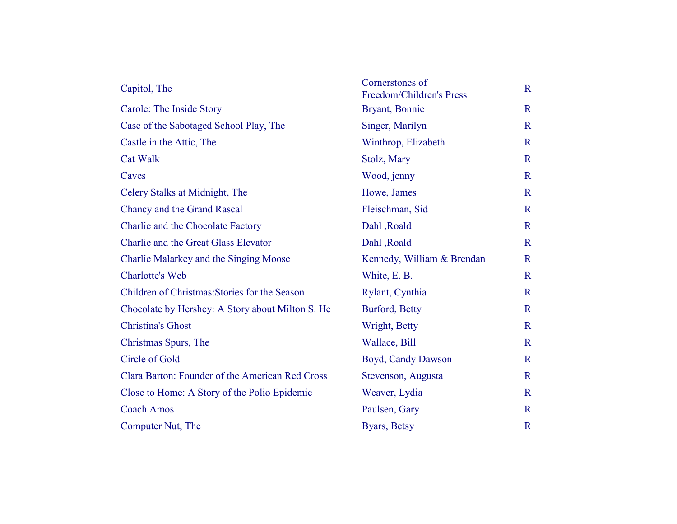| Cornerstones of<br>Freedom/Children's Press | $\mathbf R$  |
|---------------------------------------------|--------------|
| Bryant, Bonnie                              | $\mathbf R$  |
| Singer, Marilyn                             | $\mathbb{R}$ |
| Winthrop, Elizabeth                         | $\mathbf R$  |
| Stolz, Mary                                 | $\mathbf R$  |
| Wood, jenny                                 | $\mathbf R$  |
| Howe, James                                 | $\mathbf R$  |
| Fleischman, Sid                             | $\mathbf R$  |
| Dahl, Roald                                 | $\mathbf R$  |
| Dahl, Roald                                 | $\mathbf R$  |
| Kennedy, William & Brendan                  | $\mathbb{R}$ |
| White, E. B.                                | $\mathbf R$  |
| Rylant, Cynthia                             | $\mathbf R$  |
| Burford, Betty                              | $\mathbf R$  |
| Wright, Betty                               | $\mathbf R$  |
| Wallace, Bill                               | $\mathbf R$  |
| Boyd, Candy Dawson                          | $\mathbf R$  |
| Stevenson, Augusta                          | $\mathbf R$  |
| Weaver, Lydia                               | $\mathbf R$  |
| Paulsen, Gary                               | $\mathbb{R}$ |
| Byars, Betsy                                | $\mathbb{R}$ |
|                                             |              |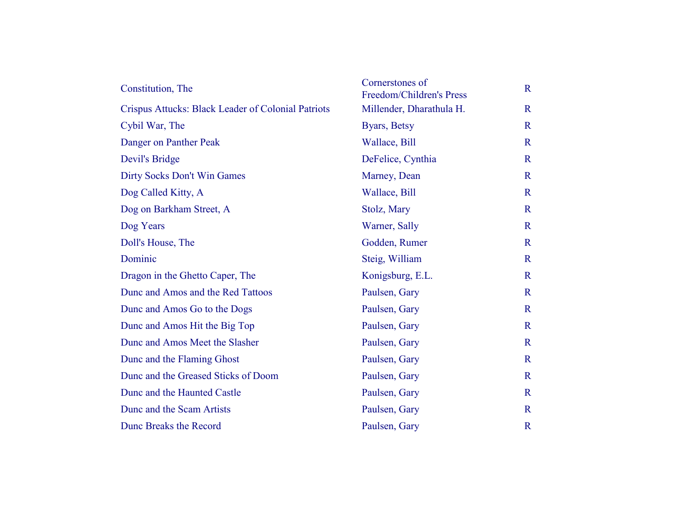| Constitution, The                                  | Cornerstones of<br>Freedom/Children's Press | $\mathbf R$  |
|----------------------------------------------------|---------------------------------------------|--------------|
| Crispus Attucks: Black Leader of Colonial Patriots | Millender, Dharathula H.                    | $\mathbf R$  |
| Cybil War, The                                     | Byars, Betsy                                | $\mathbb{R}$ |
| Danger on Panther Peak                             | Wallace, Bill                               | $\mathbb{R}$ |
| Devil's Bridge                                     | DeFelice, Cynthia                           | $\mathbb{R}$ |
| Dirty Socks Don't Win Games                        | Marney, Dean                                | $\mathbf R$  |
| Dog Called Kitty, A                                | Wallace, Bill                               | $\mathbb{R}$ |
| Dog on Barkham Street, A                           | Stolz, Mary                                 | $\mathbf R$  |
| Dog Years                                          | Warner, Sally                               | $\mathbb{R}$ |
| Doll's House, The                                  | Godden, Rumer                               | $\mathbb{R}$ |
| Dominic                                            | Steig, William                              | $\mathbb{R}$ |
| Dragon in the Ghetto Caper, The                    | Konigsburg, E.L.                            | $\mathbf R$  |
| Dunc and Amos and the Red Tattoos                  | Paulsen, Gary                               | $\mathbf R$  |
| Dunc and Amos Go to the Dogs                       | Paulsen, Gary                               | $\mathbf R$  |
| Dunc and Amos Hit the Big Top                      | Paulsen, Gary                               | $\mathbb{R}$ |
| Dunc and Amos Meet the Slasher                     | Paulsen, Gary                               | $\mathbb{R}$ |
| Dunc and the Flaming Ghost                         | Paulsen, Gary                               | $\mathbf R$  |
| Dunc and the Greased Sticks of Doom                | Paulsen, Gary                               | $\mathbb{R}$ |
| Dunc and the Haunted Castle                        | Paulsen, Gary                               | $\mathbf R$  |
| Dunc and the Scam Artists                          | Paulsen, Gary                               | $\mathbf R$  |
| Dunc Breaks the Record                             | Paulsen, Gary                               | $\mathbb{R}$ |
|                                                    |                                             |              |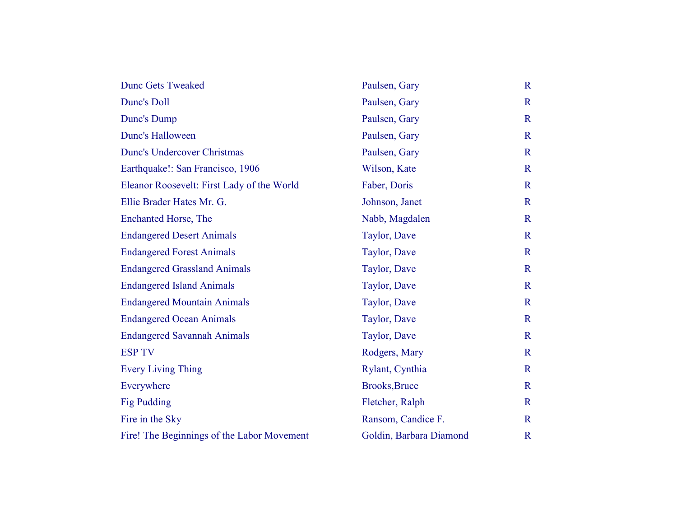| <b>Dunc Gets Tweaked</b>                   | Paulsen, Gary           | $\mathbf R$  |
|--------------------------------------------|-------------------------|--------------|
| Dunc's Doll                                | Paulsen, Gary           | $\mathbf R$  |
| Dunc's Dump                                | Paulsen, Gary           | $\mathbf R$  |
| <b>Dunc's Halloween</b>                    | Paulsen, Gary           | $\mathbf R$  |
| <b>Dunc's Undercover Christmas</b>         | Paulsen, Gary           | $\mathbb{R}$ |
| Earthquake!: San Francisco, 1906           | Wilson, Kate            | $\mathbf R$  |
| Eleanor Roosevelt: First Lady of the World | Faber, Doris            | $\mathbf R$  |
| Ellie Brader Hates Mr. G.                  | Johnson, Janet          | $\mathbb{R}$ |
| Enchanted Horse, The                       | Nabb, Magdalen          | $\mathbf R$  |
| <b>Endangered Desert Animals</b>           | Taylor, Dave            | $\mathbf R$  |
| <b>Endangered Forest Animals</b>           | Taylor, Dave            | $\mathbf R$  |
| <b>Endangered Grassland Animals</b>        | Taylor, Dave            | $\mathbf R$  |
| <b>Endangered Island Animals</b>           | Taylor, Dave            | $\mathbf R$  |
| <b>Endangered Mountain Animals</b>         | Taylor, Dave            | $\mathbb{R}$ |
| <b>Endangered Ocean Animals</b>            | Taylor, Dave            | $\mathbf R$  |
| <b>Endangered Savannah Animals</b>         | Taylor, Dave            | $\mathbf R$  |
| <b>ESP TV</b>                              | Rodgers, Mary           | $\mathbf R$  |
| <b>Every Living Thing</b>                  | Rylant, Cynthia         | $\mathbf R$  |
| Everywhere                                 | <b>Brooks, Bruce</b>    | $\mathbf R$  |
| <b>Fig Pudding</b>                         | Fletcher, Ralph         | $\mathbf R$  |
| Fire in the Sky                            | Ransom, Candice F.      | $\mathbf R$  |
| Fire! The Beginnings of the Labor Movement | Goldin, Barbara Diamond | $\mathbb{R}$ |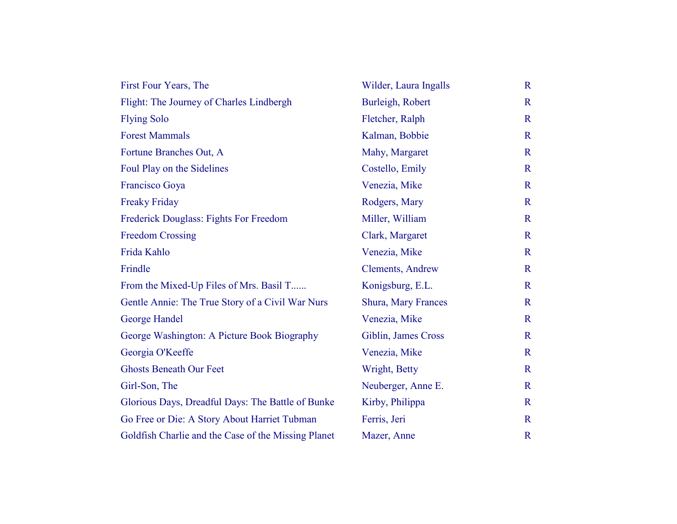| First Four Years, The                               | Wilder, Laura Ingalls      | $\mathbf{R}$ |
|-----------------------------------------------------|----------------------------|--------------|
| Flight: The Journey of Charles Lindbergh            | Burleigh, Robert           | $\mathbf R$  |
| <b>Flying Solo</b>                                  | Fletcher, Ralph            | $\mathbf R$  |
| <b>Forest Mammals</b>                               | Kalman, Bobbie             | $\mathbf R$  |
| Fortune Branches Out, A                             | Mahy, Margaret             | $\mathbf R$  |
| Foul Play on the Sidelines                          | Costello, Emily            | $\mathbf R$  |
| Francisco Goya                                      | Venezia, Mike              | $\mathbf R$  |
| <b>Freaky Friday</b>                                | Rodgers, Mary              | $\mathbf R$  |
| Frederick Douglass: Fights For Freedom              | Miller, William            | $\mathbf R$  |
| <b>Freedom Crossing</b>                             | Clark, Margaret            | $\mathbf R$  |
| Frida Kahlo                                         | Venezia, Mike              | $\mathbf R$  |
| Frindle                                             | <b>Clements</b> , Andrew   | $\mathbf R$  |
| From the Mixed-Up Files of Mrs. Basil T             | Konigsburg, E.L.           | $\mathbf R$  |
| Gentle Annie: The True Story of a Civil War Nurs    | <b>Shura, Mary Frances</b> | $\mathbf R$  |
| George Handel                                       | Venezia, Mike              | $\mathbf R$  |
| George Washington: A Picture Book Biography         | Giblin, James Cross        | $\mathbf R$  |
| Georgia O'Keeffe                                    | Venezia, Mike              | $\mathbf R$  |
| <b>Ghosts Beneath Our Feet</b>                      | Wright, Betty              | $\mathbf R$  |
| Girl-Son, The                                       | Neuberger, Anne E.         | $\mathbf R$  |
| Glorious Days, Dreadful Days: The Battle of Bunke   | Kirby, Philippa            | $\mathbf R$  |
| Go Free or Die: A Story About Harriet Tubman        | Ferris, Jeri               | $\mathbf R$  |
| Goldfish Charlie and the Case of the Missing Planet | Mazer, Anne                | $\mathbf R$  |
|                                                     |                            |              |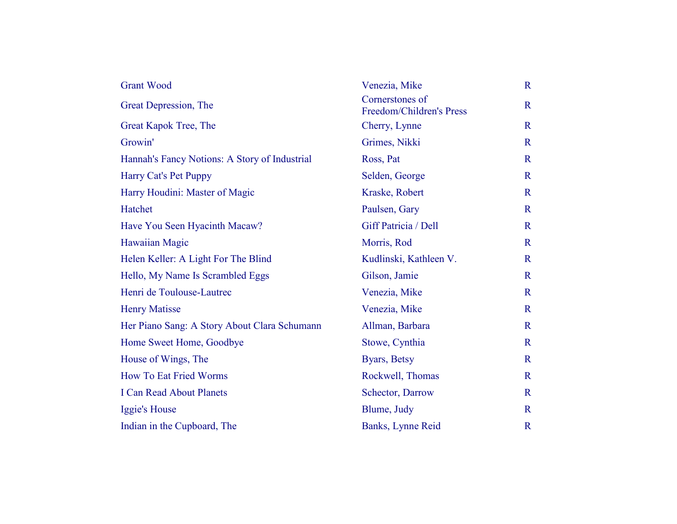| <b>Grant Wood</b>                             | Venezia, Mike                               | $\mathbf R$  |
|-----------------------------------------------|---------------------------------------------|--------------|
| Great Depression, The                         | Cornerstones of<br>Freedom/Children's Press | $\mathbf R$  |
| Great Kapok Tree, The                         | Cherry, Lynne                               | $\mathbf R$  |
| Growin'                                       | Grimes, Nikki                               | $\mathbf R$  |
| Hannah's Fancy Notions: A Story of Industrial | Ross, Pat                                   | $\mathbf R$  |
| Harry Cat's Pet Puppy                         | Selden, George                              | $\mathbb{R}$ |
| Harry Houdini: Master of Magic                | Kraske, Robert                              | $\mathbf R$  |
| Hatchet                                       | Paulsen, Gary                               | $\mathbb{R}$ |
| Have You Seen Hyacinth Macaw?                 | Giff Patricia / Dell                        | $\mathbf R$  |
| Hawaiian Magic                                | Morris, Rod                                 | $\mathbf R$  |
| Helen Keller: A Light For The Blind           | Kudlinski, Kathleen V.                      | $\mathbb{R}$ |
| Hello, My Name Is Scrambled Eggs              | Gilson, Jamie                               | $\mathbf R$  |
| Henri de Toulouse-Lautrec                     | Venezia, Mike                               | $\mathbb{R}$ |
| <b>Henry Matisse</b>                          | Venezia, Mike                               | $\mathbf R$  |
| Her Piano Sang: A Story About Clara Schumann  | Allman, Barbara                             | $\mathbf R$  |
| Home Sweet Home, Goodbye                      | Stowe, Cynthia                              | $\mathbf R$  |
| House of Wings, The                           | Byars, Betsy                                | $\mathbf R$  |
| <b>How To Eat Fried Worms</b>                 | Rockwell, Thomas                            | $\mathbb{R}$ |
| <b>I Can Read About Planets</b>               | Schector, Darrow                            | $\mathbf R$  |
| Iggie's House                                 | Blume, Judy                                 | $\mathbf R$  |
| Indian in the Cupboard, The                   | Banks, Lynne Reid                           | $\mathbf R$  |
|                                               |                                             |              |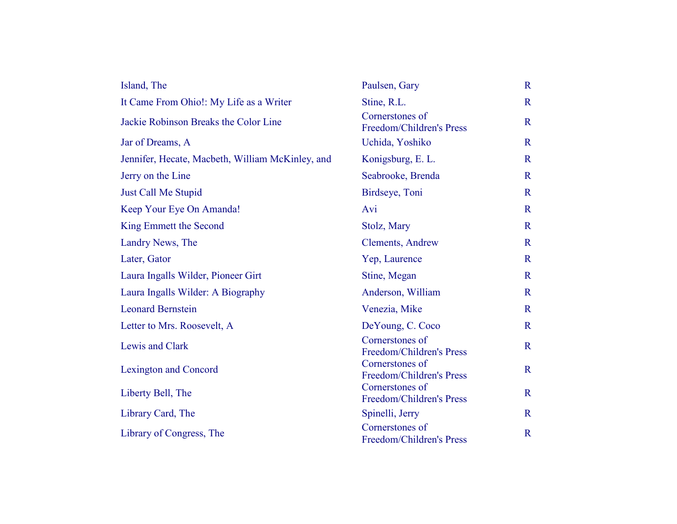| Island, The                                      | Paulsen, Gary                               | $\mathbf R$  |
|--------------------------------------------------|---------------------------------------------|--------------|
| It Came From Ohio!: My Life as a Writer          | Stine, R.L.                                 | $\mathbf R$  |
| Jackie Robinson Breaks the Color Line            | Cornerstones of<br>Freedom/Children's Press | $\mathbf R$  |
| Jar of Dreams, A                                 | Uchida, Yoshiko                             | $\mathbf R$  |
| Jennifer, Hecate, Macbeth, William McKinley, and | Konigsburg, E. L.                           | $\mathbf{R}$ |
| Jerry on the Line                                | Seabrooke, Brenda                           | $\mathbf R$  |
| <b>Just Call Me Stupid</b>                       | Birdseye, Toni                              | $\mathbf R$  |
| Keep Your Eye On Amanda!                         | Avi                                         | $\mathbf R$  |
| King Emmett the Second                           | Stolz, Mary                                 | $\mathbf R$  |
| Landry News, The                                 | Clements, Andrew                            | $\mathbf R$  |
| Later, Gator                                     | Yep, Laurence                               | $\mathbf R$  |
| Laura Ingalls Wilder, Pioneer Girt               | Stine, Megan                                | $\mathbf{R}$ |
| Laura Ingalls Wilder: A Biography                | Anderson, William                           | $\mathbf R$  |
| <b>Leonard Bernstein</b>                         | Venezia, Mike                               | $\mathbf R$  |
| Letter to Mrs. Roosevelt, A                      | DeYoung, C. Coco                            | $\mathbf R$  |
| Lewis and Clark                                  | Cornerstones of<br>Freedom/Children's Press | $\mathbf R$  |
| <b>Lexington and Concord</b>                     | Cornerstones of<br>Freedom/Children's Press | $\mathbf R$  |
| Liberty Bell, The                                | Cornerstones of<br>Freedom/Children's Press | $\mathbf R$  |
| Library Card, The                                | Spinelli, Jerry                             | $\mathbf R$  |
| Library of Congress, The                         | Cornerstones of<br>Freedom/Children's Press | $\mathbf R$  |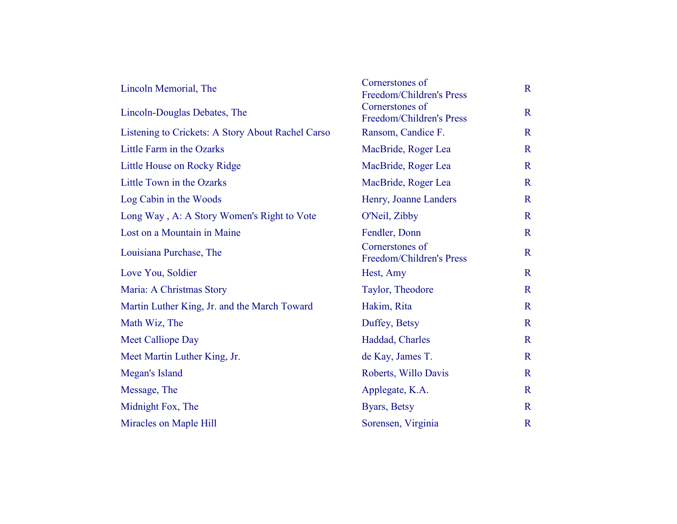| Lincoln Memorial, The                             | Cornerstones of<br>Freedom/Children's Press | $\mathbf R$  |
|---------------------------------------------------|---------------------------------------------|--------------|
| Lincoln-Douglas Debates, The                      | Cornerstones of<br>Freedom/Children's Press | $\mathbf R$  |
| Listening to Crickets: A Story About Rachel Carso | Ransom, Candice F.                          | $\mathbf R$  |
| Little Farm in the Ozarks                         | MacBride, Roger Lea                         | $\mathbf{R}$ |
| Little House on Rocky Ridge                       | MacBride, Roger Lea                         | $\mathbf R$  |
| Little Town in the Ozarks                         | MacBride, Roger Lea                         | $\mathbf R$  |
| Log Cabin in the Woods                            | Henry, Joanne Landers                       | $\mathbf R$  |
| Long Way, A: A Story Women's Right to Vote        | O'Neil, Zibby                               | $\mathbf R$  |
| Lost on a Mountain in Maine                       | Fendler, Donn                               | $\mathbb{R}$ |
| Louisiana Purchase, The                           | Cornerstones of<br>Freedom/Children's Press | $\mathbf R$  |
| Love You, Soldier                                 | Hest, Amy                                   | $\mathbf R$  |
| Maria: A Christmas Story                          | Taylor, Theodore                            | $\mathbf R$  |
| Martin Luther King, Jr. and the March Toward      | Hakim, Rita                                 | $\mathbf R$  |
| Math Wiz, The                                     | Duffey, Betsy                               | $\mathbf R$  |
| <b>Meet Calliope Day</b>                          | Haddad, Charles                             | $\mathbf R$  |
| Meet Martin Luther King, Jr.                      | de Kay, James T.                            | $\mathbf R$  |
| Megan's Island                                    | Roberts, Willo Davis                        | $\mathbf R$  |
| Message, The                                      | Applegate, K.A.                             | $\mathbf{R}$ |
| Midnight Fox, The                                 | Byars, Betsy                                | $\mathbb{R}$ |
| Miracles on Maple Hill                            | Sorensen, Virginia                          | $\mathbb{R}$ |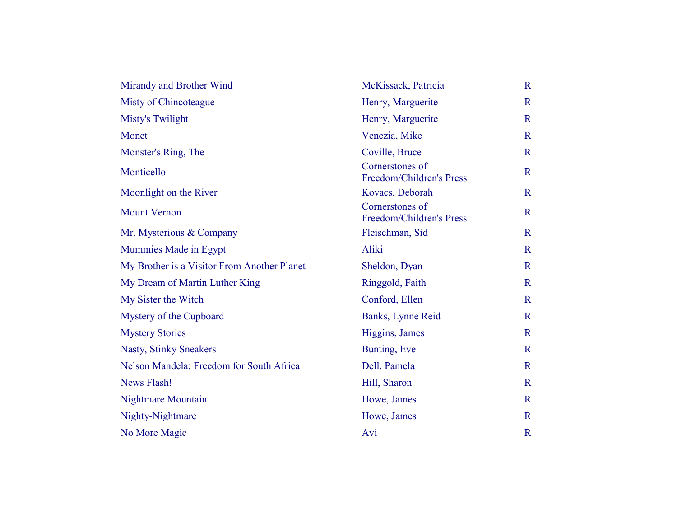| Mirandy and Brother Wind                    | McKissack, Patricia                         | $\mathbf R$  |
|---------------------------------------------|---------------------------------------------|--------------|
| Misty of Chincoteague                       | Henry, Marguerite                           | $\mathbb{R}$ |
| <b>Misty's Twilight</b>                     | Henry, Marguerite                           | $\mathbf R$  |
| Monet                                       | Venezia, Mike                               | $\mathbf R$  |
| Monster's Ring, The                         | Coville, Bruce                              | $\mathbf R$  |
| Monticello                                  | Cornerstones of<br>Freedom/Children's Press | $\mathbf R$  |
| Moonlight on the River                      | Kovacs, Deborah                             | $\mathbf R$  |
| <b>Mount Vernon</b>                         | Cornerstones of<br>Freedom/Children's Press | $\mathbf R$  |
| Mr. Mysterious & Company                    | Fleischman, Sid                             | $\mathbf R$  |
| Mummies Made in Egypt                       | Aliki                                       | $\mathbf R$  |
| My Brother is a Visitor From Another Planet | Sheldon, Dyan                               | $\mathbf R$  |
| My Dream of Martin Luther King              | Ringgold, Faith                             | $\mathbf R$  |
| My Sister the Witch                         | Conford, Ellen                              | $\mathbf R$  |
| Mystery of the Cupboard                     | Banks, Lynne Reid                           | $\mathbf R$  |
| <b>Mystery Stories</b>                      | Higgins, James                              | $\mathbf R$  |
| <b>Nasty, Stinky Sneakers</b>               | Bunting, Eve                                | $\mathbf R$  |
| Nelson Mandela: Freedom for South Africa    | Dell, Pamela                                | $\mathbf R$  |
| <b>News Flash!</b>                          | Hill, Sharon                                | $\mathbf R$  |
| <b>Nightmare Mountain</b>                   | Howe, James                                 | $\mathbb{R}$ |
| Nighty-Nightmare                            | Howe, James                                 | $\mathbf R$  |
| No More Magic                               | Avi                                         | $\mathbb{R}$ |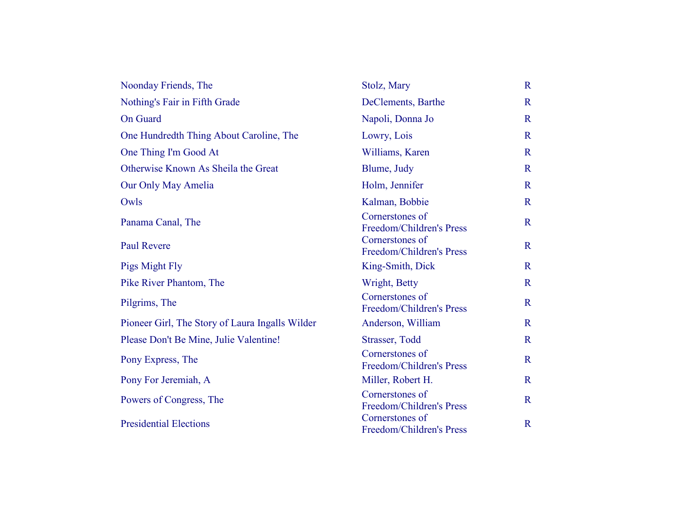| Noonday Friends, The                            | Stolz, Mary                                 | $\mathbf R$  |
|-------------------------------------------------|---------------------------------------------|--------------|
| Nothing's Fair in Fifth Grade                   | DeClements, Barthe                          | $\mathbf R$  |
| <b>On Guard</b>                                 | Napoli, Donna Jo                            | $\mathbf R$  |
| One Hundredth Thing About Caroline, The         | Lowry, Lois                                 | $\mathbb{R}$ |
| One Thing I'm Good At                           | Williams, Karen                             | $\mathbf R$  |
| Otherwise Known As Sheila the Great             | Blume, Judy                                 | $\mathbf R$  |
| Our Only May Amelia                             | Holm, Jennifer                              | $\mathbf R$  |
| Owls                                            | Kalman, Bobbie                              | $\mathbb{R}$ |
| Panama Canal, The                               | Cornerstones of<br>Freedom/Children's Press | $\mathbf R$  |
| <b>Paul Revere</b>                              | Cornerstones of<br>Freedom/Children's Press | $\mathbf R$  |
| Pigs Might Fly                                  | King-Smith, Dick                            | $\mathbf R$  |
| Pike River Phantom, The                         | Wright, Betty                               | $\mathbf R$  |
| Pilgrims, The                                   | Cornerstones of<br>Freedom/Children's Press | $\mathbf R$  |
| Pioneer Girl, The Story of Laura Ingalls Wilder | Anderson, William                           | $\mathbf R$  |
| Please Don't Be Mine, Julie Valentine!          | Strasser, Todd                              | $\mathbf R$  |
| Pony Express, The                               | Cornerstones of<br>Freedom/Children's Press | $\mathbf R$  |
| Pony For Jeremiah, A                            | Miller, Robert H.                           | $\mathbf R$  |
| Powers of Congress, The                         | Cornerstones of<br>Freedom/Children's Press | $\mathbf R$  |
| <b>Presidential Elections</b>                   | Cornerstones of<br>Freedom/Children's Press | $\mathbf R$  |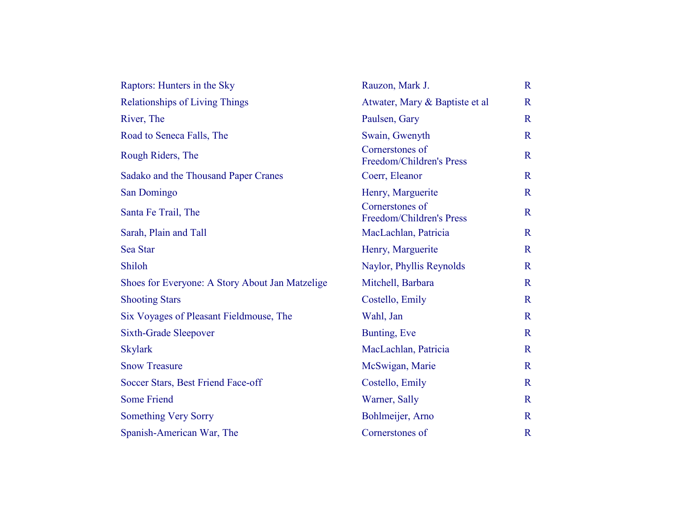| Raptors: Hunters in the Sky                     | Rauzon, Mark J.                             | $\mathbf R$  |
|-------------------------------------------------|---------------------------------------------|--------------|
| <b>Relationships of Living Things</b>           | Atwater, Mary & Baptiste et al              | $\mathbf R$  |
| River, The                                      | Paulsen, Gary                               | $\mathbf R$  |
| Road to Seneca Falls, The                       | Swain, Gwenyth                              | $\mathbf R$  |
| Rough Riders, The                               | Cornerstones of<br>Freedom/Children's Press | $\mathbf R$  |
| Sadako and the Thousand Paper Cranes            | Coerr, Eleanor                              | $\mathbf R$  |
| San Domingo                                     | Henry, Marguerite                           | $\mathbf R$  |
| Santa Fe Trail, The                             | Cornerstones of<br>Freedom/Children's Press | $\mathbf R$  |
| Sarah, Plain and Tall                           | MacLachlan, Patricia                        | $\mathbf R$  |
| Sea Star                                        | Henry, Marguerite                           | $\mathbf R$  |
| Shiloh                                          | Naylor, Phyllis Reynolds                    | $\mathbf R$  |
| Shoes for Everyone: A Story About Jan Matzelige | Mitchell, Barbara                           | $\mathbf R$  |
| <b>Shooting Stars</b>                           | Costello, Emily                             | $\mathbf{R}$ |
| Six Voyages of Pleasant Fieldmouse, The         | Wahl, Jan                                   | $\mathbf R$  |
| <b>Sixth-Grade Sleepover</b>                    | Bunting, Eve                                | $\mathbf R$  |
| <b>Skylark</b>                                  | MacLachlan, Patricia                        | $\mathbf R$  |
| <b>Snow Treasure</b>                            | McSwigan, Marie                             | $\mathbf{R}$ |
| Soccer Stars, Best Friend Face-off              | Costello, Emily                             | $\mathbf R$  |
| <b>Some Friend</b>                              | Warner, Sally                               | $\mathbf R$  |
| <b>Something Very Sorry</b>                     | Bohlmeijer, Arno                            | $\mathbf R$  |
| Spanish-American War, The                       | Cornerstones of                             | $\mathbf R$  |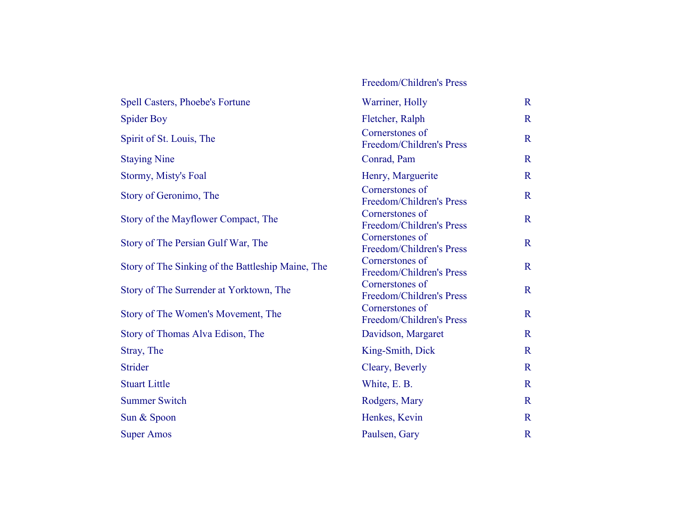## Spell Casters, Phoebe's Fortune Warriner, Holly R Spider Boy Fletcher, Ralph R Spirit of St. Louis, The Cornerstones of Freedom/Children's Press R Staying Nine Conrad, Pam R Stormy, Misty's Foal Henry, Marguerite R Story of Geronimo, The Cornerstones of Reedom/Children's Press R Story of the Mayflower Compact, The Cornerstones of Reedom/Children's Press R Story of The Persian Gulf War, The Cornerstones of Freedom/Children's Press R Story of The Sinking of the Battleship Maine, The Cornerstones of Freedom/Children's Press R Story of The Surrender at Yorktown, The Cornerstones of Freedom/Children's Press R Story of The Women's Movement, The Cornerstones of Freedom/Children's Press R Story of Thomas Alva Edison, The Davidson, Margaret R Stray, The King-Smith, Dick R Strider Cleary, Beverly R Stuart Little White, E. B. Summer Switch Rodgers, Mary Rodgers, Mary R Sun & Spoon Renkes, Kevin R

Super Amos Paulsen, Gary R

Freedom/Children's Press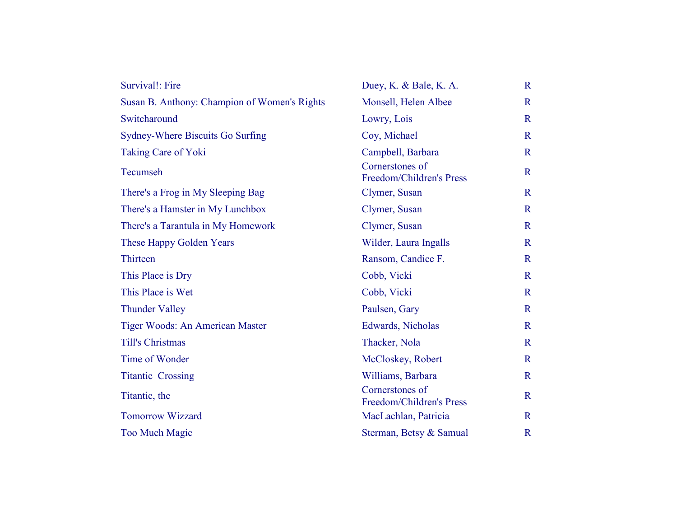| Survival!: Fire                              | Duey, K. & Bale, K. A.                      | $\mathbf R$  |
|----------------------------------------------|---------------------------------------------|--------------|
| Susan B. Anthony: Champion of Women's Rights | Monsell, Helen Albee                        | $\mathbb{R}$ |
| Switcharound                                 | Lowry, Lois                                 | $\mathbb{R}$ |
| Sydney-Where Biscuits Go Surfing             | Coy, Michael                                | $\mathbf R$  |
| Taking Care of Yoki                          | Campbell, Barbara                           | $\mathbb{R}$ |
| Tecumseh                                     | Cornerstones of<br>Freedom/Children's Press | $\mathbb{R}$ |
| There's a Frog in My Sleeping Bag            | Clymer, Susan                               | $\mathbf R$  |
| There's a Hamster in My Lunchbox             | Clymer, Susan                               | $\mathbf R$  |
| There's a Tarantula in My Homework           | Clymer, Susan                               | $\mathbf R$  |
| These Happy Golden Years                     | Wilder, Laura Ingalls                       | $\mathbb{R}$ |
| Thirteen                                     | Ransom, Candice F.                          | $\mathbb{R}$ |
| This Place is Dry                            | Cobb, Vicki                                 | $\mathbf R$  |
| This Place is Wet                            | Cobb, Vicki                                 | $\mathbb{R}$ |
| <b>Thunder Valley</b>                        | Paulsen, Gary                               | $\mathbf R$  |
| Tiger Woods: An American Master              | Edwards, Nicholas                           | $\mathbb{R}$ |
| <b>Till's Christmas</b>                      | Thacker, Nola                               | $\mathbf R$  |
| Time of Wonder                               | McCloskey, Robert                           | $\mathbb{R}$ |
| <b>Titantic Crossing</b>                     | Williams, Barbara                           | $\mathbf R$  |
| Titantic, the                                | Cornerstones of<br>Freedom/Children's Press | $\mathbf R$  |
| <b>Tomorrow Wizzard</b>                      | MacLachlan, Patricia                        | $\mathbf R$  |
| <b>Too Much Magic</b>                        | Sterman, Betsy & Samual                     | $\mathbf R$  |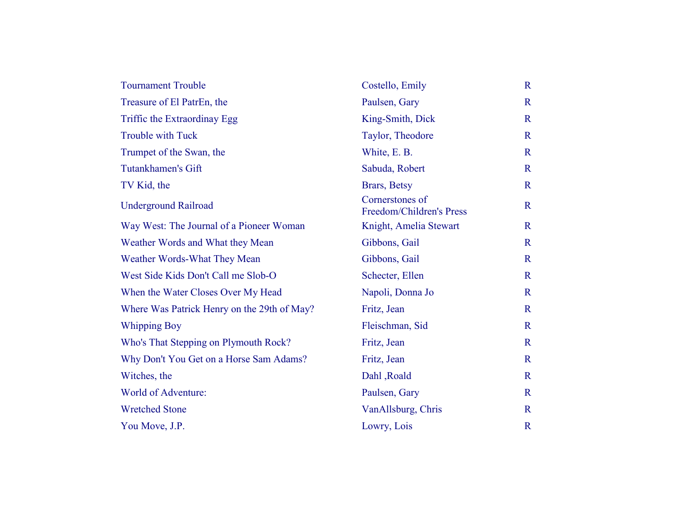| <b>Tournament Trouble</b>                   | Costello, Emily                             | $\mathbf R$  |
|---------------------------------------------|---------------------------------------------|--------------|
| Treasure of El PatrEn, the                  | Paulsen, Gary                               | $\mathbf R$  |
| Triffic the Extraordinay Egg                | King-Smith, Dick                            | $\mathbf R$  |
| <b>Trouble with Tuck</b>                    | Taylor, Theodore                            | $\mathbf R$  |
| Trumpet of the Swan, the                    | White, E. B.                                | $\mathbf R$  |
| <b>Tutankhamen's Gift</b>                   | Sabuda, Robert                              | $\mathbf R$  |
| TV Kid, the                                 | Brars, Betsy                                | $\mathbf R$  |
| <b>Underground Railroad</b>                 | Cornerstones of<br>Freedom/Children's Press | $\mathbf R$  |
| Way West: The Journal of a Pioneer Woman    | Knight, Amelia Stewart                      | $\mathbf R$  |
| Weather Words and What they Mean            | Gibbons, Gail                               | $\mathbf R$  |
| Weather Words-What They Mean                | Gibbons, Gail                               | $\mathbf R$  |
| West Side Kids Don't Call me Slob-O         | Schecter, Ellen                             | $\mathbf R$  |
| When the Water Closes Over My Head          | Napoli, Donna Jo                            | $\mathbf R$  |
| Where Was Patrick Henry on the 29th of May? | Fritz, Jean                                 | $\mathbf R$  |
| <b>Whipping Boy</b>                         | Fleischman, Sid                             | $\mathbf R$  |
| Who's That Stepping on Plymouth Rock?       | Fritz, Jean                                 | $\mathbf R$  |
| Why Don't You Get on a Horse Sam Adams?     | Fritz, Jean                                 | $\mathbf R$  |
| Witches, the                                | Dahl, Roald                                 | $\mathbf R$  |
| World of Adventure:                         | Paulsen, Gary                               | $\mathbf R$  |
| <b>Wretched Stone</b>                       | VanAllsburg, Chris                          | $\mathbf R$  |
| You Move, J.P.                              | Lowry, Lois                                 | $\mathbb{R}$ |
|                                             |                                             |              |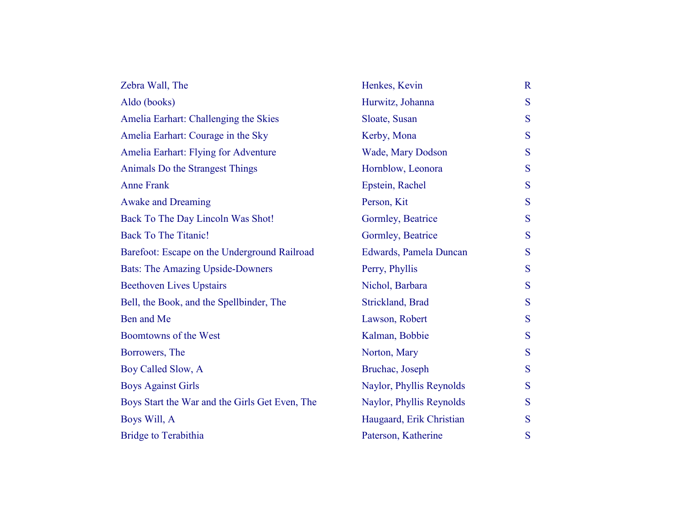| Zebra Wall, The                                | Henkes, Kevin            | $\mathbf R$ |
|------------------------------------------------|--------------------------|-------------|
| Aldo (books)                                   | Hurwitz, Johanna         | S           |
| Amelia Earhart: Challenging the Skies          | Sloate, Susan            | S           |
| Amelia Earhart: Courage in the Sky             | Kerby, Mona              | S           |
| Amelia Earhart: Flying for Adventure           | Wade, Mary Dodson        | S           |
| Animals Do the Strangest Things                | Hornblow, Leonora        | S           |
| <b>Anne Frank</b>                              | Epstein, Rachel          | S           |
| <b>Awake and Dreaming</b>                      | Person, Kit              | S           |
| Back To The Day Lincoln Was Shot!              | Gormley, Beatrice        | S           |
| <b>Back To The Titanic!</b>                    | Gormley, Beatrice        | S           |
| Barefoot: Escape on the Underground Railroad   | Edwards, Pamela Duncan   | S           |
| <b>Bats: The Amazing Upside-Downers</b>        | Perry, Phyllis           | S           |
| <b>Beethoven Lives Upstairs</b>                | Nichol, Barbara          | S           |
| Bell, the Book, and the Spellbinder, The       | Strickland, Brad         | S           |
| Ben and Me                                     | Lawson, Robert           | S           |
| Boomtowns of the West                          | Kalman, Bobbie           | S           |
| Borrowers, The                                 | Norton, Mary             | S           |
| Boy Called Slow, A                             | Bruchac, Joseph          | S           |
| <b>Boys Against Girls</b>                      | Naylor, Phyllis Reynolds | S           |
| Boys Start the War and the Girls Get Even, The | Naylor, Phyllis Reynolds | S           |
| Boys Will, A                                   | Haugaard, Erik Christian | S           |
| <b>Bridge to Terabithia</b>                    | Paterson, Katherine      | S           |
|                                                |                          |             |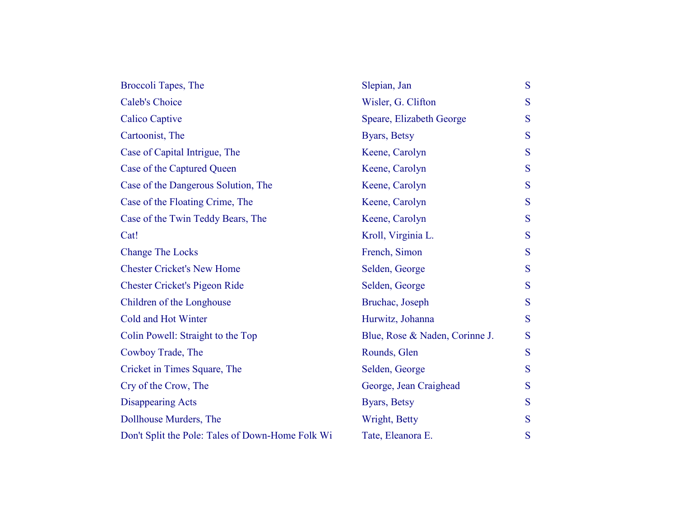| Broccoli Tapes, The                              | Slepian, Jan                   | S |
|--------------------------------------------------|--------------------------------|---|
| <b>Caleb's Choice</b>                            | Wisler, G. Clifton             | S |
| <b>Calico Captive</b>                            | Speare, Elizabeth George       | S |
| Cartoonist, The                                  | Byars, Betsy                   | S |
| Case of Capital Intrigue, The                    | Keene, Carolyn                 | S |
| Case of the Captured Queen                       | Keene, Carolyn                 | S |
| Case of the Dangerous Solution, The              | Keene, Carolyn                 | S |
| Case of the Floating Crime, The                  | Keene, Carolyn                 | S |
| Case of the Twin Teddy Bears, The                | Keene, Carolyn                 | S |
| Cat!                                             | Kroll, Virginia L.             | S |
| <b>Change The Locks</b>                          | French, Simon                  | S |
| <b>Chester Cricket's New Home</b>                | Selden, George                 | S |
| <b>Chester Cricket's Pigeon Ride</b>             | Selden, George                 | S |
| Children of the Longhouse                        | Bruchac, Joseph                | S |
| Cold and Hot Winter                              | Hurwitz, Johanna               | S |
| Colin Powell: Straight to the Top                | Blue, Rose & Naden, Corinne J. | S |
| Cowboy Trade, The                                | Rounds, Glen                   | S |
| Cricket in Times Square, The                     | Selden, George                 | S |
| Cry of the Crow, The                             | George, Jean Craighead         | S |
| <b>Disappearing Acts</b>                         | Byars, Betsy                   | S |
| Dollhouse Murders, The                           | Wright, Betty                  | S |
| Don't Split the Pole: Tales of Down-Home Folk Wi | Tate, Eleanora E.              | S |
|                                                  |                                |   |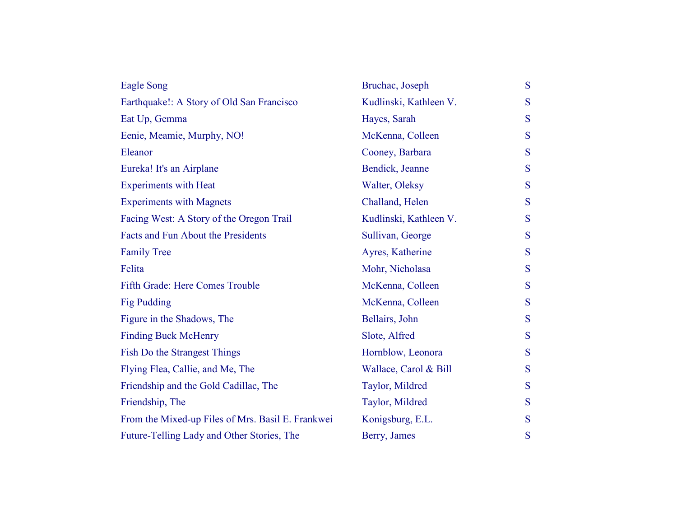| Eagle Song                                        | Bruchac, Joseph        | S |
|---------------------------------------------------|------------------------|---|
| Earthquake!: A Story of Old San Francisco         | Kudlinski, Kathleen V. | S |
| Eat Up, Gemma                                     | Hayes, Sarah           | S |
| Eenie, Meamie, Murphy, NO!                        | McKenna, Colleen       | S |
| Eleanor                                           | Cooney, Barbara        | S |
| Eureka! It's an Airplane                          | Bendick, Jeanne        | S |
| <b>Experiments with Heat</b>                      | Walter, Oleksy         | S |
| <b>Experiments with Magnets</b>                   | Challand, Helen        | S |
| Facing West: A Story of the Oregon Trail          | Kudlinski, Kathleen V. | S |
| Facts and Fun About the Presidents                | Sullivan, George       | S |
| <b>Family Tree</b>                                | Ayres, Katherine       | S |
| Felita                                            | Mohr, Nicholasa        | S |
| Fifth Grade: Here Comes Trouble                   | McKenna, Colleen       | S |
| Fig Pudding                                       | McKenna, Colleen       | S |
| Figure in the Shadows, The                        | Bellairs, John         | S |
| <b>Finding Buck McHenry</b>                       | Slote, Alfred          | S |
| <b>Fish Do the Strangest Things</b>               | Hornblow, Leonora      | S |
| Flying Flea, Callie, and Me, The                  | Wallace, Carol & Bill  | S |
| Friendship and the Gold Cadillac, The             | Taylor, Mildred        | S |
| Friendship, The                                   | Taylor, Mildred        | S |
| From the Mixed-up Files of Mrs. Basil E. Frankwei | Konigsburg, E.L.       | S |
| Future-Telling Lady and Other Stories, The        | Berry, James           | S |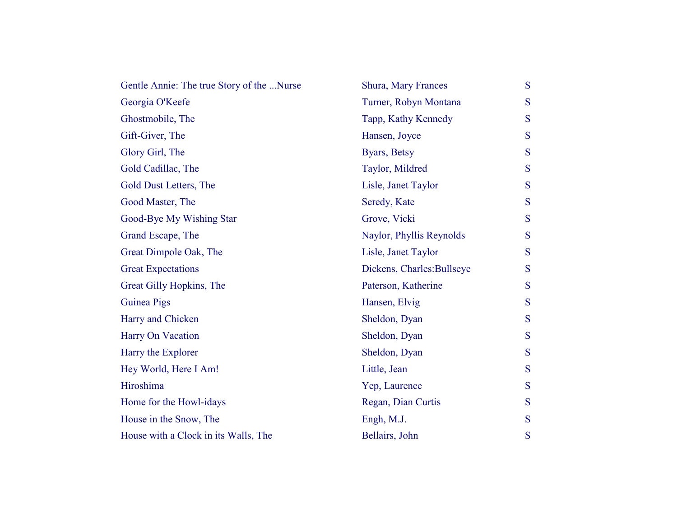| Gentle Annie: The true Story of the Nurse | Shura, Mary Frances        | S |
|-------------------------------------------|----------------------------|---|
| Georgia O'Keefe                           | Turner, Robyn Montana      | S |
| Ghostmobile, The                          | Tapp, Kathy Kennedy        | S |
| Gift-Giver, The                           | Hansen, Joyce              | S |
| Glory Girl, The                           | Byars, Betsy               | S |
| Gold Cadillac, The                        | Taylor, Mildred            | S |
| Gold Dust Letters, The                    | Lisle, Janet Taylor        | S |
| Good Master, The                          | Seredy, Kate               | S |
| Good-Bye My Wishing Star                  | Grove, Vicki               | S |
| Grand Escape, The                         | Naylor, Phyllis Reynolds   | S |
| Great Dimpole Oak, The                    | Lisle, Janet Taylor        | S |
| <b>Great Expectations</b>                 | Dickens, Charles: Bullseye | S |
| Great Gilly Hopkins, The                  | Paterson, Katherine        | S |
| Guinea Pigs                               | Hansen, Elvig              | S |
| Harry and Chicken                         | Sheldon, Dyan              | S |
| Harry On Vacation                         | Sheldon, Dyan              | S |
| Harry the Explorer                        | Sheldon, Dyan              | S |
| Hey World, Here I Am!                     | Little, Jean               | S |
| Hiroshima                                 | Yep, Laurence              | S |
| Home for the Howl-idays                   | Regan, Dian Curtis         | S |
| House in the Snow, The                    | Engh, M.J.                 | S |
| House with a Clock in its Walls, The      | Bellairs, John             | S |
|                                           |                            |   |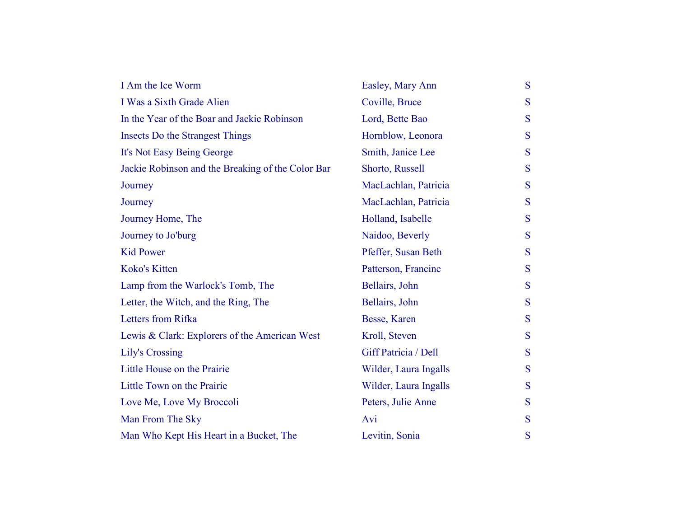| I Am the Ice Worm                                 | Easley, Mary Ann      | S |
|---------------------------------------------------|-----------------------|---|
| I Was a Sixth Grade Alien                         | Coville, Bruce        | S |
| In the Year of the Boar and Jackie Robinson       | Lord, Bette Bao       | S |
| <b>Insects Do the Strangest Things</b>            | Hornblow, Leonora     | S |
| It's Not Easy Being George                        | Smith, Janice Lee     | S |
| Jackie Robinson and the Breaking of the Color Bar | Shorto, Russell       | S |
| Journey                                           | MacLachlan, Patricia  | S |
| Journey                                           | MacLachlan, Patricia  | S |
| Journey Home, The                                 | Holland, Isabelle     | S |
| Journey to Jo'burg                                | Naidoo, Beverly       | S |
| <b>Kid Power</b>                                  | Pfeffer, Susan Beth   | S |
| Koko's Kitten                                     | Patterson, Francine   | S |
| Lamp from the Warlock's Tomb, The                 | Bellairs, John        | S |
| Letter, the Witch, and the Ring, The              | Bellairs, John        | S |
| Letters from Rifka                                | Besse, Karen          | S |
| Lewis & Clark: Explorers of the American West     | Kroll, Steven         | S |
| <b>Lily's Crossing</b>                            | Giff Patricia / Dell  | S |
| Little House on the Prairie                       | Wilder, Laura Ingalls | S |
| Little Town on the Prairie                        | Wilder, Laura Ingalls | S |
| Love Me, Love My Broccoli                         | Peters, Julie Anne    | S |
| Man From The Sky                                  | Avi                   | S |
| Man Who Kept His Heart in a Bucket, The           | Levitin, Sonia        | S |
|                                                   |                       |   |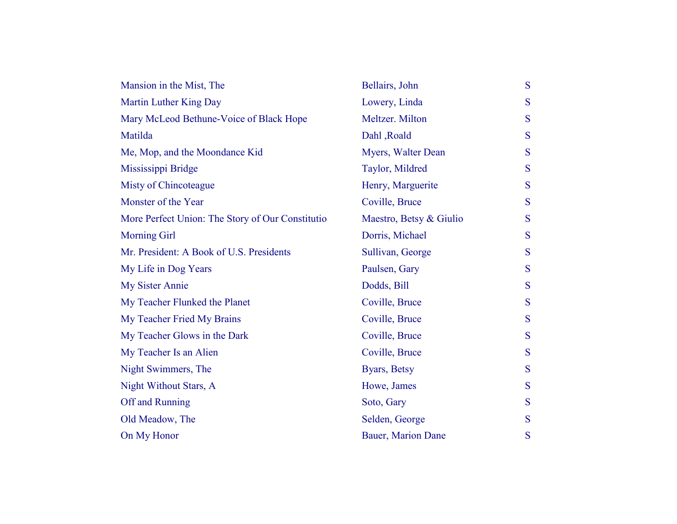| Mansion in the Mist, The                         | Bellairs, John          | S |
|--------------------------------------------------|-------------------------|---|
| Martin Luther King Day                           | Lowery, Linda           | S |
| Mary McLeod Bethune-Voice of Black Hope          | Meltzer. Milton         | S |
| Matilda                                          | Dahl, Roald             | S |
| Me, Mop, and the Moondance Kid                   | Myers, Walter Dean      | S |
| Mississippi Bridge                               | Taylor, Mildred         | S |
| Misty of Chincoteague                            | Henry, Marguerite       | S |
| Monster of the Year                              | Coville, Bruce          | S |
| More Perfect Union: The Story of Our Constitutio | Maestro, Betsy & Giulio | S |
| <b>Morning Girl</b>                              | Dorris, Michael         | S |
| Mr. President: A Book of U.S. Presidents         | Sullivan, George        | S |
| My Life in Dog Years                             | Paulsen, Gary           | S |
| <b>My Sister Annie</b>                           | Dodds, Bill             | S |
| My Teacher Flunked the Planet                    | Coville, Bruce          | S |
| My Teacher Fried My Brains                       | Coville, Bruce          | S |
| My Teacher Glows in the Dark                     | Coville, Bruce          | S |
| My Teacher Is an Alien                           | Coville, Bruce          | S |
| Night Swimmers, The                              | Byars, Betsy            | S |
| Night Without Stars, A                           | Howe, James             | S |
| Off and Running                                  | Soto, Gary              | S |
| Old Meadow, The                                  | Selden, George          | S |
| On My Honor                                      | Bauer, Marion Dane      | S |
|                                                  |                         |   |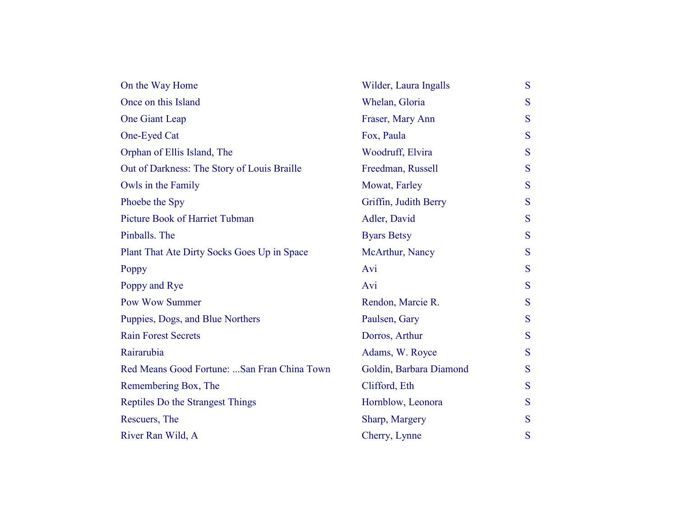| Wilder, Laura Ingalls   | S |
|-------------------------|---|
| Whelan, Gloria          | S |
| Fraser, Mary Ann        | S |
| Fox, Paula              | S |
| Woodruff, Elvira        | S |
| Freedman, Russell       | S |
| Mowat, Farley           | S |
| Griffin, Judith Berry   | S |
| Adler, David            | S |
| <b>Byars Betsy</b>      | S |
| McArthur, Nancy         | S |
| Avi                     | S |
| Avi                     | S |
| Rendon, Marcie R.       | S |
| Paulsen, Gary           | S |
| Dorros, Arthur          | S |
| Adams, W. Royce         | S |
| Goldin, Barbara Diamond | S |
| Clifford, Eth           | S |
| Hornblow, Leonora       | S |
| Sharp, Margery          | S |
| Cherry, Lynne           | S |
|                         |   |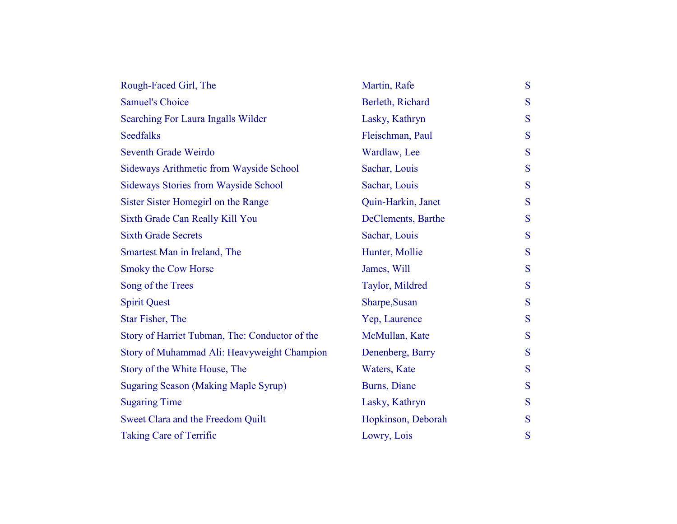| Rough-Faced Girl, The                          | Martin, Rafe       | S |
|------------------------------------------------|--------------------|---|
| <b>Samuel's Choice</b>                         | Berleth, Richard   | S |
| Searching For Laura Ingalls Wilder             | Lasky, Kathryn     | S |
| <b>Seedfalks</b>                               | Fleischman, Paul   | S |
| <b>Seventh Grade Weirdo</b>                    | Wardlaw, Lee       | S |
| Sideways Arithmetic from Wayside School        | Sachar, Louis      | S |
| <b>Sideways Stories from Wayside School</b>    | Sachar, Louis      | S |
| Sister Sister Homegirl on the Range            | Quin-Harkin, Janet | S |
| Sixth Grade Can Really Kill You                | DeClements, Barthe | S |
| <b>Sixth Grade Secrets</b>                     | Sachar, Louis      | S |
| Smartest Man in Ireland, The                   | Hunter, Mollie     | S |
| Smoky the Cow Horse                            | James, Will        | S |
| Song of the Trees                              | Taylor, Mildred    | S |
| <b>Spirit Quest</b>                            | Sharpe, Susan      | S |
| Star Fisher, The                               | Yep, Laurence      | S |
| Story of Harriet Tubman, The: Conductor of the | McMullan, Kate     | S |
| Story of Muhammad Ali: Heavyweight Champion    | Denenberg, Barry   | S |
| Story of the White House, The                  | Waters, Kate       | S |
| <b>Sugaring Season (Making Maple Syrup)</b>    | Burns, Diane       | S |
| <b>Sugaring Time</b>                           | Lasky, Kathryn     | S |
| Sweet Clara and the Freedom Quilt              | Hopkinson, Deborah | S |
| <b>Taking Care of Terrific</b>                 | Lowry, Lois        | S |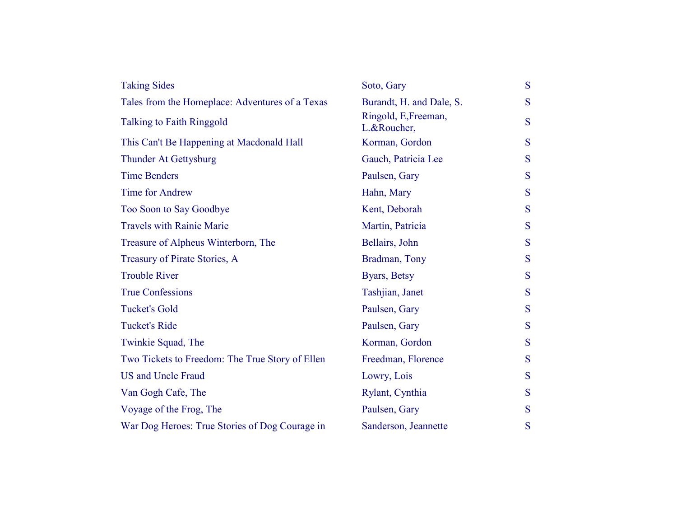| <b>Taking Sides</b>                             | Soto, Gary                          | S |
|-------------------------------------------------|-------------------------------------|---|
| Tales from the Homeplace: Adventures of a Texas | Burandt, H. and Dale, S.            | S |
| <b>Talking to Faith Ringgold</b>                | Ringold, E, Freeman,<br>L.&Roucher, | S |
| This Can't Be Happening at Macdonald Hall       | Korman, Gordon                      | S |
| <b>Thunder At Gettysburg</b>                    | Gauch, Patricia Lee                 | S |
| <b>Time Benders</b>                             | Paulsen, Gary                       | S |
| <b>Time for Andrew</b>                          | Hahn, Mary                          | S |
| Too Soon to Say Goodbye                         | Kent, Deborah                       | S |
| <b>Travels with Rainie Marie</b>                | Martin, Patricia                    | S |
| Treasure of Alpheus Winterborn, The             | Bellairs, John                      | S |
| Treasury of Pirate Stories, A                   | Bradman, Tony                       | S |
| <b>Trouble River</b>                            | Byars, Betsy                        | S |
| <b>True Confessions</b>                         | Tashjian, Janet                     | S |
| <b>Tucket's Gold</b>                            | Paulsen, Gary                       | S |
| <b>Tucket's Ride</b>                            | Paulsen, Gary                       | S |
| Twinkie Squad, The                              | Korman, Gordon                      | S |
| Two Tickets to Freedom: The True Story of Ellen | Freedman, Florence                  | S |
| <b>US and Uncle Fraud</b>                       | Lowry, Lois                         | S |
| Van Gogh Cafe, The                              | Rylant, Cynthia                     | S |
| Voyage of the Frog, The                         | Paulsen, Gary                       | S |
| War Dog Heroes: True Stories of Dog Courage in  | Sanderson, Jeannette                | S |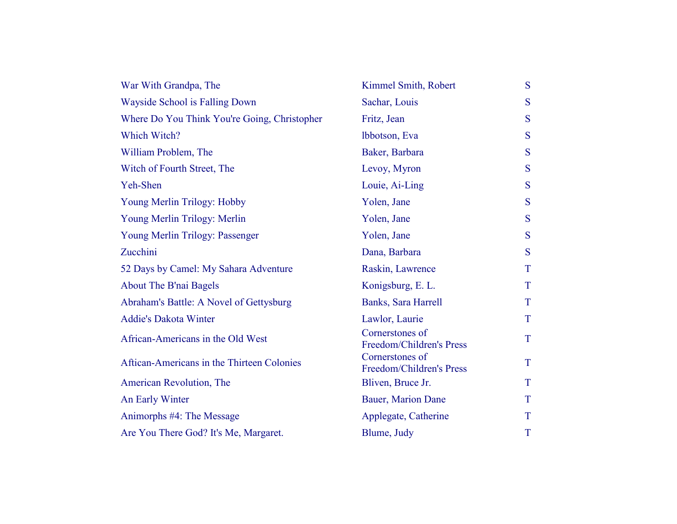| War With Grandpa, The                        | Kimmel Smith, Robert                        | S |
|----------------------------------------------|---------------------------------------------|---|
| Wayside School is Falling Down               | Sachar, Louis                               | S |
| Where Do You Think You're Going, Christopher | Fritz, Jean                                 | S |
| Which Witch?                                 | Ibbotson, Eva                               | S |
| William Problem, The                         | Baker, Barbara                              | S |
| Witch of Fourth Street, The                  | Levoy, Myron                                | S |
| Yeh-Shen                                     | Louie, Ai-Ling                              | S |
| Young Merlin Trilogy: Hobby                  | Yolen, Jane                                 | S |
| Young Merlin Trilogy: Merlin                 | Yolen, Jane                                 | S |
| Young Merlin Trilogy: Passenger              | Yolen, Jane                                 | S |
| Zucchini                                     | Dana, Barbara                               | S |
| 52 Days by Camel: My Sahara Adventure        | Raskin, Lawrence                            | T |
| <b>About The B'nai Bagels</b>                | Konigsburg, E. L.                           | T |
| Abraham's Battle: A Novel of Gettysburg      | Banks, Sara Harrell                         | T |
| <b>Addie's Dakota Winter</b>                 | Lawlor, Laurie                              | T |
| African-Americans in the Old West            | Cornerstones of<br>Freedom/Children's Press | T |
| Aftican-Americans in the Thirteen Colonies   | Cornerstones of<br>Freedom/Children's Press | T |
| American Revolution, The                     | Bliven, Bruce Jr.                           | T |
| An Early Winter                              | Bauer, Marion Dane                          | T |
| Animorphs #4: The Message                    | Applegate, Catherine                        | T |
| Are You There God? It's Me, Margaret.        | Blume, Judy                                 | T |
|                                              |                                             |   |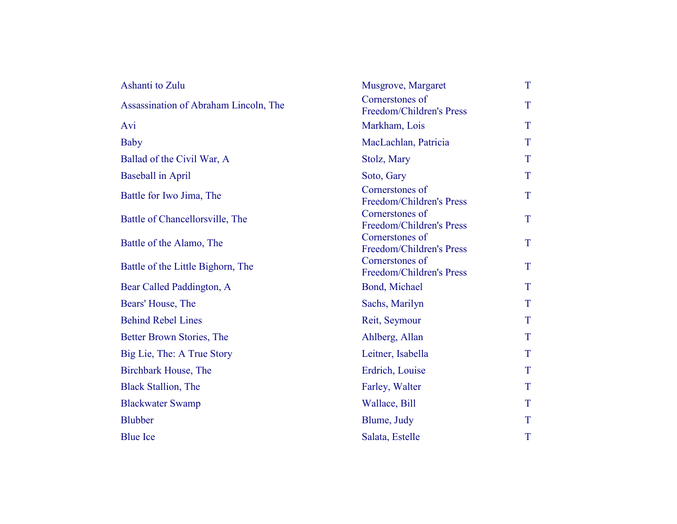| Ashanti to Zulu                       | Musgrove, Margaret                          | T |
|---------------------------------------|---------------------------------------------|---|
| Assassination of Abraham Lincoln, The | Cornerstones of<br>Freedom/Children's Press | T |
| Avi                                   | Markham, Lois                               | T |
| Baby                                  | MacLachlan, Patricia                        | T |
| Ballad of the Civil War, A            | Stolz, Mary                                 | T |
| <b>Baseball in April</b>              | Soto, Gary                                  | T |
| Battle for Iwo Jima, The              | Cornerstones of<br>Freedom/Children's Press | T |
| Battle of Chancellorsville, The       | Cornerstones of<br>Freedom/Children's Press | T |
| Battle of the Alamo, The              | Cornerstones of<br>Freedom/Children's Press | T |
| Battle of the Little Bighorn, The     | Cornerstones of<br>Freedom/Children's Press | T |
| Bear Called Paddington, A             | Bond, Michael                               | T |
| Bears' House, The                     | Sachs, Marilyn                              | T |
| <b>Behind Rebel Lines</b>             | Reit, Seymour                               | T |
| Better Brown Stories, The             | Ahlberg, Allan                              | T |
| Big Lie, The: A True Story            | Leitner, Isabella                           | T |
| <b>Birchbark House, The</b>           | Erdrich, Louise                             | T |
| <b>Black Stallion</b> , The           | Farley, Walter                              | T |
| <b>Blackwater Swamp</b>               | Wallace, Bill                               | T |
| <b>Blubber</b>                        | Blume, Judy                                 | T |
| <b>Blue Ice</b>                       | Salata, Estelle                             | T |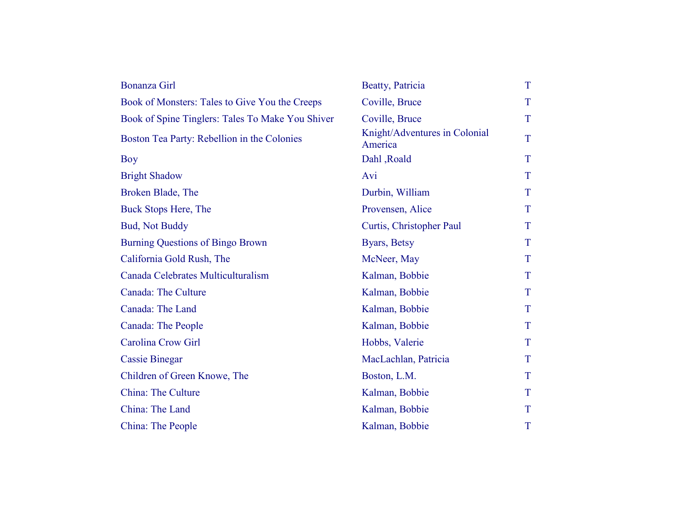| Bonanza Girl                                     | Beatty, Patricia                         | T |
|--------------------------------------------------|------------------------------------------|---|
| Book of Monsters: Tales to Give You the Creeps   | Coville, Bruce                           | T |
| Book of Spine Tinglers: Tales To Make You Shiver | Coville, Bruce                           | T |
| Boston Tea Party: Rebellion in the Colonies      | Knight/Adventures in Colonial<br>America | T |
| <b>Boy</b>                                       | Dahl, Roald                              | T |
| <b>Bright Shadow</b>                             | Avi                                      | T |
| Broken Blade, The                                | Durbin, William                          | T |
| Buck Stops Here, The                             | Provensen, Alice                         | T |
| <b>Bud, Not Buddy</b>                            | Curtis, Christopher Paul                 | T |
| <b>Burning Questions of Bingo Brown</b>          | Byars, Betsy                             | T |
| California Gold Rush, The                        | McNeer, May                              | T |
| Canada Celebrates Multiculturalism               | Kalman, Bobbie                           | T |
| <b>Canada: The Culture</b>                       | Kalman, Bobbie                           | T |
| Canada: The Land                                 | Kalman, Bobbie                           | T |
| Canada: The People                               | Kalman, Bobbie                           | T |
| <b>Carolina Crow Girl</b>                        | Hobbs, Valerie                           | T |
| <b>Cassie Binegar</b>                            | MacLachlan, Patricia                     | T |
| Children of Green Knowe, The                     | Boston, L.M.                             | T |
| <b>China: The Culture</b>                        | Kalman, Bobbie                           | T |
| China: The Land                                  | Kalman, Bobbie                           | T |
| China: The People                                | Kalman, Bobbie                           | T |
|                                                  |                                          |   |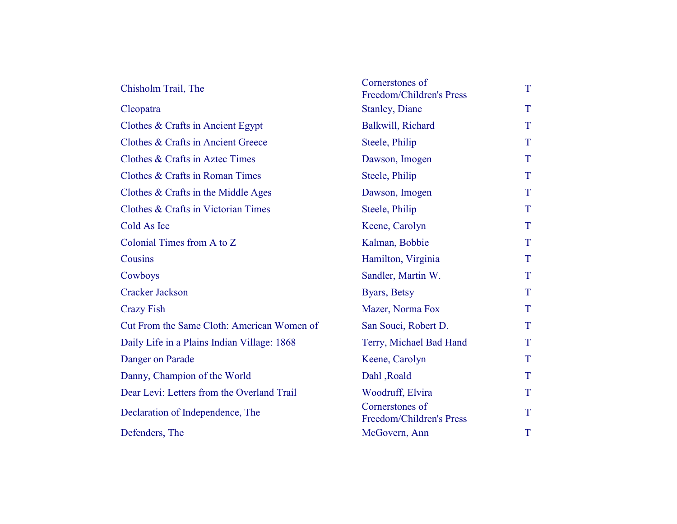| Chisholm Trail, The                         | Cornerstones of<br>Freedom/Children's Press | T |
|---------------------------------------------|---------------------------------------------|---|
| Cleopatra                                   | <b>Stanley</b> , Diane                      | T |
| Clothes $&$ Crafts in Ancient Egypt         | Balkwill, Richard                           | T |
| Clothes & Crafts in Ancient Greece          | Steele, Philip                              | T |
| Clothes & Crafts in Aztec Times             | Dawson, Imogen                              | T |
| Clothes & Crafts in Roman Times             | Steele, Philip                              | T |
| Clothes & Crafts in the Middle Ages         | Dawson, Imogen                              | T |
| Clothes & Crafts in Victorian Times         | Steele, Philip                              | T |
| Cold As Ice                                 | Keene, Carolyn                              | T |
| Colonial Times from A to Z                  | Kalman, Bobbie                              | T |
| Cousins                                     | Hamilton, Virginia                          | T |
| Cowboys                                     | Sandler, Martin W.                          | T |
| <b>Cracker Jackson</b>                      | Byars, Betsy                                | T |
| <b>Crazy Fish</b>                           | Mazer, Norma Fox                            | T |
| Cut From the Same Cloth: American Women of  | San Souci, Robert D.                        | T |
| Daily Life in a Plains Indian Village: 1868 | Terry, Michael Bad Hand                     | T |
| Danger on Parade                            | Keene, Carolyn                              | T |
| Danny, Champion of the World                | Dahl, Roald                                 | T |
| Dear Levi: Letters from the Overland Trail  | Woodruff, Elvira                            | T |
| Declaration of Independence, The            | Cornerstones of<br>Freedom/Children's Press | T |
| Defenders, The                              | McGovern, Ann                               | T |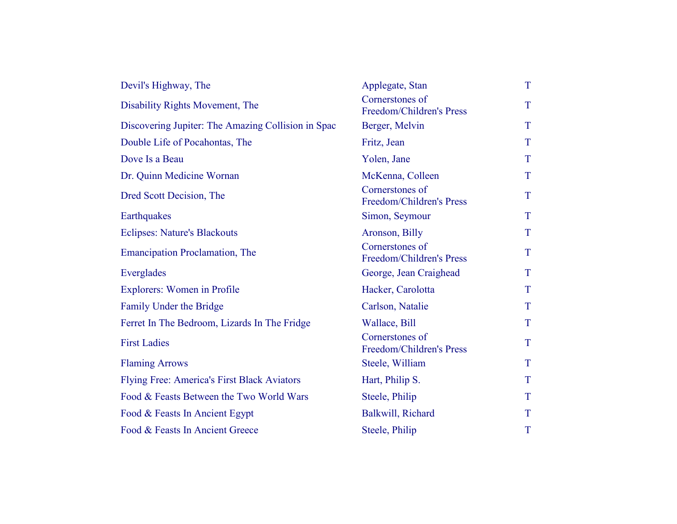| Devil's Highway, The                               | Applegate, Stan                             | T |
|----------------------------------------------------|---------------------------------------------|---|
| Disability Rights Movement, The                    | Cornerstones of<br>Freedom/Children's Press | T |
| Discovering Jupiter: The Amazing Collision in Spac | Berger, Melvin                              | T |
| Double Life of Pocahontas, The                     | Fritz, Jean                                 | T |
| Dove Is a Beau                                     | Yolen, Jane                                 | T |
| Dr. Quinn Medicine Wornan                          | McKenna, Colleen                            | T |
| Dred Scott Decision, The                           | Cornerstones of<br>Freedom/Children's Press | T |
| Earthquakes                                        | Simon, Seymour                              | T |
| <b>Eclipses: Nature's Blackouts</b>                | Aronson, Billy                              | T |
| <b>Emancipation Proclamation, The</b>              | Cornerstones of<br>Freedom/Children's Press | T |
| Everglades                                         | George, Jean Craighead                      | T |
| Explorers: Women in Profile                        | Hacker, Carolotta                           | T |
| Family Under the Bridge                            | Carlson, Natalie                            | T |
| Ferret In The Bedroom, Lizards In The Fridge       | Wallace, Bill                               | T |
| <b>First Ladies</b>                                | Cornerstones of<br>Freedom/Children's Press | T |
| <b>Flaming Arrows</b>                              | Steele, William                             | T |
| Flying Free: America's First Black Aviators        | Hart, Philip S.                             | T |
| Food & Feasts Between the Two World Wars           | Steele, Philip                              | T |
| Food & Feasts In Ancient Egypt                     | Balkwill, Richard                           | T |
| Food & Feasts In Ancient Greece                    | Steele, Philip                              | T |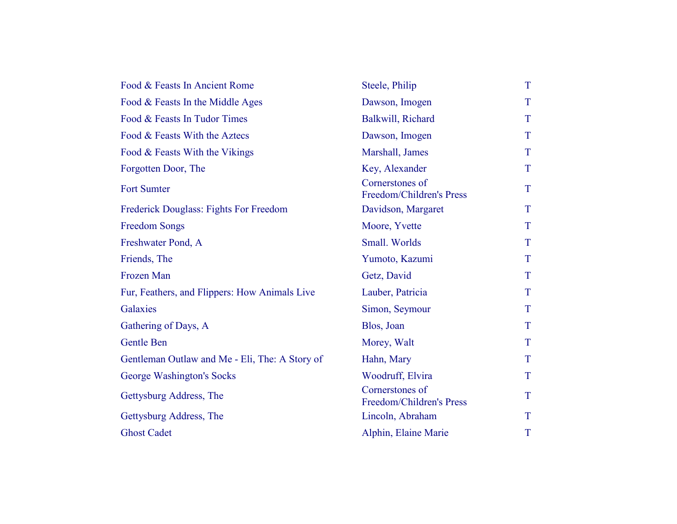| Food & Feasts In Ancient Rome                  | Steele, Philip                              | T           |
|------------------------------------------------|---------------------------------------------|-------------|
| Food & Feasts In the Middle Ages               | Dawson, Imogen                              | T           |
| Food & Feasts In Tudor Times                   | Balkwill, Richard                           | T           |
| Food & Feasts With the Aztecs                  | Dawson, Imogen                              | $\mathbf T$ |
| Food & Feasts With the Vikings                 | Marshall, James                             | T           |
| Forgotten Door, The                            | Key, Alexander                              | T           |
| <b>Fort Sumter</b>                             | Cornerstones of<br>Freedom/Children's Press | T           |
| Frederick Douglass: Fights For Freedom         | Davidson, Margaret                          | T           |
| <b>Freedom Songs</b>                           | Moore, Yvette                               | T           |
| Freshwater Pond, A                             | Small. Worlds                               | T           |
| Friends, The                                   | Yumoto, Kazumi                              | T           |
| Frozen Man                                     | Getz, David                                 | T           |
| Fur, Feathers, and Flippers: How Animals Live  | Lauber, Patricia                            | T           |
| Galaxies                                       | Simon, Seymour                              | T           |
| Gathering of Days, A                           | Blos, Joan                                  | T           |
| <b>Gentle Ben</b>                              | Morey, Walt                                 | T           |
| Gentleman Outlaw and Me - Eli, The: A Story of | Hahn, Mary                                  | T           |
| George Washington's Socks                      | Woodruff, Elvira                            | T           |
| Gettysburg Address, The                        | Cornerstones of<br>Freedom/Children's Press | T           |
| Gettysburg Address, The                        | Lincoln, Abraham                            | T           |
| <b>Ghost Cadet</b>                             | Alphin, Elaine Marie                        | T           |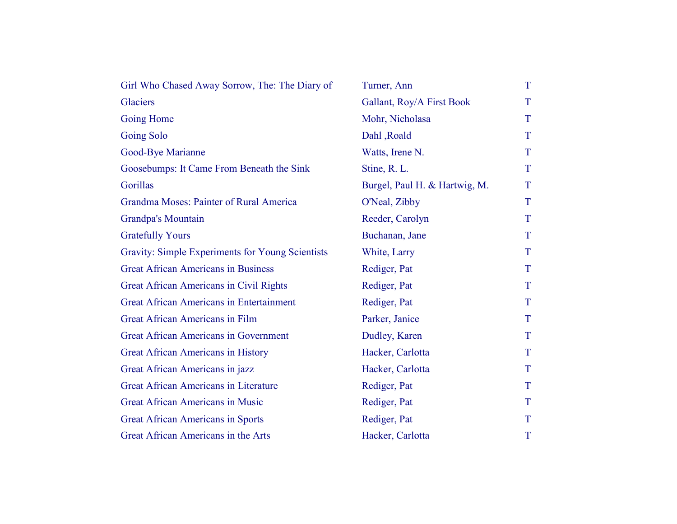| Girl Who Chased Away Sorrow, The: The Diary of   | Turner, Ann                   | T |
|--------------------------------------------------|-------------------------------|---|
| Glaciers                                         | Gallant, Roy/A First Book     | T |
| <b>Going Home</b>                                | Mohr, Nicholasa               | T |
| <b>Going Solo</b>                                | Dahl, Roald                   | T |
| Good-Bye Marianne                                | Watts, Irene N.               | T |
| Goosebumps: It Came From Beneath the Sink        | Stine, R. L.                  | T |
| Gorillas                                         | Burgel, Paul H. & Hartwig, M. | T |
| Grandma Moses: Painter of Rural America          | O'Neal, Zibby                 | T |
| <b>Grandpa's Mountain</b>                        | Reeder, Carolyn               | T |
| <b>Gratefully Yours</b>                          | Buchanan, Jane                | T |
| Gravity: Simple Experiments for Young Scientists | White, Larry                  | T |
| <b>Great African Americans in Business</b>       | Rediger, Pat                  | T |
| Great African Americans in Civil Rights          | Rediger, Pat                  | T |
| <b>Great African Americans in Entertainment</b>  | Rediger, Pat                  | T |
| <b>Great African Americans in Film</b>           | Parker, Janice                | T |
| <b>Great African Americans in Government</b>     | Dudley, Karen                 | T |
| Great African Americans in History               | Hacker, Carlotta              | T |
| Great African Americans in jazz                  | Hacker, Carlotta              | T |
| <b>Great African Americans in Literature</b>     | Rediger, Pat                  | T |
| <b>Great African Americans in Music</b>          | Rediger, Pat                  | T |
| <b>Great African Americans in Sports</b>         | Rediger, Pat                  | T |
| Great African Americans in the Arts              | Hacker, Carlotta              | T |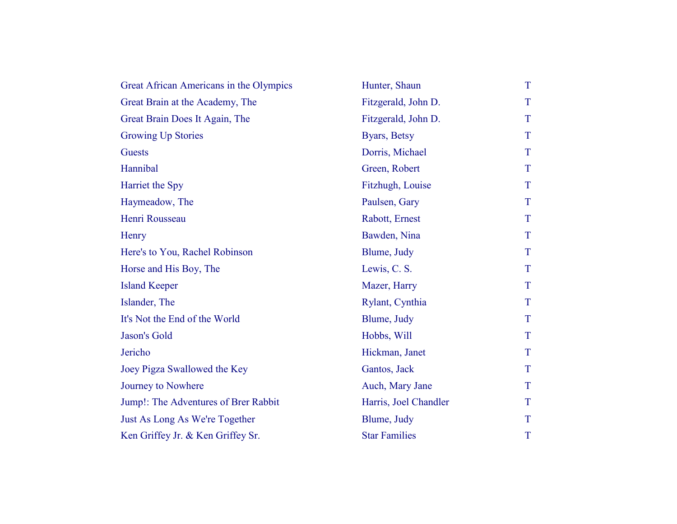| Great African Americans in the Olympics | Hunter, Shaun         | T           |
|-----------------------------------------|-----------------------|-------------|
| Great Brain at the Academy, The         | Fitzgerald, John D.   | T           |
| Great Brain Does It Again, The          | Fitzgerald, John D.   | T           |
| <b>Growing Up Stories</b>               | Byars, Betsy          | T           |
| <b>Guests</b>                           | Dorris, Michael       | T           |
| Hannibal                                | Green, Robert         | T           |
| Harriet the Spy                         | Fitzhugh, Louise      | T           |
| Haymeadow, The                          | Paulsen, Gary         | T           |
| Henri Rousseau                          | Rabott, Ernest        | T           |
| Henry                                   | Bawden, Nina          | T           |
| Here's to You, Rachel Robinson          | Blume, Judy           | T           |
| Horse and His Boy, The                  | Lewis, C. S.          | T           |
| <b>Island Keeper</b>                    | Mazer, Harry          | T           |
| Islander, The                           | Rylant, Cynthia       | T           |
| It's Not the End of the World           | Blume, Judy           | T           |
| Jason's Gold                            | Hobbs, Will           | T           |
| Jericho                                 | Hickman, Janet        | T           |
| Joey Pigza Swallowed the Key            | Gantos, Jack          | T           |
| Journey to Nowhere                      | Auch, Mary Jane       | T           |
| Jump!: The Adventures of Brer Rabbit    | Harris, Joel Chandler | T           |
| Just As Long As We're Together          | Blume, Judy           | T           |
| Ken Griffey Jr. & Ken Griffey Sr.       | <b>Star Families</b>  | $\mathbf T$ |
|                                         |                       |             |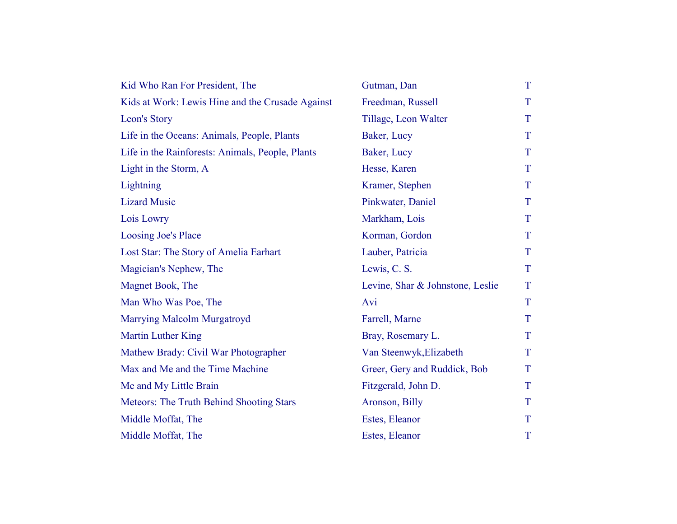| Kid Who Ran For President, The                   | Gutman, Dan                      | T |
|--------------------------------------------------|----------------------------------|---|
| Kids at Work: Lewis Hine and the Crusade Against | Freedman, Russell                | T |
| Leon's Story                                     | Tillage, Leon Walter             | T |
| Life in the Oceans: Animals, People, Plants      | Baker, Lucy                      | T |
| Life in the Rainforests: Animals, People, Plants | Baker, Lucy                      | T |
| Light in the Storm, A                            | Hesse, Karen                     | T |
| Lightning                                        | Kramer, Stephen                  | T |
| <b>Lizard Music</b>                              | Pinkwater, Daniel                | T |
| Lois Lowry                                       | Markham, Lois                    | T |
| <b>Loosing Joe's Place</b>                       | Korman, Gordon                   | T |
| Lost Star: The Story of Amelia Earhart           | Lauber, Patricia                 | T |
| Magician's Nephew, The                           | Lewis, C. S.                     | T |
| Magnet Book, The                                 | Levine, Shar & Johnstone, Leslie | T |
| Man Who Was Poe, The                             | Avi                              | T |
| <b>Marrying Malcolm Murgatroyd</b>               | Farrell, Marne                   | T |
| <b>Martin Luther King</b>                        | Bray, Rosemary L.                | T |
| Mathew Brady: Civil War Photographer             | Van Steenwyk, Elizabeth          | T |
| Max and Me and the Time Machine                  | Greer, Gery and Ruddick, Bob     | T |
| Me and My Little Brain                           | Fitzgerald, John D.              | T |
| Meteors: The Truth Behind Shooting Stars         | Aronson, Billy                   | T |
| Middle Moffat, The                               | Estes, Eleanor                   | T |
| Middle Moffat, The                               | Estes, Eleanor                   | T |
|                                                  |                                  |   |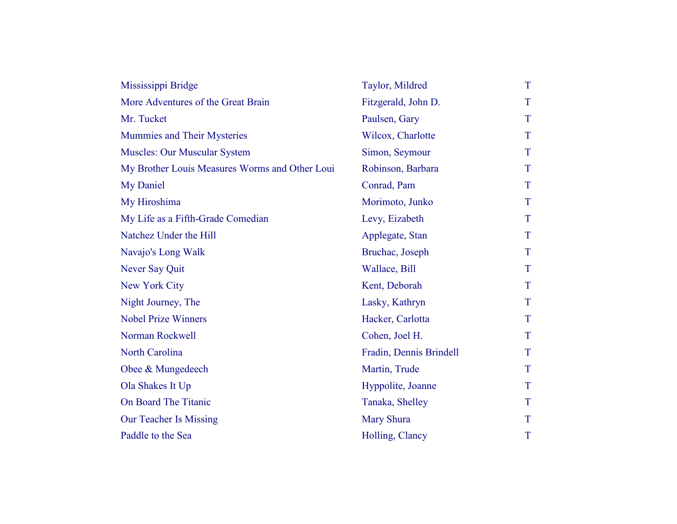| Mississippi Bridge                             | Taylor, Mildred         | T |
|------------------------------------------------|-------------------------|---|
| More Adventures of the Great Brain             | Fitzgerald, John D.     | T |
| Mr. Tucket                                     | Paulsen, Gary           | T |
| Mummies and Their Mysteries                    | Wilcox, Charlotte       | T |
| <b>Muscles: Our Muscular System</b>            | Simon, Seymour          | T |
| My Brother Louis Measures Worms and Other Loui | Robinson, Barbara       | T |
| My Daniel                                      | Conrad, Pam             | T |
| My Hiroshima                                   | Morimoto, Junko         | T |
| My Life as a Fifth-Grade Comedian              | Levy, Eizabeth          | T |
| Natchez Under the Hill                         | Applegate, Stan         | T |
| Navajo's Long Walk                             | Bruchac, Joseph         | T |
| Never Say Quit                                 | Wallace, Bill           | T |
| New York City                                  | Kent, Deborah           | T |
| Night Journey, The                             | Lasky, Kathryn          | T |
| <b>Nobel Prize Winners</b>                     | Hacker, Carlotta        | T |
| Norman Rockwell                                | Cohen, Joel H.          | T |
| <b>North Carolina</b>                          | Fradin, Dennis Brindell | T |
| Obee & Mungedeech                              | Martin, Trude           | T |
| Ola Shakes It Up                               | Hyppolite, Joanne       | T |
| On Board The Titanic                           | Tanaka, Shelley         | T |
| <b>Our Teacher Is Missing</b>                  | <b>Mary Shura</b>       | T |
| Paddle to the Sea                              | Holling, Clancy         | T |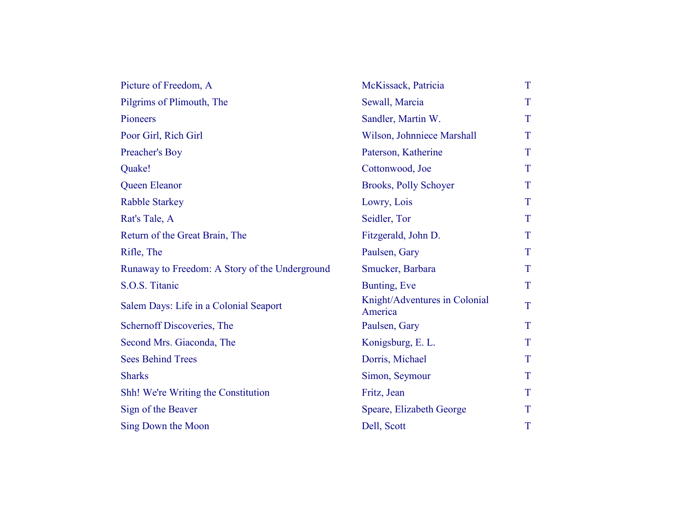| Picture of Freedom, A                          | McKissack, Patricia                      | T |
|------------------------------------------------|------------------------------------------|---|
| Pilgrims of Plimouth, The                      | Sewall, Marcia                           | T |
| Pioneers                                       | Sandler, Martin W.                       | T |
| Poor Girl, Rich Girl                           | Wilson, Johnniece Marshall               | T |
| Preacher's Boy                                 | Paterson, Katherine                      | T |
| Quake!                                         | Cottonwood, Joe                          | T |
| Queen Eleanor                                  | <b>Brooks, Polly Schoyer</b>             | T |
| <b>Rabble Starkey</b>                          | Lowry, Lois                              | T |
| Rat's Tale, A                                  | Seidler, Tor                             | T |
| Return of the Great Brain, The                 | Fitzgerald, John D.                      | T |
| Rifle, The                                     | Paulsen, Gary                            | T |
| Runaway to Freedom: A Story of the Underground | Smucker, Barbara                         | T |
| S.O.S. Titanic                                 | Bunting, Eve                             | T |
| Salem Days: Life in a Colonial Seaport         | Knight/Adventures in Colonial<br>America | T |
| Schernoff Discoveries, The                     | Paulsen, Gary                            | T |
| Second Mrs. Giaconda, The                      | Konigsburg, E. L.                        | T |
| <b>Sees Behind Trees</b>                       | Dorris, Michael                          | T |
| <b>Sharks</b>                                  | Simon, Seymour                           | T |
| Shh! We're Writing the Constitution            | Fritz, Jean                              | T |
| Sign of the Beaver                             | Speare, Elizabeth George                 | T |
| Sing Down the Moon                             | Dell, Scott                              | T |
|                                                |                                          |   |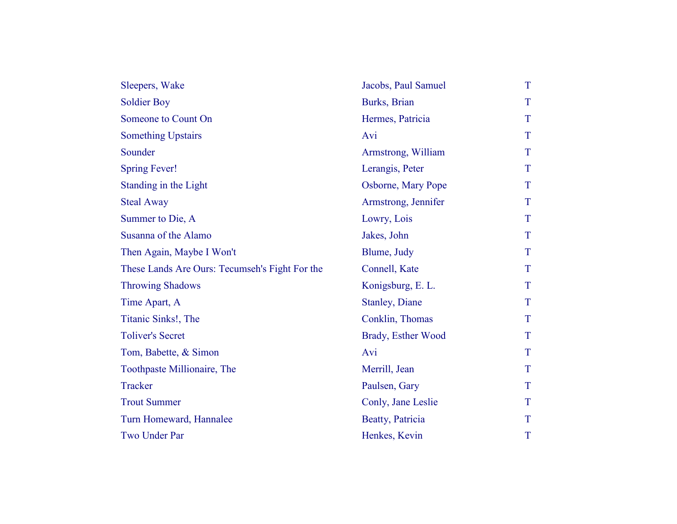| Sleepers, Wake                                 | Jacobs, Paul Samuel   | T |
|------------------------------------------------|-----------------------|---|
| <b>Soldier Boy</b>                             | Burks, Brian          | T |
| Someone to Count On                            | Hermes, Patricia      | T |
| <b>Something Upstairs</b>                      | Avi                   | T |
| Sounder                                        | Armstrong, William    | T |
| <b>Spring Fever!</b>                           | Lerangis, Peter       | T |
| Standing in the Light                          | Osborne, Mary Pope    | T |
| <b>Steal Away</b>                              | Armstrong, Jennifer   | T |
| Summer to Die, A                               | Lowry, Lois           | T |
| Susanna of the Alamo                           | Jakes, John           | T |
| Then Again, Maybe I Won't                      | Blume, Judy           | T |
| These Lands Are Ours: Tecumseh's Fight For the | Connell, Kate         | T |
| <b>Throwing Shadows</b>                        | Konigsburg, E. L.     | T |
| Time Apart, A                                  | <b>Stanley, Diane</b> | T |
| Titanic Sinks!, The                            | Conklin, Thomas       | T |
| <b>Toliver's Secret</b>                        | Brady, Esther Wood    | T |
| Tom, Babette, & Simon                          | Avi                   | T |
| Toothpaste Millionaire, The                    | Merrill, Jean         | T |
| Tracker                                        | Paulsen, Gary         | T |
| <b>Trout Summer</b>                            | Conly, Jane Leslie    | T |
| Turn Homeward, Hannalee                        | Beatty, Patricia      | T |
| Two Under Par                                  | Henkes, Kevin         | T |